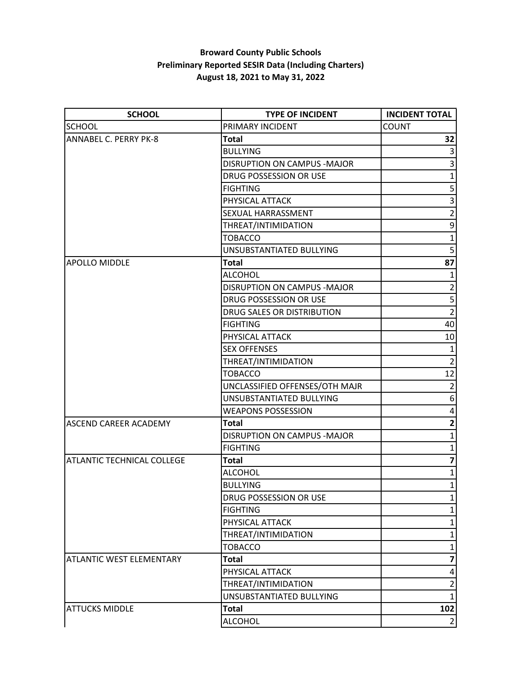## **Broward County Public Schools Preliminary Reported SESIR Data (Including Charters) August 18, 2021 to May 31, 2022**

| <b>SCHOOL</b>                     | <b>TYPE OF INCIDENT</b>        | <b>INCIDENT TOTAL</b>   |
|-----------------------------------|--------------------------------|-------------------------|
| <b>SCHOOL</b>                     | PRIMARY INCIDENT               | <b>COUNT</b>            |
| <b>ANNABEL C. PERRY PK-8</b>      | <b>Total</b>                   | 32                      |
|                                   | <b>BULLYING</b>                | 3                       |
|                                   | DISRUPTION ON CAMPUS - MAJOR   | 3                       |
|                                   | DRUG POSSESSION OR USE         | $\mathbf{1}$            |
|                                   | <b>FIGHTING</b>                | 5 <sup>1</sup>          |
|                                   | PHYSICAL ATTACK                | $\overline{\mathbf{3}}$ |
|                                   | <b>SEXUAL HARRASSMENT</b>      | $\overline{2}$          |
|                                   | THREAT/INTIMIDATION            | $\boldsymbol{9}$        |
|                                   | <b>TOBACCO</b>                 | $\mathbf 1$             |
|                                   | UNSUBSTANTIATED BULLYING       | $\overline{5}$          |
| <b>APOLLO MIDDLE</b>              | <b>Total</b>                   | 87                      |
|                                   | ALCOHOL                        | $\mathbf{1}$            |
|                                   | DISRUPTION ON CAMPUS - MAJOR   | $\overline{2}$          |
|                                   | DRUG POSSESSION OR USE         | 5                       |
|                                   | DRUG SALES OR DISTRIBUTION     | $\overline{2}$          |
|                                   | <b>FIGHTING</b>                | 40                      |
|                                   | PHYSICAL ATTACK                | 10                      |
|                                   | <b>SEX OFFENSES</b>            | $\mathbf{1}$            |
|                                   | THREAT/INTIMIDATION            | $\overline{2}$          |
|                                   | <b>TOBACCO</b>                 | 12                      |
|                                   | UNCLASSIFIED OFFENSES/OTH MAJR | $\overline{2}$          |
|                                   | UNSUBSTANTIATED BULLYING       | $\boldsymbol{6}$        |
|                                   | <b>WEAPONS POSSESSION</b>      | 4                       |
| <b>ASCEND CAREER ACADEMY</b>      | Total                          | 2 <sup>1</sup>          |
|                                   | DISRUPTION ON CAMPUS - MAJOR   | $\mathbf{1}$            |
|                                   | <b>FIGHTING</b>                | $\mathbf{1}$            |
| <b>ATLANTIC TECHNICAL COLLEGE</b> | <b>Total</b>                   | $\overline{\mathbf{z}}$ |
|                                   | <b>ALCOHOL</b>                 | $\mathbf 1$             |
|                                   | <b>BULLYING</b>                | $1\vert$                |
|                                   | DRUG POSSESSION OR USE         | $\mathbf{1}$            |
|                                   | <b>FIGHTING</b>                | 1                       |
|                                   | PHYSICAL ATTACK                | $\mathbf{1}$            |
|                                   | THREAT/INTIMIDATION            | $\mathbf{1}$            |
|                                   | <b>TOBACCO</b>                 | $\mathbf{1}$            |
| <b>ATLANTIC WEST ELEMENTARY</b>   | <b>Total</b>                   | $\overline{\mathbf{z}}$ |
|                                   | PHYSICAL ATTACK                | 4                       |
|                                   | THREAT/INTIMIDATION            | $\overline{2}$          |
|                                   | UNSUBSTANTIATED BULLYING       | $\mathbf{1}$            |
| <b>ATTUCKS MIDDLE</b>             | <b>Total</b>                   | 102                     |
|                                   | <b>ALCOHOL</b>                 | $\overline{2}$          |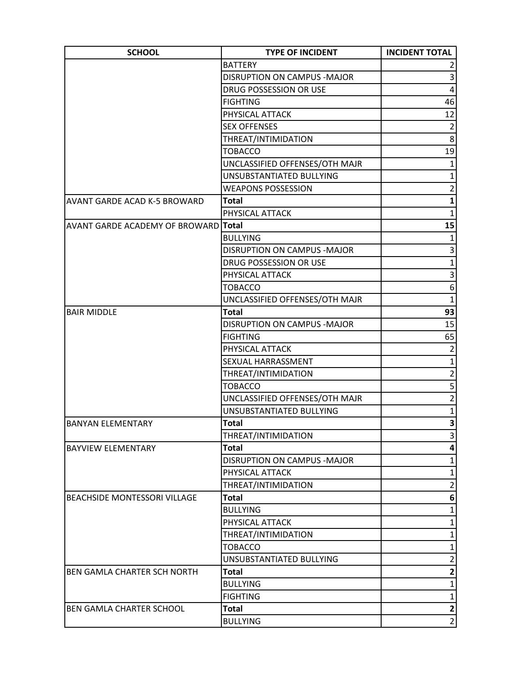| <b>SCHOOL</b>                               | <b>TYPE OF INCIDENT</b>            | <b>INCIDENT TOTAL</b>   |
|---------------------------------------------|------------------------------------|-------------------------|
|                                             | <b>BATTERY</b>                     |                         |
|                                             | DISRUPTION ON CAMPUS - MAJOR       | 3                       |
|                                             | DRUG POSSESSION OR USE             | $\overline{\mathbf{4}}$ |
|                                             | <b>FIGHTING</b>                    | 46                      |
|                                             | PHYSICAL ATTACK                    | 12                      |
|                                             | <b>SEX OFFENSES</b>                | $\overline{2}$          |
|                                             | THREAT/INTIMIDATION                | 8                       |
|                                             | <b>TOBACCO</b>                     | 19                      |
|                                             | UNCLASSIFIED OFFENSES/OTH MAJR     | $\mathbf{1}$            |
|                                             | UNSUBSTANTIATED BULLYING           | $\mathbf{1}$            |
|                                             | <b>WEAPONS POSSESSION</b>          | $\overline{2}$          |
| <b>AVANT GARDE ACAD K-5 BROWARD</b>         | <b>Total</b>                       | $\mathbf{1}$            |
|                                             | PHYSICAL ATTACK                    | $\mathbf{1}$            |
| <b>AVANT GARDE ACADEMY OF BROWARD</b> Total |                                    | 15                      |
|                                             | <b>BULLYING</b>                    | 1                       |
|                                             | <b>DISRUPTION ON CAMPUS -MAJOR</b> | 3                       |
|                                             | <b>DRUG POSSESSION OR USE</b>      | $\mathbf{1}$            |
|                                             | PHYSICAL ATTACK                    | 3                       |
|                                             | <b>TOBACCO</b>                     | 6                       |
|                                             | UNCLASSIFIED OFFENSES/OTH MAJR     | $\mathbf{1}$            |
| <b>BAIR MIDDLE</b>                          | <b>Total</b>                       | 93                      |
|                                             | <b>DISRUPTION ON CAMPUS -MAJOR</b> | 15                      |
|                                             | <b>FIGHTING</b>                    | 65                      |
|                                             | PHYSICAL ATTACK                    | $\overline{2}$          |
|                                             | SEXUAL HARRASSMENT                 | $\mathbf 1$             |
|                                             | THREAT/INTIMIDATION                | $\overline{2}$          |
|                                             | <b>TOBACCO</b>                     | 5                       |
|                                             | UNCLASSIFIED OFFENSES/OTH MAJR     | $\overline{2}$          |
|                                             | UNSUBSTANTIATED BULLYING           | $\mathbf{1}$            |
| <b>BANYAN ELEMENTARY</b>                    | <b>Total</b>                       | $\mathbf{3}$            |
|                                             | THREAT/INTIMIDATION                | 3                       |
| <b>BAYVIEW ELEMENTARY</b>                   | <b>Total</b>                       | 4                       |
|                                             | <b>DISRUPTION ON CAMPUS -MAJOR</b> | $\mathbf{1}$            |
|                                             | PHYSICAL ATTACK                    | 1                       |
|                                             | THREAT/INTIMIDATION                | $\overline{2}$          |
| BEACHSIDE MONTESSORI VILLAGE                | <b>Total</b>                       | 6                       |
|                                             | <b>BULLYING</b>                    | $\mathbf{1}$            |
|                                             | PHYSICAL ATTACK                    | $\mathbf 1$             |
|                                             | THREAT/INTIMIDATION                | $\mathbf{1}$            |
|                                             | <b>TOBACCO</b>                     | 1                       |
|                                             | UNSUBSTANTIATED BULLYING           | $\overline{2}$          |
| BEN GAMLA CHARTER SCH NORTH                 | <b>Total</b>                       | $\mathbf{2}$            |
|                                             | <b>BULLYING</b>                    | $\mathbf{1}$            |
|                                             | <b>FIGHTING</b>                    | $1\vert$                |
| BEN GAMLA CHARTER SCHOOL                    | <b>Total</b>                       | $\mathbf{2}$            |
|                                             |                                    | $\overline{2}$          |
|                                             | <b>BULLYING</b>                    |                         |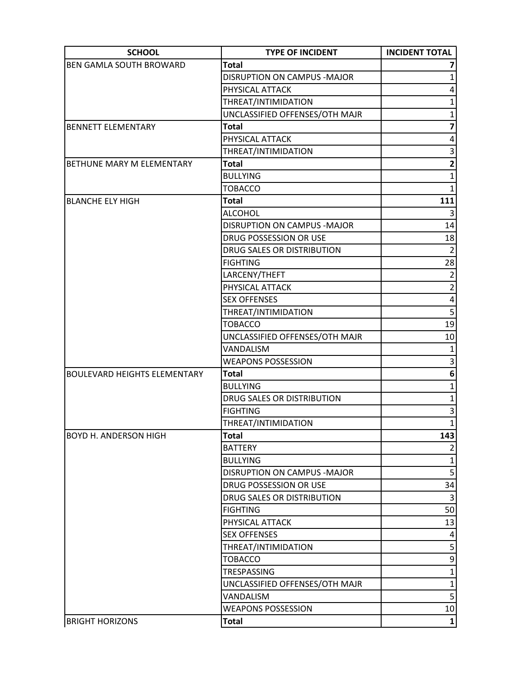| <b>SCHOOL</b>                       | <b>TYPE OF INCIDENT</b>             | <b>INCIDENT TOTAL</b>   |
|-------------------------------------|-------------------------------------|-------------------------|
| <b>BEN GAMLA SOUTH BROWARD</b>      | <b>Total</b>                        |                         |
|                                     | <b>DISRUPTION ON CAMPUS - MAJOR</b> | 1                       |
|                                     | PHYSICAL ATTACK                     | 4                       |
|                                     | THREAT/INTIMIDATION                 | 1                       |
|                                     | UNCLASSIFIED OFFENSES/OTH MAJR      | $\mathbf{1}$            |
| <b>BENNETT ELEMENTARY</b>           | <b>Total</b>                        | 7                       |
|                                     | PHYSICAL ATTACK                     | 4                       |
|                                     | THREAT/INTIMIDATION                 | 3                       |
| BETHUNE MARY M ELEMENTARY           | <b>Total</b>                        | $\overline{\mathbf{c}}$ |
|                                     | <b>BULLYING</b>                     | $\mathbf{1}$            |
|                                     | <b>TOBACCO</b>                      | $\mathbf{1}$            |
| <b>BLANCHE ELY HIGH</b>             | <b>Total</b>                        | 111                     |
|                                     | <b>ALCOHOL</b>                      | 3                       |
|                                     | <b>DISRUPTION ON CAMPUS -MAJOR</b>  | 14                      |
|                                     | DRUG POSSESSION OR USE              | 18                      |
|                                     | DRUG SALES OR DISTRIBUTION          | $\overline{2}$          |
|                                     | <b>FIGHTING</b>                     | 28                      |
|                                     | LARCENY/THEFT                       | $\overline{2}$          |
|                                     | PHYSICAL ATTACK                     | $\overline{2}$          |
|                                     | <b>SEX OFFENSES</b>                 | $\pmb{4}$               |
|                                     | THREAT/INTIMIDATION                 | 5 <sup>1</sup>          |
|                                     | <b>TOBACCO</b>                      | 19                      |
|                                     | UNCLASSIFIED OFFENSES/OTH MAJR      | 10                      |
|                                     | VANDALISM                           | $\mathbf{1}$            |
|                                     | <b>WEAPONS POSSESSION</b>           | 3                       |
| <b>BOULEVARD HEIGHTS ELEMENTARY</b> | Total                               | 6                       |
|                                     | <b>BULLYING</b>                     | $\mathbf 1$             |
|                                     | DRUG SALES OR DISTRIBUTION          | $\mathbf{1}$            |
|                                     | <b>FIGHTING</b>                     | 3                       |
|                                     | THREAT/INTIMIDATION                 | $\mathbf{1}$            |
| <b>BOYD H. ANDERSON HIGH</b>        | <b>Total</b>                        | 143                     |
|                                     | <b>BATTERY</b>                      | $\overline{2}$          |
|                                     | <b>BULLYING</b>                     | 1                       |
|                                     | DISRUPTION ON CAMPUS - MAJOR        | 5                       |
|                                     | DRUG POSSESSION OR USE              | 34                      |
|                                     | DRUG SALES OR DISTRIBUTION          | $\overline{3}$          |
|                                     | <b>FIGHTING</b>                     | 50                      |
|                                     | PHYSICAL ATTACK                     | 13                      |
|                                     | <b>SEX OFFENSES</b>                 | 4                       |
|                                     | THREAT/INTIMIDATION                 | 5 <sup>1</sup>          |
|                                     | <b>TOBACCO</b>                      | $\overline{9}$          |
|                                     | TRESPASSING                         | $\mathbf{1}$            |
|                                     | UNCLASSIFIED OFFENSES/OTH MAJR      | $\mathbf{1}$            |
|                                     | VANDALISM                           | $\overline{\mathbf{5}}$ |
|                                     | <b>WEAPONS POSSESSION</b>           | 10                      |
| <b>BRIGHT HORIZONS</b>              | <b>Total</b>                        | $1\vert$                |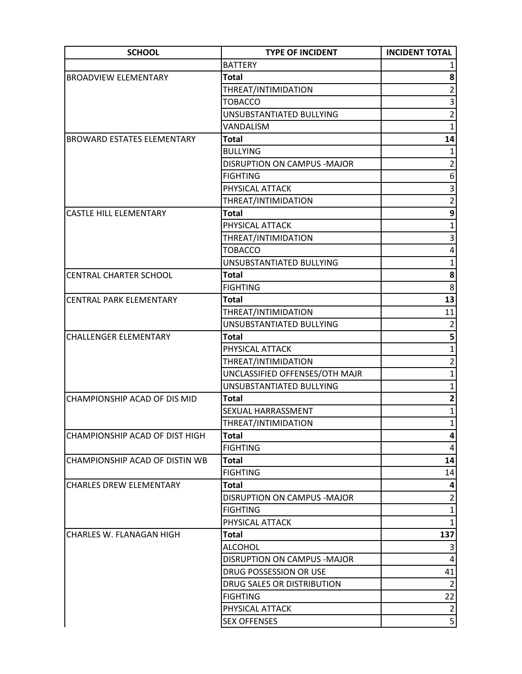| <b>SCHOOL</b>                     | <b>TYPE OF INCIDENT</b>            | <b>INCIDENT TOTAL</b>    |
|-----------------------------------|------------------------------------|--------------------------|
|                                   | <b>BATTERY</b>                     |                          |
| <b>BROADVIEW ELEMENTARY</b>       | <b>Total</b>                       | 8                        |
|                                   | THREAT/INTIMIDATION                | $\overline{2}$           |
|                                   | <b>TOBACCO</b>                     | 3                        |
|                                   | UNSUBSTANTIATED BULLYING           | $\overline{2}$           |
|                                   | VANDALISM                          | $\mathbf{1}$             |
| <b>BROWARD ESTATES ELEMENTARY</b> | <b>Total</b>                       | 14                       |
|                                   | <b>BULLYING</b>                    | $\mathbf{1}$             |
|                                   | DISRUPTION ON CAMPUS - MAJOR       | $\overline{2}$           |
|                                   | <b>FIGHTING</b>                    | 6                        |
|                                   | PHYSICAL ATTACK                    | 3                        |
|                                   | THREAT/INTIMIDATION                | $\overline{2}$           |
| <b>CASTLE HILL ELEMENTARY</b>     | <b>Total</b>                       | 9                        |
|                                   | PHYSICAL ATTACK                    | $\mathbf{1}$             |
|                                   | THREAT/INTIMIDATION                | $\overline{3}$           |
|                                   | <b>TOBACCO</b>                     | 4                        |
|                                   | UNSUBSTANTIATED BULLYING           | $\mathbf{1}$             |
| <b>CENTRAL CHARTER SCHOOL</b>     | <b>Total</b>                       | 8                        |
|                                   | <b>FIGHTING</b>                    | 8                        |
| <b>CENTRAL PARK ELEMENTARY</b>    | <b>Total</b>                       | 13                       |
|                                   | THREAT/INTIMIDATION                | 11                       |
|                                   | UNSUBSTANTIATED BULLYING           | $\overline{2}$           |
| <b>CHALLENGER ELEMENTARY</b>      | <b>Total</b>                       | 5                        |
|                                   | PHYSICAL ATTACK                    | $\mathbf{1}$             |
|                                   | THREAT/INTIMIDATION                | $\overline{2}$           |
|                                   | UNCLASSIFIED OFFENSES/OTH MAJR     | $\mathbf 1$              |
|                                   | UNSUBSTANTIATED BULLYING           | $\overline{1}$           |
| CHAMPIONSHIP ACAD OF DIS MID      | <b>Total</b>                       | $\mathbf{2}$             |
|                                   | SEXUAL HARRASSMENT                 | $\mathbf{1}$             |
|                                   | THREAT/INTIMIDATION                | $1\vert$                 |
| CHAMPIONSHIP ACAD OF DIST HIGH    | <b>Total</b>                       | $\vert \mathbf{a} \vert$ |
|                                   | <b>FIGHTING</b>                    | 4                        |
| CHAMPIONSHIP ACAD OF DISTIN WB    | <b>Total</b>                       | 14                       |
|                                   | <b>FIGHTING</b>                    | 14                       |
| <b>CHARLES DREW ELEMENTARY</b>    | <b>Total</b>                       | 4                        |
|                                   | DISRUPTION ON CAMPUS - MAJOR       | $\overline{2}$           |
|                                   | <b>FIGHTING</b>                    | $\mathbf 1$              |
|                                   | PHYSICAL ATTACK                    | $\mathbf{1}$             |
| CHARLES W. FLANAGAN HIGH          | <b>Total</b>                       | 137                      |
|                                   | <b>ALCOHOL</b>                     | 3                        |
|                                   | <b>DISRUPTION ON CAMPUS -MAJOR</b> | 4                        |
|                                   | DRUG POSSESSION OR USE             | 41                       |
|                                   | DRUG SALES OR DISTRIBUTION         | $\overline{2}$           |
|                                   | <b>FIGHTING</b>                    | 22                       |
|                                   | PHYSICAL ATTACK                    | $\overline{2}$           |
|                                   | <b>SEX OFFENSES</b>                | $\overline{5}$           |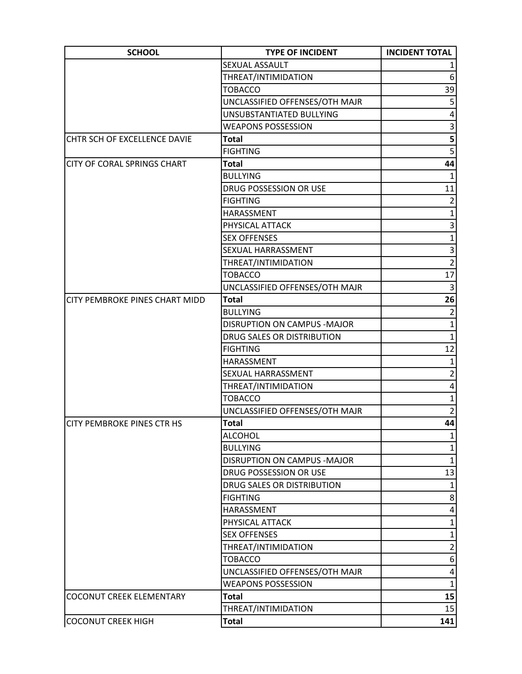| <b>SCHOOL</b>                         | <b>TYPE OF INCIDENT</b>        | <b>INCIDENT TOTAL</b> |
|---------------------------------------|--------------------------------|-----------------------|
|                                       | SEXUAL ASSAULT                 |                       |
|                                       | THREAT/INTIMIDATION            | $6 \mid$              |
|                                       | <b>TOBACCO</b>                 | 39                    |
|                                       | UNCLASSIFIED OFFENSES/OTH MAJR | 5                     |
|                                       | UNSUBSTANTIATED BULLYING       | 4                     |
|                                       | <b>WEAPONS POSSESSION</b>      | $\overline{3}$        |
| CHTR SCH OF EXCELLENCE DAVIE          | <b>Total</b>                   | 5 <sup>1</sup>        |
|                                       | <b>FIGHTING</b>                | 5 <sup>1</sup>        |
| <b>CITY OF CORAL SPRINGS CHART</b>    | <b>Total</b>                   | 44                    |
|                                       | <b>BULLYING</b>                | 1                     |
|                                       | DRUG POSSESSION OR USE         | 11                    |
|                                       | <b>FIGHTING</b>                | $\overline{2}$        |
|                                       | HARASSMENT                     | $\mathbf{1}$          |
|                                       | PHYSICAL ATTACK                | $\overline{3}$        |
|                                       | <b>SEX OFFENSES</b>            | $\overline{1}$        |
|                                       | SEXUAL HARRASSMENT             | $\vert 3 \vert$       |
|                                       | THREAT/INTIMIDATION            | $\overline{2}$        |
|                                       | <b>TOBACCO</b>                 | 17                    |
|                                       | UNCLASSIFIED OFFENSES/OTH MAJR | $\overline{3}$        |
| <b>CITY PEMBROKE PINES CHART MIDD</b> | <b>Total</b>                   | 26                    |
|                                       | <b>BULLYING</b>                | $\overline{2}$        |
|                                       | DISRUPTION ON CAMPUS - MAJOR   | $\mathbf{1}$          |
|                                       | DRUG SALES OR DISTRIBUTION     | $\mathbf{1}$          |
|                                       | <b>FIGHTING</b>                | 12                    |
|                                       | HARASSMENT                     | $\mathbf{1}$          |
|                                       | SEXUAL HARRASSMENT             | $\overline{2}$        |
|                                       | THREAT/INTIMIDATION            | 4                     |
|                                       | <b>TOBACCO</b>                 | $\mathbf{1}$          |
|                                       | UNCLASSIFIED OFFENSES/OTH MAJR | $\overline{2}$        |
| CITY PEMBROKE PINES CTR HS            | <b>Total</b>                   | 44                    |
|                                       | <b>ALCOHOL</b>                 | $\mathbf{1}$          |
|                                       | <b>BULLYING</b>                | $\mathbf{1}$          |
|                                       | DISRUPTION ON CAMPUS -MAJOR    | $\mathbf{1}$          |
|                                       | DRUG POSSESSION OR USE         | 13                    |
|                                       | DRUG SALES OR DISTRIBUTION     | 1                     |
|                                       | <b>FIGHTING</b>                | 8 <sup>1</sup>        |
|                                       | HARASSMENT                     | 4                     |
|                                       | PHYSICAL ATTACK                | 1                     |
|                                       | <b>SEX OFFENSES</b>            | 1                     |
|                                       | THREAT/INTIMIDATION            | $\overline{2}$        |
|                                       | <b>TOBACCO</b>                 | 6                     |
|                                       | UNCLASSIFIED OFFENSES/OTH MAJR | 4                     |
|                                       | <b>WEAPONS POSSESSION</b>      | $\mathbf{1}$          |
| <b>COCONUT CREEK ELEMENTARY</b>       | <b>Total</b>                   | 15                    |
|                                       | THREAT/INTIMIDATION            | 15                    |
| COCONUT CREEK HIGH                    | <b>Total</b>                   | 141                   |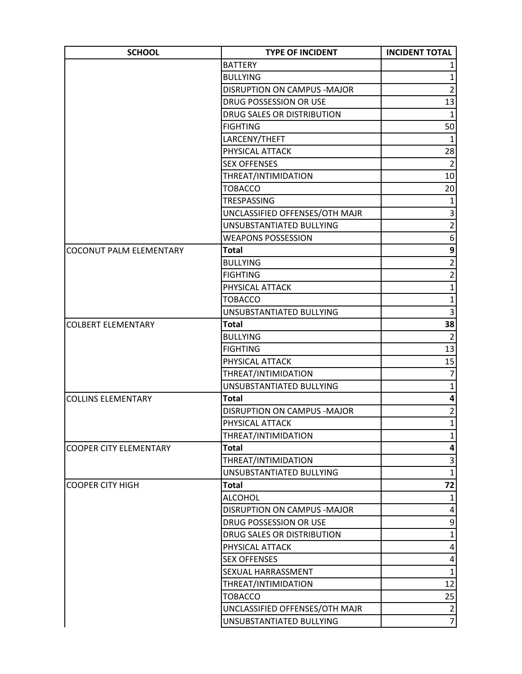| <b>SCHOOL</b>                  | <b>TYPE OF INCIDENT</b>            | <b>INCIDENT TOTAL</b>   |
|--------------------------------|------------------------------------|-------------------------|
|                                | <b>BATTERY</b>                     |                         |
|                                | <b>BULLYING</b>                    | $\mathbf{1}$            |
|                                | <b>DISRUPTION ON CAMPUS -MAJOR</b> | $\overline{2}$          |
|                                | DRUG POSSESSION OR USE             | 13                      |
|                                | DRUG SALES OR DISTRIBUTION         | $1\vert$                |
|                                | <b>FIGHTING</b>                    | 50                      |
|                                | LARCENY/THEFT                      | $\mathbf{1}$            |
|                                | PHYSICAL ATTACK                    | 28                      |
|                                | <b>SEX OFFENSES</b>                | $\overline{2}$          |
|                                | THREAT/INTIMIDATION                | 10                      |
|                                | <b>TOBACCO</b>                     | 20                      |
|                                | TRESPASSING                        | $\mathbf{1}$            |
|                                | UNCLASSIFIED OFFENSES/OTH MAJR     | $\overline{3}$          |
|                                | UNSUBSTANTIATED BULLYING           | $\overline{2}$          |
|                                | <b>WEAPONS POSSESSION</b>          | 6                       |
| <b>COCONUT PALM ELEMENTARY</b> | <b>Total</b>                       | 9                       |
|                                | <b>BULLYING</b>                    | $\overline{2}$          |
|                                | <b>FIGHTING</b>                    | $\overline{2}$          |
|                                | PHYSICAL ATTACK                    | $\mathbf{1}$            |
|                                | <b>TOBACCO</b>                     | $\mathbf{1}$            |
|                                | UNSUBSTANTIATED BULLYING           | 3                       |
| <b>COLBERT ELEMENTARY</b>      | <b>Total</b>                       | 38                      |
|                                | <b>BULLYING</b>                    | $\overline{2}$          |
|                                | <b>FIGHTING</b>                    | 13                      |
|                                | PHYSICAL ATTACK                    | 15                      |
|                                | THREAT/INTIMIDATION                | $\overline{7}$          |
|                                | UNSUBSTANTIATED BULLYING           | $\mathbf{1}$            |
| <b>COLLINS ELEMENTARY</b>      | <b>Total</b>                       | 4                       |
|                                | DISRUPTION ON CAMPUS - MAJOR       | $\overline{2}$          |
|                                | PHYSICAL ATTACK                    | $\mathbf{1}$            |
|                                | THREAT/INTIMIDATION                | $\mathbf{1}$            |
| <b>COOPER CITY ELEMENTARY</b>  | <b>Total</b>                       | 4                       |
|                                | THREAT/INTIMIDATION                | 3                       |
|                                | UNSUBSTANTIATED BULLYING           | $\mathbf{1}$            |
| <b>COOPER CITY HIGH</b>        | <b>Total</b>                       | 72                      |
|                                | <b>ALCOHOL</b>                     | $\mathbf{1}$            |
|                                | DISRUPTION ON CAMPUS - MAJOR       | 4                       |
|                                | DRUG POSSESSION OR USE             | 9                       |
|                                | DRUG SALES OR DISTRIBUTION         | $\mathbf{1}$            |
|                                | PHYSICAL ATTACK                    | 4                       |
|                                | <b>SEX OFFENSES</b>                | $\pmb{4}$               |
|                                | SEXUAL HARRASSMENT                 | $\overline{1}$          |
|                                | THREAT/INTIMIDATION                | 12                      |
|                                | <b>TOBACCO</b>                     | 25                      |
|                                | UNCLASSIFIED OFFENSES/OTH MAJR     | $\overline{\mathbf{c}}$ |
|                                | UNSUBSTANTIATED BULLYING           | $\overline{7}$          |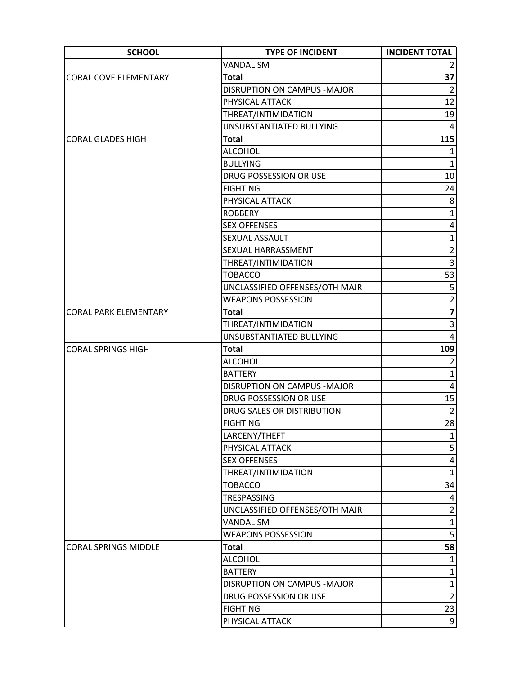| <b>SCHOOL</b>                | <b>TYPE OF INCIDENT</b>        | <b>INCIDENT TOTAL</b> |
|------------------------------|--------------------------------|-----------------------|
|                              | VANDALISM                      | 2                     |
| <b>CORAL COVE ELEMENTARY</b> | <b>Total</b>                   | 37                    |
|                              | DISRUPTION ON CAMPUS - MAJOR   | $\overline{2}$        |
|                              | PHYSICAL ATTACK                | 12                    |
|                              | THREAT/INTIMIDATION            | 19                    |
|                              | UNSUBSTANTIATED BULLYING       | 4                     |
| <b>CORAL GLADES HIGH</b>     | Total                          | 115                   |
|                              | <b>ALCOHOL</b>                 | $1\vert$              |
|                              | <b>BULLYING</b>                | $\mathbf{1}$          |
|                              | DRUG POSSESSION OR USE         | 10                    |
|                              | <b>FIGHTING</b>                | 24                    |
|                              | PHYSICAL ATTACK                | 8                     |
|                              | <b>ROBBERY</b>                 | $\mathbf{1}$          |
|                              | <b>SEX OFFENSES</b>            | 4                     |
|                              | SEXUAL ASSAULT                 | $\mathbf{1}$          |
|                              | SEXUAL HARRASSMENT             | $\overline{2}$        |
|                              | THREAT/INTIMIDATION            | 3                     |
|                              | <b>TOBACCO</b>                 | 53                    |
|                              | UNCLASSIFIED OFFENSES/OTH MAJR | 5                     |
|                              | <b>WEAPONS POSSESSION</b>      | $\overline{2}$        |
| <b>CORAL PARK ELEMENTARY</b> | <b>Total</b>                   |                       |
|                              | THREAT/INTIMIDATION            | 3                     |
|                              | UNSUBSTANTIATED BULLYING       | 4                     |
| <b>CORAL SPRINGS HIGH</b>    | <b>Total</b>                   | 109                   |
|                              | <b>ALCOHOL</b>                 | $\overline{2}$        |
|                              | <b>BATTERY</b>                 | $\mathbf{1}$          |
|                              | DISRUPTION ON CAMPUS - MAJOR   | 4                     |
|                              | DRUG POSSESSION OR USE         | 15                    |
|                              | DRUG SALES OR DISTRIBUTION     | $\overline{2}$        |
|                              | <b>FIGHTING</b>                | 28                    |
|                              | LARCENY/THEFT                  | $1\vert$              |
|                              | PHYSICAL ATTACK                | 5                     |
|                              | <b>SEX OFFENSES</b>            | 4                     |
|                              | THREAT/INTIMIDATION            | $\mathbf{1}$          |
|                              | <b>TOBACCO</b>                 | 34                    |
|                              | TRESPASSING                    | 4                     |
|                              | UNCLASSIFIED OFFENSES/OTH MAJR | $\overline{2}$        |
|                              | VANDALISM                      | $\mathbf{1}$          |
|                              | <b>WEAPONS POSSESSION</b>      | 5 <sup>1</sup>        |
| <b>CORAL SPRINGS MIDDLE</b>  | Total                          | 58                    |
|                              | <b>ALCOHOL</b>                 | $\mathbf{1}$          |
|                              | <b>BATTERY</b>                 | $\mathbf{1}$          |
|                              | DISRUPTION ON CAMPUS - MAJOR   | $\mathbf 1$           |
|                              | DRUG POSSESSION OR USE         | $\overline{2}$        |
|                              | <b>FIGHTING</b>                | 23                    |
|                              | PHYSICAL ATTACK                | $\overline{9}$        |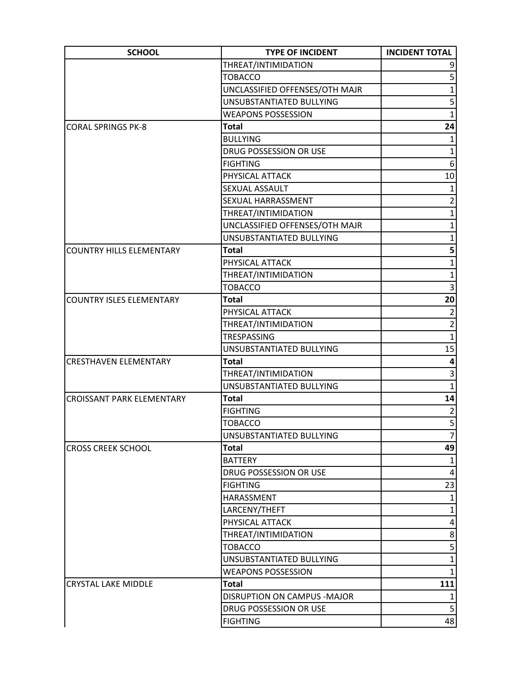| THREAT/INTIMIDATION<br>5<br><b>TOBACCO</b><br>$\mathbf{1}$<br>UNCLASSIFIED OFFENSES/OTH MAJR<br>5<br>UNSUBSTANTIATED BULLYING<br>$\mathbf{1}$<br><b>WEAPONS POSSESSION</b><br>24<br><b>CORAL SPRINGS PK-8</b><br><b>Total</b><br><b>BULLYING</b><br>1<br>$\mathbf{1}$<br>DRUG POSSESSION OR USE<br>6<br><b>FIGHTING</b><br>$10\,$<br>PHYSICAL ATTACK<br>$\mathbf{1}$<br>SEXUAL ASSAULT<br>$\overline{2}$<br>SEXUAL HARRASSMENT<br>$\mathbf{1}$<br>THREAT/INTIMIDATION<br>UNCLASSIFIED OFFENSES/OTH MAJR<br>1<br>UNSUBSTANTIATED BULLYING<br>$\mathbf{1}$<br>5<br><b>Total</b><br><b>COUNTRY HILLS ELEMENTARY</b><br>$\mathbf{1}$<br>PHYSICAL ATTACK<br>$\mathbf{1}$<br>THREAT/INTIMIDATION<br>3<br><b>TOBACCO</b><br>20<br><b>COUNTRY ISLES ELEMENTARY</b><br><b>Total</b><br>$\overline{2}$<br>PHYSICAL ATTACK<br>$\overline{2}$<br>THREAT/INTIMIDATION<br>$\mathbf{1}$<br>TRESPASSING<br>15<br>UNSUBSTANTIATED BULLYING<br>$\overline{\mathbf{4}}$<br><b>Total</b><br><b>CRESTHAVEN ELEMENTARY</b><br>3<br>THREAT/INTIMIDATION<br>$\mathbf{1}$<br>UNSUBSTANTIATED BULLYING<br><b>Total</b><br><b>CROISSANT PARK ELEMENTARY</b><br>$\overline{2}$<br><b>FIGHTING</b><br><b>TOBACCO</b><br>UNSUBSTANTIATED BULLYING<br>7<br>49<br><b>CROSS CREEK SCHOOL</b><br>Total<br><b>BATTERY</b><br>1<br>DRUG POSSESSION OR USE<br>23<br><b>FIGHTING</b><br>HARASSMENT<br>$\mathbf{1}$<br>$\mathbf{1}$<br>LARCENY/THEFT<br>PHYSICAL ATTACK<br>4<br>THREAT/INTIMIDATION<br>8<br><b>TOBACCO</b><br>$\mathbf{1}$<br>UNSUBSTANTIATED BULLYING<br>$\mathbf{1}$<br><b>WEAPONS POSSESSION</b><br>111<br><b>CRYSTAL LAKE MIDDLE</b><br>Total<br>DISRUPTION ON CAMPUS - MAJOR<br>$\mathbf{1}$<br>5<br>DRUG POSSESSION OR USE<br><b>FIGHTING</b> | <b>SCHOOL</b> | <b>TYPE OF INCIDENT</b> | <b>INCIDENT TOTAL</b> |
|------------------------------------------------------------------------------------------------------------------------------------------------------------------------------------------------------------------------------------------------------------------------------------------------------------------------------------------------------------------------------------------------------------------------------------------------------------------------------------------------------------------------------------------------------------------------------------------------------------------------------------------------------------------------------------------------------------------------------------------------------------------------------------------------------------------------------------------------------------------------------------------------------------------------------------------------------------------------------------------------------------------------------------------------------------------------------------------------------------------------------------------------------------------------------------------------------------------------------------------------------------------------------------------------------------------------------------------------------------------------------------------------------------------------------------------------------------------------------------------------------------------------------------------------------------------------------------------------------------------------------------------------------------------------------------------------------------------------------|---------------|-------------------------|-----------------------|
|                                                                                                                                                                                                                                                                                                                                                                                                                                                                                                                                                                                                                                                                                                                                                                                                                                                                                                                                                                                                                                                                                                                                                                                                                                                                                                                                                                                                                                                                                                                                                                                                                                                                                                                              |               |                         |                       |
|                                                                                                                                                                                                                                                                                                                                                                                                                                                                                                                                                                                                                                                                                                                                                                                                                                                                                                                                                                                                                                                                                                                                                                                                                                                                                                                                                                                                                                                                                                                                                                                                                                                                                                                              |               |                         |                       |
|                                                                                                                                                                                                                                                                                                                                                                                                                                                                                                                                                                                                                                                                                                                                                                                                                                                                                                                                                                                                                                                                                                                                                                                                                                                                                                                                                                                                                                                                                                                                                                                                                                                                                                                              |               |                         |                       |
|                                                                                                                                                                                                                                                                                                                                                                                                                                                                                                                                                                                                                                                                                                                                                                                                                                                                                                                                                                                                                                                                                                                                                                                                                                                                                                                                                                                                                                                                                                                                                                                                                                                                                                                              |               |                         |                       |
|                                                                                                                                                                                                                                                                                                                                                                                                                                                                                                                                                                                                                                                                                                                                                                                                                                                                                                                                                                                                                                                                                                                                                                                                                                                                                                                                                                                                                                                                                                                                                                                                                                                                                                                              |               |                         |                       |
|                                                                                                                                                                                                                                                                                                                                                                                                                                                                                                                                                                                                                                                                                                                                                                                                                                                                                                                                                                                                                                                                                                                                                                                                                                                                                                                                                                                                                                                                                                                                                                                                                                                                                                                              |               |                         |                       |
|                                                                                                                                                                                                                                                                                                                                                                                                                                                                                                                                                                                                                                                                                                                                                                                                                                                                                                                                                                                                                                                                                                                                                                                                                                                                                                                                                                                                                                                                                                                                                                                                                                                                                                                              |               |                         |                       |
|                                                                                                                                                                                                                                                                                                                                                                                                                                                                                                                                                                                                                                                                                                                                                                                                                                                                                                                                                                                                                                                                                                                                                                                                                                                                                                                                                                                                                                                                                                                                                                                                                                                                                                                              |               |                         |                       |
|                                                                                                                                                                                                                                                                                                                                                                                                                                                                                                                                                                                                                                                                                                                                                                                                                                                                                                                                                                                                                                                                                                                                                                                                                                                                                                                                                                                                                                                                                                                                                                                                                                                                                                                              |               |                         |                       |
|                                                                                                                                                                                                                                                                                                                                                                                                                                                                                                                                                                                                                                                                                                                                                                                                                                                                                                                                                                                                                                                                                                                                                                                                                                                                                                                                                                                                                                                                                                                                                                                                                                                                                                                              |               |                         |                       |
|                                                                                                                                                                                                                                                                                                                                                                                                                                                                                                                                                                                                                                                                                                                                                                                                                                                                                                                                                                                                                                                                                                                                                                                                                                                                                                                                                                                                                                                                                                                                                                                                                                                                                                                              |               |                         |                       |
|                                                                                                                                                                                                                                                                                                                                                                                                                                                                                                                                                                                                                                                                                                                                                                                                                                                                                                                                                                                                                                                                                                                                                                                                                                                                                                                                                                                                                                                                                                                                                                                                                                                                                                                              |               |                         |                       |
|                                                                                                                                                                                                                                                                                                                                                                                                                                                                                                                                                                                                                                                                                                                                                                                                                                                                                                                                                                                                                                                                                                                                                                                                                                                                                                                                                                                                                                                                                                                                                                                                                                                                                                                              |               |                         |                       |
|                                                                                                                                                                                                                                                                                                                                                                                                                                                                                                                                                                                                                                                                                                                                                                                                                                                                                                                                                                                                                                                                                                                                                                                                                                                                                                                                                                                                                                                                                                                                                                                                                                                                                                                              |               |                         |                       |
|                                                                                                                                                                                                                                                                                                                                                                                                                                                                                                                                                                                                                                                                                                                                                                                                                                                                                                                                                                                                                                                                                                                                                                                                                                                                                                                                                                                                                                                                                                                                                                                                                                                                                                                              |               |                         |                       |
|                                                                                                                                                                                                                                                                                                                                                                                                                                                                                                                                                                                                                                                                                                                                                                                                                                                                                                                                                                                                                                                                                                                                                                                                                                                                                                                                                                                                                                                                                                                                                                                                                                                                                                                              |               |                         |                       |
|                                                                                                                                                                                                                                                                                                                                                                                                                                                                                                                                                                                                                                                                                                                                                                                                                                                                                                                                                                                                                                                                                                                                                                                                                                                                                                                                                                                                                                                                                                                                                                                                                                                                                                                              |               |                         |                       |
|                                                                                                                                                                                                                                                                                                                                                                                                                                                                                                                                                                                                                                                                                                                                                                                                                                                                                                                                                                                                                                                                                                                                                                                                                                                                                                                                                                                                                                                                                                                                                                                                                                                                                                                              |               |                         |                       |
|                                                                                                                                                                                                                                                                                                                                                                                                                                                                                                                                                                                                                                                                                                                                                                                                                                                                                                                                                                                                                                                                                                                                                                                                                                                                                                                                                                                                                                                                                                                                                                                                                                                                                                                              |               |                         |                       |
|                                                                                                                                                                                                                                                                                                                                                                                                                                                                                                                                                                                                                                                                                                                                                                                                                                                                                                                                                                                                                                                                                                                                                                                                                                                                                                                                                                                                                                                                                                                                                                                                                                                                                                                              |               |                         |                       |
|                                                                                                                                                                                                                                                                                                                                                                                                                                                                                                                                                                                                                                                                                                                                                                                                                                                                                                                                                                                                                                                                                                                                                                                                                                                                                                                                                                                                                                                                                                                                                                                                                                                                                                                              |               |                         |                       |
|                                                                                                                                                                                                                                                                                                                                                                                                                                                                                                                                                                                                                                                                                                                                                                                                                                                                                                                                                                                                                                                                                                                                                                                                                                                                                                                                                                                                                                                                                                                                                                                                                                                                                                                              |               |                         |                       |
|                                                                                                                                                                                                                                                                                                                                                                                                                                                                                                                                                                                                                                                                                                                                                                                                                                                                                                                                                                                                                                                                                                                                                                                                                                                                                                                                                                                                                                                                                                                                                                                                                                                                                                                              |               |                         |                       |
|                                                                                                                                                                                                                                                                                                                                                                                                                                                                                                                                                                                                                                                                                                                                                                                                                                                                                                                                                                                                                                                                                                                                                                                                                                                                                                                                                                                                                                                                                                                                                                                                                                                                                                                              |               |                         |                       |
|                                                                                                                                                                                                                                                                                                                                                                                                                                                                                                                                                                                                                                                                                                                                                                                                                                                                                                                                                                                                                                                                                                                                                                                                                                                                                                                                                                                                                                                                                                                                                                                                                                                                                                                              |               |                         |                       |
|                                                                                                                                                                                                                                                                                                                                                                                                                                                                                                                                                                                                                                                                                                                                                                                                                                                                                                                                                                                                                                                                                                                                                                                                                                                                                                                                                                                                                                                                                                                                                                                                                                                                                                                              |               |                         |                       |
|                                                                                                                                                                                                                                                                                                                                                                                                                                                                                                                                                                                                                                                                                                                                                                                                                                                                                                                                                                                                                                                                                                                                                                                                                                                                                                                                                                                                                                                                                                                                                                                                                                                                                                                              |               |                         |                       |
|                                                                                                                                                                                                                                                                                                                                                                                                                                                                                                                                                                                                                                                                                                                                                                                                                                                                                                                                                                                                                                                                                                                                                                                                                                                                                                                                                                                                                                                                                                                                                                                                                                                                                                                              |               |                         | 14                    |
|                                                                                                                                                                                                                                                                                                                                                                                                                                                                                                                                                                                                                                                                                                                                                                                                                                                                                                                                                                                                                                                                                                                                                                                                                                                                                                                                                                                                                                                                                                                                                                                                                                                                                                                              |               |                         |                       |
|                                                                                                                                                                                                                                                                                                                                                                                                                                                                                                                                                                                                                                                                                                                                                                                                                                                                                                                                                                                                                                                                                                                                                                                                                                                                                                                                                                                                                                                                                                                                                                                                                                                                                                                              |               |                         | 5 <sup>1</sup>        |
|                                                                                                                                                                                                                                                                                                                                                                                                                                                                                                                                                                                                                                                                                                                                                                                                                                                                                                                                                                                                                                                                                                                                                                                                                                                                                                                                                                                                                                                                                                                                                                                                                                                                                                                              |               |                         |                       |
|                                                                                                                                                                                                                                                                                                                                                                                                                                                                                                                                                                                                                                                                                                                                                                                                                                                                                                                                                                                                                                                                                                                                                                                                                                                                                                                                                                                                                                                                                                                                                                                                                                                                                                                              |               |                         |                       |
|                                                                                                                                                                                                                                                                                                                                                                                                                                                                                                                                                                                                                                                                                                                                                                                                                                                                                                                                                                                                                                                                                                                                                                                                                                                                                                                                                                                                                                                                                                                                                                                                                                                                                                                              |               |                         |                       |
|                                                                                                                                                                                                                                                                                                                                                                                                                                                                                                                                                                                                                                                                                                                                                                                                                                                                                                                                                                                                                                                                                                                                                                                                                                                                                                                                                                                                                                                                                                                                                                                                                                                                                                                              |               |                         | $\vert 4 \vert$       |
|                                                                                                                                                                                                                                                                                                                                                                                                                                                                                                                                                                                                                                                                                                                                                                                                                                                                                                                                                                                                                                                                                                                                                                                                                                                                                                                                                                                                                                                                                                                                                                                                                                                                                                                              |               |                         |                       |
|                                                                                                                                                                                                                                                                                                                                                                                                                                                                                                                                                                                                                                                                                                                                                                                                                                                                                                                                                                                                                                                                                                                                                                                                                                                                                                                                                                                                                                                                                                                                                                                                                                                                                                                              |               |                         |                       |
|                                                                                                                                                                                                                                                                                                                                                                                                                                                                                                                                                                                                                                                                                                                                                                                                                                                                                                                                                                                                                                                                                                                                                                                                                                                                                                                                                                                                                                                                                                                                                                                                                                                                                                                              |               |                         |                       |
|                                                                                                                                                                                                                                                                                                                                                                                                                                                                                                                                                                                                                                                                                                                                                                                                                                                                                                                                                                                                                                                                                                                                                                                                                                                                                                                                                                                                                                                                                                                                                                                                                                                                                                                              |               |                         |                       |
|                                                                                                                                                                                                                                                                                                                                                                                                                                                                                                                                                                                                                                                                                                                                                                                                                                                                                                                                                                                                                                                                                                                                                                                                                                                                                                                                                                                                                                                                                                                                                                                                                                                                                                                              |               |                         |                       |
|                                                                                                                                                                                                                                                                                                                                                                                                                                                                                                                                                                                                                                                                                                                                                                                                                                                                                                                                                                                                                                                                                                                                                                                                                                                                                                                                                                                                                                                                                                                                                                                                                                                                                                                              |               |                         | $\mathsf{S}$          |
|                                                                                                                                                                                                                                                                                                                                                                                                                                                                                                                                                                                                                                                                                                                                                                                                                                                                                                                                                                                                                                                                                                                                                                                                                                                                                                                                                                                                                                                                                                                                                                                                                                                                                                                              |               |                         |                       |
|                                                                                                                                                                                                                                                                                                                                                                                                                                                                                                                                                                                                                                                                                                                                                                                                                                                                                                                                                                                                                                                                                                                                                                                                                                                                                                                                                                                                                                                                                                                                                                                                                                                                                                                              |               |                         |                       |
|                                                                                                                                                                                                                                                                                                                                                                                                                                                                                                                                                                                                                                                                                                                                                                                                                                                                                                                                                                                                                                                                                                                                                                                                                                                                                                                                                                                                                                                                                                                                                                                                                                                                                                                              |               |                         |                       |
|                                                                                                                                                                                                                                                                                                                                                                                                                                                                                                                                                                                                                                                                                                                                                                                                                                                                                                                                                                                                                                                                                                                                                                                                                                                                                                                                                                                                                                                                                                                                                                                                                                                                                                                              |               |                         |                       |
|                                                                                                                                                                                                                                                                                                                                                                                                                                                                                                                                                                                                                                                                                                                                                                                                                                                                                                                                                                                                                                                                                                                                                                                                                                                                                                                                                                                                                                                                                                                                                                                                                                                                                                                              |               |                         |                       |
|                                                                                                                                                                                                                                                                                                                                                                                                                                                                                                                                                                                                                                                                                                                                                                                                                                                                                                                                                                                                                                                                                                                                                                                                                                                                                                                                                                                                                                                                                                                                                                                                                                                                                                                              |               |                         | 48                    |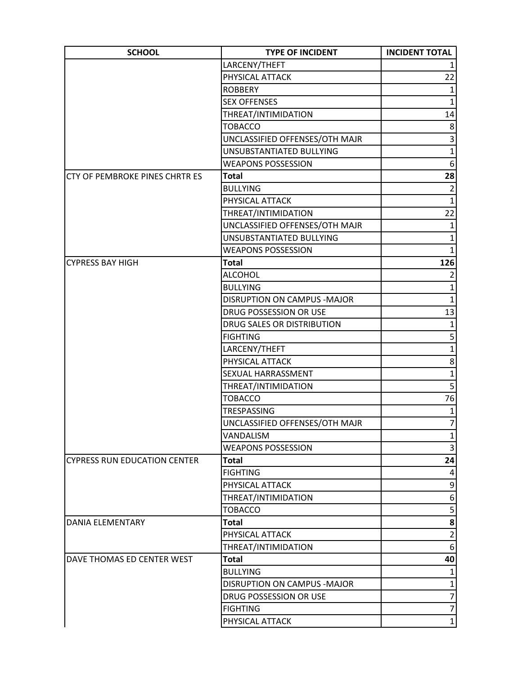| <b>SCHOOL</b>                       | <b>TYPE OF INCIDENT</b>        | <b>INCIDENT TOTAL</b>   |
|-------------------------------------|--------------------------------|-------------------------|
|                                     | LARCENY/THEFT                  |                         |
|                                     | PHYSICAL ATTACK                | 22                      |
|                                     | <b>ROBBERY</b>                 | $\mathbf{1}$            |
|                                     | <b>SEX OFFENSES</b>            | $\mathbf{1}$            |
|                                     | THREAT/INTIMIDATION            | 14                      |
|                                     | <b>TOBACCO</b>                 | 8                       |
|                                     | UNCLASSIFIED OFFENSES/OTH MAJR | 3                       |
|                                     | UNSUBSTANTIATED BULLYING       | $\mathbf{1}$            |
|                                     | <b>WEAPONS POSSESSION</b>      | 6                       |
| CTY OF PEMBROKE PINES CHRTR ES      | <b>Total</b>                   | 28                      |
|                                     | <b>BULLYING</b>                | $\overline{2}$          |
|                                     | PHYSICAL ATTACK                | $\mathbf{1}$            |
|                                     | THREAT/INTIMIDATION            | 22                      |
|                                     | UNCLASSIFIED OFFENSES/OTH MAJR | 1                       |
|                                     | UNSUBSTANTIATED BULLYING       | $\mathbf{1}$            |
|                                     | <b>WEAPONS POSSESSION</b>      | $\mathbf{1}$            |
| <b>CYPRESS BAY HIGH</b>             | <b>Total</b>                   | 126                     |
|                                     | <b>ALCOHOL</b>                 | $\overline{2}$          |
|                                     | <b>BULLYING</b>                | $\mathbf{1}$            |
|                                     | DISRUPTION ON CAMPUS - MAJOR   | $\mathbf{1}$            |
|                                     | DRUG POSSESSION OR USE         | 13                      |
|                                     | DRUG SALES OR DISTRIBUTION     | $\mathbf{1}$            |
|                                     | <b>FIGHTING</b>                | 5                       |
|                                     | LARCENY/THEFT                  | $\mathbf{1}$            |
|                                     | PHYSICAL ATTACK                | 8                       |
|                                     | SEXUAL HARRASSMENT             | $\mathbf{1}$            |
|                                     | THREAT/INTIMIDATION            | 5 <sup>2</sup>          |
|                                     | <b>TOBACCO</b>                 | 76                      |
|                                     | <b>TRESPASSING</b>             | $\mathbf{1}$            |
|                                     | UNCLASSIFIED OFFENSES/OTH MAJR | $\overline{7}$          |
|                                     | VANDALISM                      | $\mathbf{1}$            |
|                                     | <b>WEAPONS POSSESSION</b>      | 3                       |
| <b>CYPRESS RUN EDUCATION CENTER</b> | <b>Total</b>                   | 24                      |
|                                     | <b>FIGHTING</b>                | 4                       |
|                                     | PHYSICAL ATTACK                | 9                       |
|                                     | THREAT/INTIMIDATION            | 6                       |
|                                     | <b>TOBACCO</b>                 | $\overline{\mathbf{5}}$ |
| DANIA ELEMENTARY                    | <b>Total</b>                   | 8                       |
|                                     | PHYSICAL ATTACK                | $\overline{2}$          |
|                                     | THREAT/INTIMIDATION            | 6                       |
| DAVE THOMAS ED CENTER WEST          | <b>Total</b>                   | 40                      |
|                                     | <b>BULLYING</b>                | $\mathbf{1}$            |
|                                     | DISRUPTION ON CAMPUS - MAJOR   | $\mathbf{1}$            |
|                                     | DRUG POSSESSION OR USE         | $\overline{7}$          |
|                                     | <b>FIGHTING</b>                | $\overline{7}$          |
|                                     | PHYSICAL ATTACK                | $1\vert$                |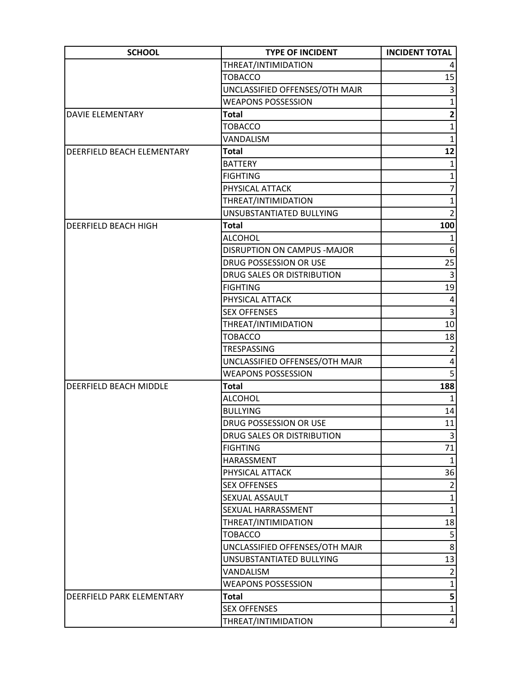| <b>SCHOOL</b>                 | <b>TYPE OF INCIDENT</b>        | <b>INCIDENT TOTAL</b> |
|-------------------------------|--------------------------------|-----------------------|
|                               | THREAT/INTIMIDATION            |                       |
|                               | <b>TOBACCO</b>                 | 15                    |
|                               | UNCLASSIFIED OFFENSES/OTH MAJR | 3                     |
|                               | <b>WEAPONS POSSESSION</b>      | $\mathbf{1}$          |
| <b>DAVIE ELEMENTARY</b>       | Total                          | $\mathbf{2}$          |
|                               | <b>TOBACCO</b>                 | $\mathbf{1}$          |
|                               | VANDALISM                      | 1                     |
| DEERFIELD BEACH ELEMENTARY    | <b>Total</b>                   | 12                    |
|                               | <b>BATTERY</b>                 | $\mathbf{1}$          |
|                               | <b>FIGHTING</b>                | $\mathbf{1}$          |
|                               | PHYSICAL ATTACK                | $\overline{7}$        |
|                               | THREAT/INTIMIDATION            | $\mathbf{1}$          |
|                               | UNSUBSTANTIATED BULLYING       | $\overline{2}$        |
| DEERFIELD BEACH HIGH          | <b>Total</b>                   | 100                   |
|                               | <b>ALCOHOL</b>                 | $\mathbf{1}$          |
|                               | DISRUPTION ON CAMPUS - MAJOR   | 6                     |
|                               | DRUG POSSESSION OR USE         | 25                    |
|                               | DRUG SALES OR DISTRIBUTION     | 3                     |
|                               | <b>FIGHTING</b>                | 19                    |
|                               | PHYSICAL ATTACK                | 4                     |
|                               | <b>SEX OFFENSES</b>            | 3                     |
|                               | THREAT/INTIMIDATION            | 10 <sup>1</sup>       |
|                               | <b>TOBACCO</b>                 | 18                    |
|                               | TRESPASSING                    | $\overline{2}$        |
|                               | UNCLASSIFIED OFFENSES/OTH MAJR | 4                     |
|                               | <b>WEAPONS POSSESSION</b>      | 5                     |
| <b>DEERFIELD BEACH MIDDLE</b> | <b>Total</b>                   | 188                   |
|                               | <b>ALCOHOL</b>                 |                       |
|                               | <b>BULLYING</b>                | 14                    |
|                               | DRUG POSSESSION OR USE         | 11                    |
|                               | DRUG SALES OR DISTRIBUTION     | $\vert 3 \vert$       |
|                               | <b>FIGHTING</b>                | 71                    |
|                               | HARASSMENT                     | $\mathbf{1}$          |
|                               | PHYSICAL ATTACK                | 36                    |
|                               | <b>SEX OFFENSES</b>            | $\overline{2}$        |
|                               | SEXUAL ASSAULT                 | $1\vert$              |
|                               | SEXUAL HARRASSMENT             | $1\vert$              |
|                               | THREAT/INTIMIDATION            | 18                    |
|                               | <b>TOBACCO</b>                 | 5                     |
|                               | UNCLASSIFIED OFFENSES/OTH MAJR | $\mathbf{8}$          |
|                               | UNSUBSTANTIATED BULLYING       | 13                    |
|                               | VANDALISM                      | $\overline{2}$        |
|                               | <b>WEAPONS POSSESSION</b>      | $\mathbf{1}$          |
| DEERFIELD PARK ELEMENTARY     | <b>Total</b>                   | $\mathbf{5}$          |
|                               | <b>SEX OFFENSES</b>            | $1\vert$              |
|                               | THREAT/INTIMIDATION            | $\vert 4 \vert$       |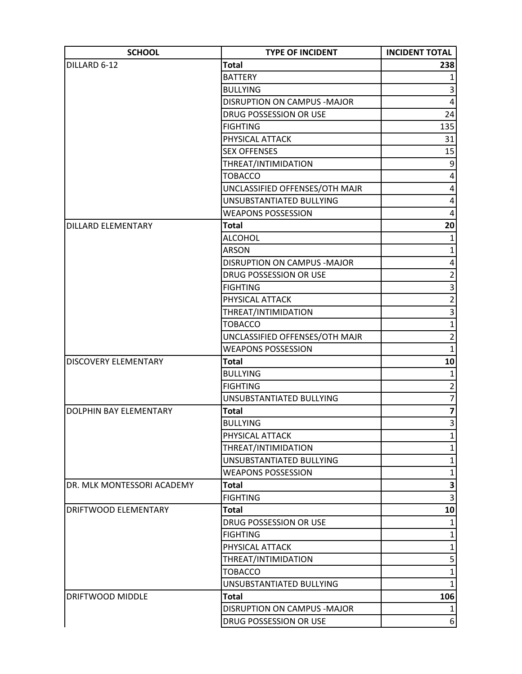| <b>SCHOOL</b>              | <b>TYPE OF INCIDENT</b>            | <b>INCIDENT TOTAL</b>   |
|----------------------------|------------------------------------|-------------------------|
| DILLARD 6-12               | <b>Total</b>                       | 238                     |
|                            | <b>BATTERY</b>                     | 1                       |
|                            | <b>BULLYING</b>                    | 3                       |
|                            | <b>DISRUPTION ON CAMPUS -MAJOR</b> | 4                       |
|                            | DRUG POSSESSION OR USE             | 24                      |
|                            | <b>FIGHTING</b>                    | 135                     |
|                            | PHYSICAL ATTACK                    | 31                      |
|                            | <b>SEX OFFENSES</b>                | 15                      |
|                            | THREAT/INTIMIDATION                | 9                       |
|                            | <b>TOBACCO</b>                     | 4                       |
|                            | UNCLASSIFIED OFFENSES/OTH MAJR     | 4                       |
|                            | UNSUBSTANTIATED BULLYING           | 4                       |
|                            | <b>WEAPONS POSSESSION</b>          | 4                       |
| <b>DILLARD ELEMENTARY</b>  | Total                              | 20                      |
|                            | <b>ALCOHOL</b>                     | $\mathbf{1}$            |
|                            | <b>ARSON</b>                       | $\mathbf{1}$            |
|                            | DISRUPTION ON CAMPUS - MAJOR       | 4                       |
|                            | DRUG POSSESSION OR USE             | $\overline{2}$          |
|                            | <b>FIGHTING</b>                    | 3                       |
|                            | PHYSICAL ATTACK                    | $\overline{2}$          |
|                            | THREAT/INTIMIDATION                | 3                       |
|                            | <b>TOBACCO</b>                     | $\mathbf{1}$            |
|                            | UNCLASSIFIED OFFENSES/OTH MAJR     | $\overline{2}$          |
|                            | <b>WEAPONS POSSESSION</b>          | $\mathbf{1}$            |
| DISCOVERY ELEMENTARY       | <b>Total</b>                       | 10                      |
|                            | <b>BULLYING</b>                    | 1                       |
|                            | <b>FIGHTING</b>                    | $\overline{2}$          |
|                            | UNSUBSTANTIATED BULLYING           | $\overline{7}$          |
| DOLPHIN BAY ELEMENTARY     | Total                              | $\overline{\mathbf{z}}$ |
|                            | <b>BULLYING</b>                    | $\vert 3 \vert$         |
|                            | PHYSICAL ATTACK                    | 1                       |
|                            | THREAT/INTIMIDATION                | $\mathbf{1}$            |
|                            | UNSUBSTANTIATED BULLYING           | $\mathbf{1}$            |
|                            | <b>WEAPONS POSSESSION</b>          | $\mathbf{1}$            |
| DR. MLK MONTESSORI ACADEMY | Total                              | 3                       |
|                            | <b>FIGHTING</b>                    | $\overline{3}$          |
| DRIFTWOOD ELEMENTARY       | <b>Total</b>                       | 10                      |
|                            | DRUG POSSESSION OR USE             | 1                       |
|                            | <b>FIGHTING</b>                    | $\mathbf{1}$            |
|                            | PHYSICAL ATTACK                    | $\mathbf{1}$            |
|                            | THREAT/INTIMIDATION                | 5                       |
|                            | <b>TOBACCO</b>                     | $\mathbf{1}$            |
|                            | UNSUBSTANTIATED BULLYING           | $\mathbf{1}$            |
| DRIFTWOOD MIDDLE           | <b>Total</b>                       | 106                     |
|                            | DISRUPTION ON CAMPUS - MAJOR       |                         |
|                            | DRUG POSSESSION OR USE             | 6 <sup>1</sup>          |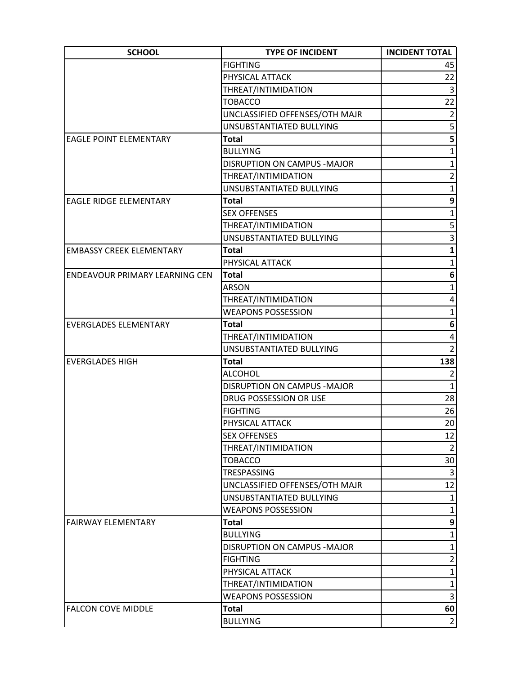| <b>SCHOOL</b>                   | <b>TYPE OF INCIDENT</b>        | <b>INCIDENT TOTAL</b> |
|---------------------------------|--------------------------------|-----------------------|
|                                 | <b>FIGHTING</b>                | 45                    |
|                                 | PHYSICAL ATTACK                | 22                    |
|                                 | THREAT/INTIMIDATION            | $\vert 3 \vert$       |
|                                 | <b>TOBACCO</b>                 | 22                    |
|                                 | UNCLASSIFIED OFFENSES/OTH MAJR | $\mathbf{2}$          |
|                                 | UNSUBSTANTIATED BULLYING       | 5                     |
| <b>EAGLE POINT ELEMENTARY</b>   | <b>Total</b>                   | 5 <sup>1</sup>        |
|                                 | <b>BULLYING</b>                | $\overline{1}$        |
|                                 | DISRUPTION ON CAMPUS - MAJOR   | $\mathbf{1}$          |
|                                 | THREAT/INTIMIDATION            | $\overline{2}$        |
|                                 | UNSUBSTANTIATED BULLYING       | $\mathbf{1}$          |
| <b>EAGLE RIDGE ELEMENTARY</b>   | <b>Total</b>                   | 9                     |
|                                 | <b>SEX OFFENSES</b>            | $\mathbf{1}$          |
|                                 | THREAT/INTIMIDATION            | $\overline{5}$        |
|                                 | UNSUBSTANTIATED BULLYING       | $\overline{3}$        |
| <b>EMBASSY CREEK ELEMENTARY</b> | <b>Total</b>                   | $\mathbf{1}$          |
|                                 | PHYSICAL ATTACK                | $\mathbf{1}$          |
| ENDEAVOUR PRIMARY LEARNING CEN  | <b>Total</b>                   | 6                     |
|                                 | <b>ARSON</b>                   | 1                     |
|                                 | THREAT/INTIMIDATION            | 4                     |
|                                 | <b>WEAPONS POSSESSION</b>      | $\mathbf{1}$          |
| <b>EVERGLADES ELEMENTARY</b>    | <b>Total</b>                   | 6                     |
|                                 | THREAT/INTIMIDATION            | 4                     |
|                                 | UNSUBSTANTIATED BULLYING       | $\overline{2}$        |
| <b>EVERGLADES HIGH</b>          | <b>Total</b>                   | 138                   |
|                                 | <b>ALCOHOL</b>                 | $\overline{2}$        |
|                                 | DISRUPTION ON CAMPUS - MAJOR   | $\mathbf{1}$          |
|                                 | DRUG POSSESSION OR USE         | 28                    |
|                                 | <b>FIGHTING</b>                | 26                    |
|                                 | PHYSICAL ATTACK                | 20                    |
|                                 | <b>SEX OFFENSES</b>            | 12                    |
|                                 | THREAT/INTIMIDATION            | $\overline{2}$        |
|                                 | <b>TOBACCO</b>                 | 30 <sup>°</sup>       |
|                                 | TRESPASSING                    | $\vert 3 \vert$       |
|                                 | UNCLASSIFIED OFFENSES/OTH MAJR | 12                    |
|                                 | UNSUBSTANTIATED BULLYING       | $\mathbf{1}$          |
|                                 | <b>WEAPONS POSSESSION</b>      | $\mathbf{1}$          |
| <b>FAIRWAY ELEMENTARY</b>       | <b>Total</b>                   | $\mathbf{9}$          |
|                                 | <b>BULLYING</b>                | $\mathbf{1}$          |
|                                 | DISRUPTION ON CAMPUS - MAJOR   | $\mathbf{1}$          |
|                                 | <b>FIGHTING</b>                | $\overline{2}$        |
|                                 | PHYSICAL ATTACK                | $\mathbf{1}$          |
|                                 | THREAT/INTIMIDATION            | $\mathbf{1}$          |
|                                 | <b>WEAPONS POSSESSION</b>      | $\vert 3 \vert$       |
| <b>FALCON COVE MIDDLE</b>       | Total                          | 60                    |
|                                 | <b>BULLYING</b>                | $\overline{2}$        |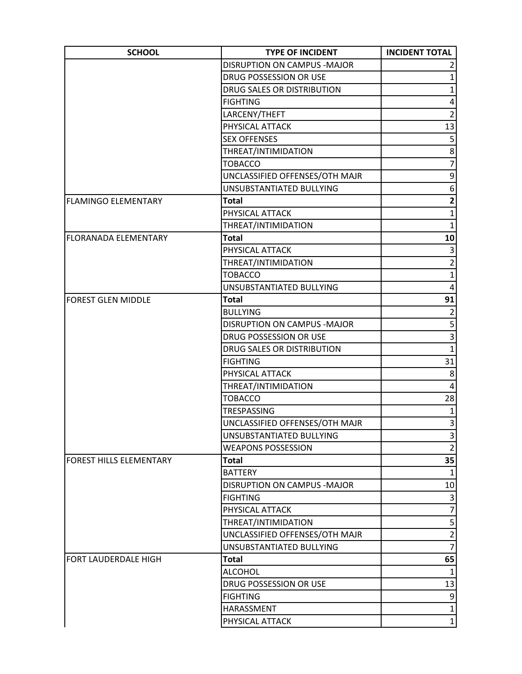| <b>SCHOOL</b>               | <b>TYPE OF INCIDENT</b>             | <b>INCIDENT TOTAL</b>   |
|-----------------------------|-------------------------------------|-------------------------|
|                             | <b>DISRUPTION ON CAMPUS - MAJOR</b> |                         |
|                             | DRUG POSSESSION OR USE              | 1                       |
|                             | DRUG SALES OR DISTRIBUTION          | 1                       |
|                             | <b>FIGHTING</b>                     | 4                       |
|                             | LARCENY/THEFT                       | $\overline{2}$          |
|                             | PHYSICAL ATTACK                     | 13                      |
|                             | <b>SEX OFFENSES</b>                 | 5                       |
|                             | THREAT/INTIMIDATION                 | 8                       |
|                             | <b>TOBACCO</b>                      | $\overline{7}$          |
|                             | UNCLASSIFIED OFFENSES/OTH MAJR      | 9                       |
|                             | UNSUBSTANTIATED BULLYING            | 6                       |
| <b>FLAMINGO ELEMENTARY</b>  | <b>Total</b>                        | $\overline{\mathbf{c}}$ |
|                             | PHYSICAL ATTACK                     | $\mathbf{1}$            |
|                             | THREAT/INTIMIDATION                 | $\mathbf{1}$            |
| <b>FLORANADA ELEMENTARY</b> | <b>Total</b>                        | 10                      |
|                             | PHYSICAL ATTACK                     | 3                       |
|                             | THREAT/INTIMIDATION                 | $\overline{2}$          |
|                             | <b>TOBACCO</b>                      | $\mathbf{1}$            |
|                             | UNSUBSTANTIATED BULLYING            | 4                       |
| <b>FOREST GLEN MIDDLE</b>   | <b>Total</b>                        | 91                      |
|                             | <b>BULLYING</b>                     | $\overline{2}$          |
|                             | DISRUPTION ON CAMPUS - MAJOR        | 5                       |
|                             | DRUG POSSESSION OR USE              | $\overline{3}$          |
|                             | DRUG SALES OR DISTRIBUTION          | $\overline{1}$          |
|                             | <b>FIGHTING</b>                     | 31                      |
|                             | PHYSICAL ATTACK                     | 8                       |
|                             | THREAT/INTIMIDATION                 | $\overline{\mathbf{4}}$ |
|                             | <b>TOBACCO</b>                      | 28                      |
|                             | TRESPASSING                         | $\mathbf{1}$            |
|                             | UNCLASSIFIED OFFENSES/OTH MAJR      | $\vert 3 \vert$         |
|                             | UNSUBSTANTIATED BULLYING            | 3                       |
|                             | <b>WEAPONS POSSESSION</b>           | $\overline{2}$          |
| FOREST HILLS ELEMENTARY     | Total                               | 35                      |
|                             | <b>BATTERY</b>                      |                         |
|                             | <b>DISRUPTION ON CAMPUS -MAJOR</b>  | 10                      |
|                             | <b>FIGHTING</b>                     | 3                       |
|                             | PHYSICAL ATTACK                     | $\overline{7}$          |
|                             | THREAT/INTIMIDATION                 | $\mathsf{S}$            |
|                             | UNCLASSIFIED OFFENSES/OTH MAJR      | $\overline{2}$          |
|                             | UNSUBSTANTIATED BULLYING            | $\overline{7}$          |
| FORT LAUDERDALE HIGH        | Total                               | 65                      |
|                             | <b>ALCOHOL</b>                      | $\mathbf{1}$            |
|                             | DRUG POSSESSION OR USE              | 13                      |
|                             | <b>FIGHTING</b>                     | 9                       |
|                             | HARASSMENT                          | $1\vert$                |
|                             | PHYSICAL ATTACK                     | $1\vert$                |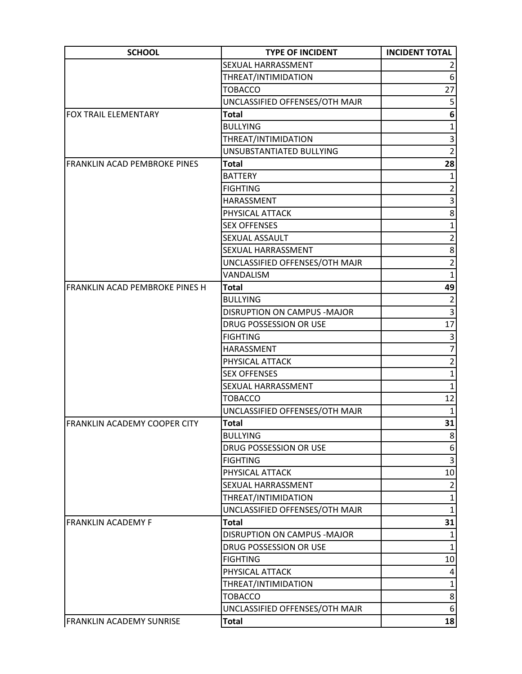| <b>SCHOOL</b>                         | <b>TYPE OF INCIDENT</b>            | <b>INCIDENT TOTAL</b> |
|---------------------------------------|------------------------------------|-----------------------|
|                                       | SEXUAL HARRASSMENT                 |                       |
|                                       | THREAT/INTIMIDATION                | 6                     |
|                                       | <b>TOBACCO</b>                     | 27                    |
|                                       | UNCLASSIFIED OFFENSES/OTH MAJR     | 5                     |
| <b>FOX TRAIL ELEMENTARY</b>           | <b>Total</b>                       | 6                     |
|                                       | <b>BULLYING</b>                    | $\mathbf 1$           |
|                                       | THREAT/INTIMIDATION                | 3                     |
|                                       | UNSUBSTANTIATED BULLYING           | $\overline{2}$        |
| FRANKLIN ACAD PEMBROKE PINES          | Total                              | 28                    |
|                                       | <b>BATTERY</b>                     | $\mathbf{1}$          |
|                                       | <b>FIGHTING</b>                    | $\overline{2}$        |
|                                       | HARASSMENT                         | 3                     |
|                                       | PHYSICAL ATTACK                    | 8                     |
|                                       | <b>SEX OFFENSES</b>                | 1                     |
|                                       | SEXUAL ASSAULT                     | $\overline{2}$        |
|                                       | SEXUAL HARRASSMENT                 | 8                     |
|                                       | UNCLASSIFIED OFFENSES/OTH MAJR     | $\overline{2}$        |
|                                       | VANDALISM                          | $\mathbf{1}$          |
| <b>FRANKLIN ACAD PEMBROKE PINES H</b> | <b>Total</b>                       | 49                    |
|                                       | <b>BULLYING</b>                    | $\overline{2}$        |
|                                       | <b>DISRUPTION ON CAMPUS -MAJOR</b> | $\overline{3}$        |
|                                       | DRUG POSSESSION OR USE             | 17                    |
|                                       | <b>FIGHTING</b>                    | 3                     |
|                                       | HARASSMENT                         | $\overline{7}$        |
|                                       | PHYSICAL ATTACK                    | $\overline{2}$        |
|                                       | <b>SEX OFFENSES</b>                | $\mathbf{1}$          |
|                                       | SEXUAL HARRASSMENT                 | $\mathbf{1}$          |
|                                       | <b>TOBACCO</b>                     | 12                    |
|                                       | UNCLASSIFIED OFFENSES/OTH MAJR     | $\mathbf{1}$          |
| [FRANKLIN ACADEMY COOPER CITY         | <b>Total</b>                       | 31                    |
|                                       | <b>BULLYING</b>                    | 8 <sup>2</sup>        |
|                                       | DRUG POSSESSION OR USE             | 6                     |
|                                       | <b>FIGHTING</b>                    | 3                     |
|                                       | PHYSICAL ATTACK                    | 10                    |
|                                       | SEXUAL HARRASSMENT                 | $\overline{2}$        |
|                                       | THREAT/INTIMIDATION                | $\mathbf{1}$          |
|                                       | UNCLASSIFIED OFFENSES/OTH MAJR     | $\mathbf{1}$          |
| <b>FRANKLIN ACADEMY F</b>             | <b>Total</b>                       | 31                    |
|                                       | DISRUPTION ON CAMPUS - MAJOR       | $\mathbf{1}$          |
|                                       | DRUG POSSESSION OR USE             | $\mathbf{1}$          |
|                                       | <b>FIGHTING</b>                    | 10                    |
|                                       | PHYSICAL ATTACK                    | 4                     |
|                                       | THREAT/INTIMIDATION                | $\mathbf{1}$          |
|                                       | <b>TOBACCO</b>                     | 8 <sup>1</sup>        |
|                                       | UNCLASSIFIED OFFENSES/OTH MAJR     | 6                     |
| <b>FRANKLIN ACADEMY SUNRISE</b>       | <b>Total</b>                       | 18                    |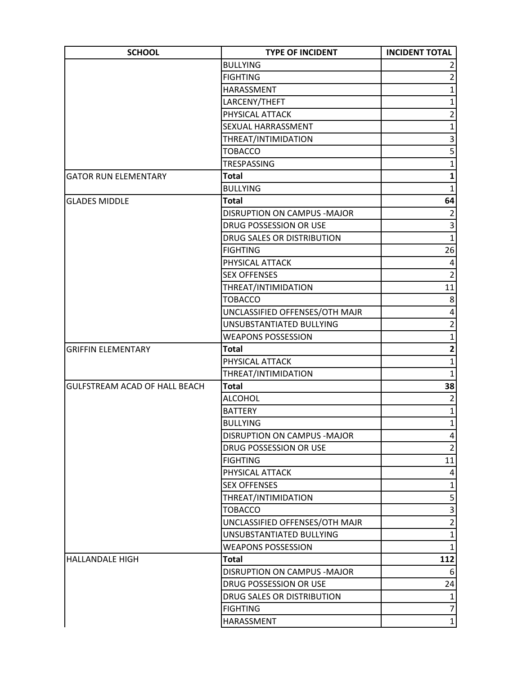| <b>SCHOOL</b>                        | <b>TYPE OF INCIDENT</b>        | <b>INCIDENT TOTAL</b> |
|--------------------------------------|--------------------------------|-----------------------|
|                                      | <b>BULLYING</b>                |                       |
|                                      | <b>FIGHTING</b>                | $\overline{2}$        |
|                                      | HARASSMENT                     | $\mathbf{1}$          |
|                                      | LARCENY/THEFT                  | $\mathbf{1}$          |
|                                      | PHYSICAL ATTACK                | $\overline{2}$        |
|                                      | SEXUAL HARRASSMENT             | $\mathbf{1}$          |
|                                      | THREAT/INTIMIDATION            | 3                     |
|                                      | <b>TOBACCO</b>                 | 5                     |
|                                      | TRESPASSING                    | $\mathbf{1}$          |
| <b>GATOR RUN ELEMENTARY</b>          | <b>Total</b>                   | $\mathbf{1}$          |
|                                      | <b>BULLYING</b>                | $\mathbf{1}$          |
| <b>GLADES MIDDLE</b>                 | <b>Total</b>                   | 64                    |
|                                      | DISRUPTION ON CAMPUS - MAJOR   | $\overline{2}$        |
|                                      | DRUG POSSESSION OR USE         | 3                     |
|                                      | DRUG SALES OR DISTRIBUTION     | $\overline{1}$        |
|                                      | <b>FIGHTING</b>                | 26                    |
|                                      | PHYSICAL ATTACK                | $\pmb{4}$             |
|                                      | <b>SEX OFFENSES</b>            | $\overline{2}$        |
|                                      | THREAT/INTIMIDATION            | 11                    |
|                                      | <b>TOBACCO</b>                 | 8                     |
|                                      | UNCLASSIFIED OFFENSES/OTH MAJR | 4                     |
|                                      | UNSUBSTANTIATED BULLYING       | $\overline{2}$        |
|                                      | <b>WEAPONS POSSESSION</b>      | $\mathbf{1}$          |
| <b>GRIFFIN ELEMENTARY</b>            | Total                          | $\mathbf{2}$          |
|                                      | PHYSICAL ATTACK                | $\mathbf{1}$          |
|                                      | THREAT/INTIMIDATION            | $\mathbf{1}$          |
| <b>GULFSTREAM ACAD OF HALL BEACH</b> | <b>Total</b>                   | 38                    |
|                                      | <b>ALCOHOL</b>                 | $\overline{2}$        |
|                                      | <b>BATTERY</b>                 | $\mathbf 1$           |
|                                      | <b>BULLYING</b>                | $1\vert$              |
|                                      | DISRUPTION ON CAMPUS - MAJOR   | $\vert 4 \vert$       |
|                                      | DRUG POSSESSION OR USE         | $\overline{2}$        |
|                                      | <b>FIGHTING</b>                | 11                    |
|                                      | PHYSICAL ATTACK                | $\vert 4 \vert$       |
|                                      | <b>SEX OFFENSES</b>            | $\mathbf 1$           |
|                                      | THREAT/INTIMIDATION            | $\mathsf{S}$          |
|                                      | <b>TOBACCO</b>                 | $\overline{3}$        |
|                                      | UNCLASSIFIED OFFENSES/OTH MAJR | $\overline{2}$        |
|                                      | UNSUBSTANTIATED BULLYING       | $1\vert$              |
|                                      | <b>WEAPONS POSSESSION</b>      | $\mathbf{1}$          |
| <b>HALLANDALE HIGH</b>               | <b>Total</b>                   | 112                   |
|                                      | DISRUPTION ON CAMPUS -MAJOR    | 6                     |
|                                      | DRUG POSSESSION OR USE         | 24                    |
|                                      | DRUG SALES OR DISTRIBUTION     | $\mathbf{1}$          |
|                                      | <b>FIGHTING</b>                | $\overline{7}$        |
|                                      | HARASSMENT                     | $1\vert$              |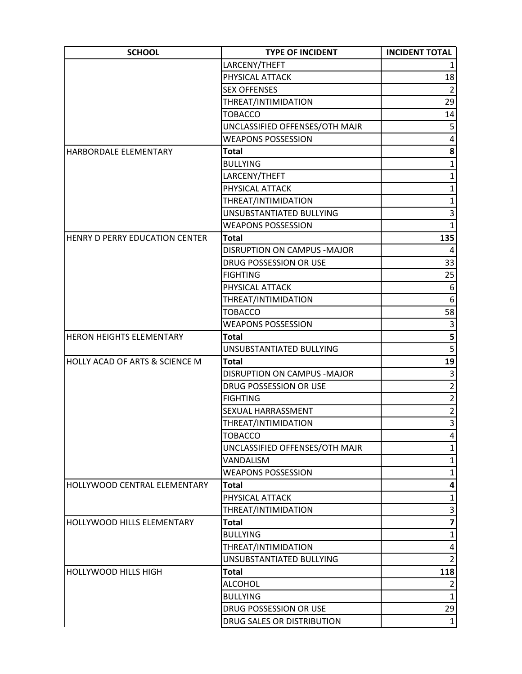| <b>SCHOOL</b>                             | <b>TYPE OF INCIDENT</b>        | <b>INCIDENT TOTAL</b> |
|-------------------------------------------|--------------------------------|-----------------------|
|                                           | LARCENY/THEFT                  |                       |
|                                           | PHYSICAL ATTACK                | 18                    |
|                                           | <b>SEX OFFENSES</b>            | $\overline{2}$        |
|                                           | THREAT/INTIMIDATION            | 29                    |
|                                           | <b>TOBACCO</b>                 | 14                    |
|                                           | UNCLASSIFIED OFFENSES/OTH MAJR | 5                     |
|                                           | <b>WEAPONS POSSESSION</b>      | 4                     |
| HARBORDALE ELEMENTARY                     | <b>Total</b>                   | $\bf{8}$              |
|                                           | <b>BULLYING</b>                | $\mathbf{1}$          |
|                                           | LARCENY/THEFT                  | $\mathbf{1}$          |
|                                           | PHYSICAL ATTACK                | $\mathbf{1}$          |
|                                           | THREAT/INTIMIDATION            | $\mathbf{1}$          |
|                                           | UNSUBSTANTIATED BULLYING       | 3                     |
|                                           | <b>WEAPONS POSSESSION</b>      | $\mathbf{1}$          |
| HENRY D PERRY EDUCATION CENTER            | <b>Total</b>                   | 135                   |
|                                           | DISRUPTION ON CAMPUS - MAJOR   | 4                     |
|                                           | DRUG POSSESSION OR USE         | 33                    |
|                                           | <b>FIGHTING</b>                | 25                    |
|                                           | PHYSICAL ATTACK                | 6                     |
|                                           | THREAT/INTIMIDATION            | 6                     |
|                                           | <b>TOBACCO</b>                 | 58                    |
|                                           | <b>WEAPONS POSSESSION</b>      | 3                     |
| <b>HERON HEIGHTS ELEMENTARY</b>           | <b>Total</b>                   | 5                     |
|                                           | UNSUBSTANTIATED BULLYING       | $\overline{5}$        |
| <b>HOLLY ACAD OF ARTS &amp; SCIENCE M</b> | <b>Total</b>                   | 19                    |
|                                           | DISRUPTION ON CAMPUS - MAJOR   | 3                     |
|                                           | DRUG POSSESSION OR USE         | $\overline{2}$        |
|                                           | <b>FIGHTING</b>                | $\overline{2}$        |
|                                           | <b>SEXUAL HARRASSMENT</b>      | $\overline{2}$        |
|                                           | THREAT/INTIMIDATION            | $\vert 3 \vert$       |
|                                           | <b>TOBACCO</b>                 | 4                     |
|                                           | UNCLASSIFIED OFFENSES/OTH MAJR | $\mathbf{1}$          |
|                                           | VANDALISM                      | $\mathbf{1}$          |
|                                           | <b>WEAPONS POSSESSION</b>      | $\mathbf{1}$          |
| HOLLYWOOD CENTRAL ELEMENTARY              | <b>Total</b>                   | 4                     |
|                                           | PHYSICAL ATTACK                | $\mathbf 1$           |
|                                           | THREAT/INTIMIDATION            | 3                     |
| HOLLYWOOD HILLS ELEMENTARY                | <b>Total</b>                   | 7                     |
|                                           | <b>BULLYING</b>                | $\mathbf{1}$          |
|                                           | THREAT/INTIMIDATION            | 4                     |
|                                           | UNSUBSTANTIATED BULLYING       | $\overline{2}$        |
| <b>HOLLYWOOD HILLS HIGH</b>               | <b>Total</b>                   | 118                   |
|                                           | <b>ALCOHOL</b>                 | $\overline{2}$        |
|                                           | <b>BULLYING</b>                | $\mathbf{1}$          |
|                                           | DRUG POSSESSION OR USE         | 29                    |
|                                           | DRUG SALES OR DISTRIBUTION     | $\mathbf{1}$          |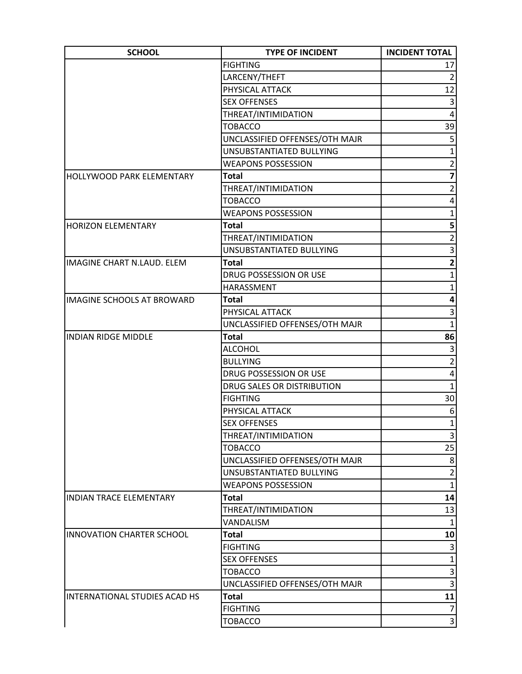| <b>SCHOOL</b>                        | <b>TYPE OF INCIDENT</b>        | <b>INCIDENT TOTAL</b>   |
|--------------------------------------|--------------------------------|-------------------------|
|                                      | <b>FIGHTING</b>                | 17                      |
|                                      | LARCENY/THEFT                  | $\overline{2}$          |
|                                      | PHYSICAL ATTACK                | 12                      |
|                                      | <b>SEX OFFENSES</b>            | 3                       |
|                                      | THREAT/INTIMIDATION            | 4                       |
|                                      | <b>TOBACCO</b>                 | 39                      |
|                                      | UNCLASSIFIED OFFENSES/OTH MAJR | 5                       |
|                                      | UNSUBSTANTIATED BULLYING       | $\mathbf{1}$            |
|                                      | <b>WEAPONS POSSESSION</b>      | $\overline{2}$          |
| <b>HOLLYWOOD PARK ELEMENTARY</b>     | <b>Total</b>                   | $\overline{\mathbf{z}}$ |
|                                      | THREAT/INTIMIDATION            | $\overline{2}$          |
|                                      | <b>TOBACCO</b>                 | 4                       |
|                                      | <b>WEAPONS POSSESSION</b>      | $\mathbf{1}$            |
| <b>HORIZON ELEMENTARY</b>            | Total                          | 5 <sup>1</sup>          |
|                                      | THREAT/INTIMIDATION            | $\overline{2}$          |
|                                      | UNSUBSTANTIATED BULLYING       | $\overline{3}$          |
| <b>IMAGINE CHART N.LAUD. ELEM</b>    | <b>Total</b>                   | $\overline{\mathbf{c}}$ |
|                                      | DRUG POSSESSION OR USE         | $\mathbf{1}$            |
|                                      | HARASSMENT                     | 1                       |
| <b>IMAGINE SCHOOLS AT BROWARD</b>    | <b>Total</b>                   | 4                       |
|                                      | PHYSICAL ATTACK                | 3                       |
|                                      | UNCLASSIFIED OFFENSES/OTH MAJR | $\mathbf{1}$            |
| <b>INDIAN RIDGE MIDDLE</b>           | <b>Total</b>                   | 86                      |
|                                      | <b>ALCOHOL</b>                 | $\vert 3 \vert$         |
|                                      | <b>BULLYING</b>                | $\overline{2}$          |
|                                      | DRUG POSSESSION OR USE         | 4                       |
|                                      | DRUG SALES OR DISTRIBUTION     | $\mathbf{1}$            |
|                                      | <b>FIGHTING</b>                | 30 <sup>°</sup>         |
|                                      | PHYSICAL ATTACK                | 6                       |
|                                      | <b>SEX OFFENSES</b>            | $1\vert$                |
|                                      | THREAT/INTIMIDATION            | $\vert$ 3               |
|                                      | <b>TOBACCO</b>                 | 25                      |
|                                      | UNCLASSIFIED OFFENSES/OTH MAJR | 8                       |
|                                      | UNSUBSTANTIATED BULLYING       | $\overline{2}$          |
|                                      | <b>WEAPONS POSSESSION</b>      | $\mathbf{1}$            |
| <b>INDIAN TRACE ELEMENTARY</b>       | <b>Total</b>                   | 14                      |
|                                      | THREAT/INTIMIDATION            | 13                      |
|                                      | VANDALISM                      | 1                       |
| <b>INNOVATION CHARTER SCHOOL</b>     | <b>Total</b>                   | 10                      |
|                                      | <b>FIGHTING</b>                | 3                       |
|                                      | <b>SEX OFFENSES</b>            | $\mathbf{1}$            |
|                                      | <b>TOBACCO</b>                 | $\overline{3}$          |
|                                      | UNCLASSIFIED OFFENSES/OTH MAJR | $\overline{3}$          |
| <b>INTERNATIONAL STUDIES ACAD HS</b> | <b>Total</b>                   | 11                      |
|                                      | <b>FIGHTING</b>                | 7                       |
|                                      | <b>TOBACCO</b>                 | $\vert 3 \vert$         |
|                                      |                                |                         |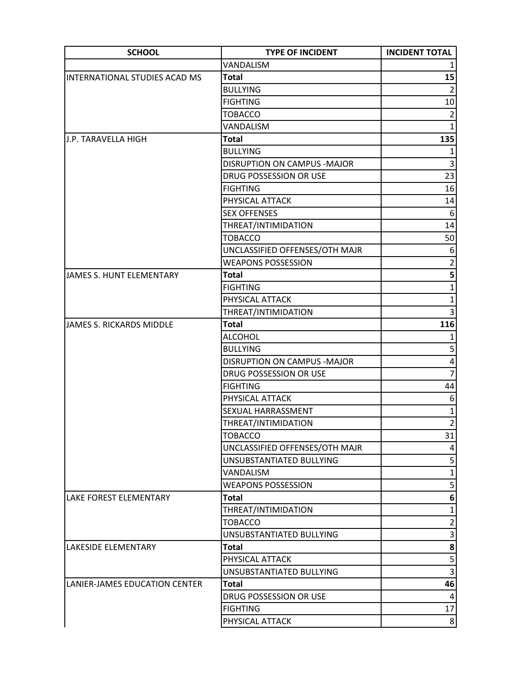| <b>SCHOOL</b>                   | <b>TYPE OF INCIDENT</b>        | <b>INCIDENT TOTAL</b>   |
|---------------------------------|--------------------------------|-------------------------|
|                                 | VANDALISM                      |                         |
| INTERNATIONAL STUDIES ACAD MS   | <b>Total</b>                   | 15                      |
|                                 | <b>BULLYING</b>                | $\overline{2}$          |
|                                 | <b>FIGHTING</b>                | 10 <sup>1</sup>         |
|                                 | <b>TOBACCO</b>                 | $\overline{2}$          |
|                                 | VANDALISM                      | $\mathbf{1}$            |
| <b>J.P. TARAVELLA HIGH</b>      | <b>Total</b>                   | 135                     |
|                                 | <b>BULLYING</b>                | $\mathbf{1}$            |
|                                 | DISRUPTION ON CAMPUS - MAJOR   | 3                       |
|                                 | DRUG POSSESSION OR USE         | 23                      |
|                                 | <b>FIGHTING</b>                | 16                      |
|                                 | PHYSICAL ATTACK                | 14                      |
|                                 | <b>SEX OFFENSES</b>            | 6                       |
|                                 | THREAT/INTIMIDATION            | 14                      |
|                                 | <b>TOBACCO</b>                 | 50                      |
|                                 | UNCLASSIFIED OFFENSES/OTH MAJR | 6                       |
|                                 | <b>WEAPONS POSSESSION</b>      | $\overline{2}$          |
| JAMES S. HUNT ELEMENTARY        | <b>Total</b>                   | 5 <sup>1</sup>          |
|                                 | <b>FIGHTING</b>                | 1                       |
|                                 | PHYSICAL ATTACK                | $\mathbf{1}$            |
|                                 | THREAT/INTIMIDATION            | 3                       |
| <b>JAMES S. RICKARDS MIDDLE</b> | <b>Total</b>                   | 116                     |
|                                 | <b>ALCOHOL</b>                 |                         |
|                                 | <b>BULLYING</b>                | 5 <sup>2</sup>          |
|                                 | DISRUPTION ON CAMPUS - MAJOR   | 4                       |
|                                 | DRUG POSSESSION OR USE         | $\overline{7}$          |
|                                 | <b>FIGHTING</b>                | 44                      |
|                                 | PHYSICAL ATTACK                | 6                       |
|                                 | SEXUAL HARRASSMENT             | $1\vert$                |
|                                 | THREAT/INTIMIDATION            | $\overline{2}$          |
|                                 | <b>TOBACCO</b>                 | 31                      |
|                                 | UNCLASSIFIED OFFENSES/OTH MAJR | 4                       |
|                                 | UNSUBSTANTIATED BULLYING       | 5                       |
|                                 | VANDALISM                      | $\mathbf 1$             |
|                                 | <b>WEAPONS POSSESSION</b>      | 5                       |
| LAKE FOREST ELEMENTARY          | <b>Total</b>                   | 6                       |
|                                 | THREAT/INTIMIDATION            | $\mathbf{1}$            |
|                                 | <b>TOBACCO</b>                 | $\overline{2}$          |
|                                 | UNSUBSTANTIATED BULLYING       | $\overline{\mathbf{3}}$ |
| LAKESIDE ELEMENTARY             | <b>Total</b>                   | 8                       |
|                                 | PHYSICAL ATTACK                | 5                       |
|                                 | UNSUBSTANTIATED BULLYING       | $\overline{3}$          |
| LANIER-JAMES EDUCATION CENTER   | <b>Total</b>                   | 46                      |
|                                 | DRUG POSSESSION OR USE         | $\overline{4}$          |
|                                 | <b>FIGHTING</b>                | 17                      |
|                                 | PHYSICAL ATTACK                | 8 <sup>1</sup>          |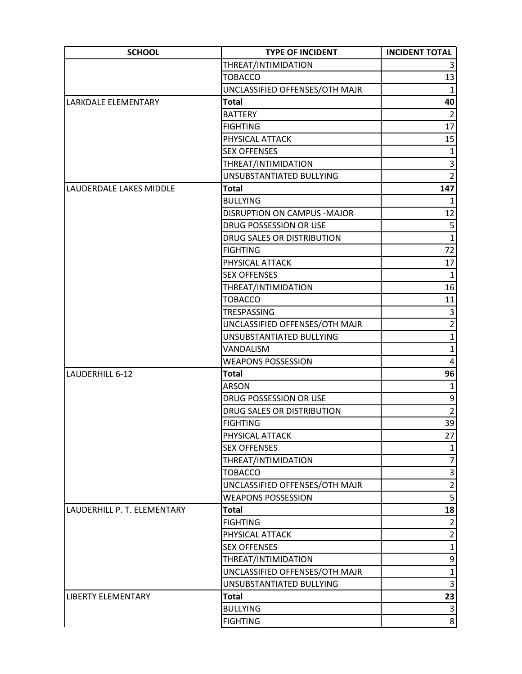| <b>SCHOOL</b>               | <b>TYPE OF INCIDENT</b>            | <b>INCIDENT TOTAL</b> |
|-----------------------------|------------------------------------|-----------------------|
|                             | THREAT/INTIMIDATION                |                       |
|                             | <b>TOBACCO</b>                     | 13                    |
|                             | UNCLASSIFIED OFFENSES/OTH MAJR     | $\mathbf{1}$          |
| LARKDALE ELEMENTARY         | <b>Total</b>                       | 40                    |
|                             | <b>BATTERY</b>                     | $\overline{2}$        |
|                             | <b>FIGHTING</b>                    | 17                    |
|                             | PHYSICAL ATTACK                    | 15                    |
|                             | <b>SEX OFFENSES</b>                | $\mathbf{1}$          |
|                             | THREAT/INTIMIDATION                | 3                     |
|                             | UNSUBSTANTIATED BULLYING           | $\overline{2}$        |
| LAUDERDALE LAKES MIDDLE     | <b>Total</b>                       | 147                   |
|                             | <b>BULLYING</b>                    | 1                     |
|                             | <b>DISRUPTION ON CAMPUS -MAJOR</b> | 12                    |
|                             | DRUG POSSESSION OR USE             | 5                     |
|                             | DRUG SALES OR DISTRIBUTION         | $\overline{1}$        |
|                             | <b>FIGHTING</b>                    | 72                    |
|                             | PHYSICAL ATTACK                    | 17                    |
|                             | <b>SEX OFFENSES</b>                | $\mathbf{1}$          |
|                             | THREAT/INTIMIDATION                | 16                    |
|                             | <b>TOBACCO</b>                     | 11                    |
|                             | TRESPASSING                        | 3                     |
|                             | UNCLASSIFIED OFFENSES/OTH MAJR     | $\overline{2}$        |
|                             | UNSUBSTANTIATED BULLYING           | $\mathbf{1}$          |
|                             | VANDALISM                          | $\mathbf{1}$          |
|                             | <b>WEAPONS POSSESSION</b>          | 4                     |
| LAUDERHILL 6-12             | Total                              | 96                    |
|                             | <b>ARSON</b>                       | $\mathbf{1}$          |
|                             | DRUG POSSESSION OR USE             | 9                     |
|                             | DRUG SALES OR DISTRIBUTION         | $\overline{2}$        |
|                             | <b>FIGHTING</b>                    | 39                    |
|                             | PHYSICAL ATTACK                    | 27                    |
|                             | <b>SEX OFFENSES</b>                | $\mathbf{1}$          |
|                             | THREAT/INTIMIDATION                | $\overline{7}$        |
|                             | <b>TOBACCO</b>                     | 3                     |
|                             | UNCLASSIFIED OFFENSES/OTH MAJR     | $\overline{2}$        |
|                             | <b>WEAPONS POSSESSION</b>          | $\overline{5}$        |
| LAUDERHILL P. T. ELEMENTARY | Total                              | 18                    |
|                             | <b>FIGHTING</b>                    | $\overline{2}$        |
|                             | PHYSICAL ATTACK                    | $\overline{2}$        |
|                             | <b>SEX OFFENSES</b>                | $\mathbf 1$           |
|                             | THREAT/INTIMIDATION                | $\mathsf{g}$          |
|                             | UNCLASSIFIED OFFENSES/OTH MAJR     | $\overline{1}$        |
|                             | UNSUBSTANTIATED BULLYING           | 3                     |
| <b>LIBERTY ELEMENTARY</b>   | <b>Total</b>                       | 23                    |
|                             | <b>BULLYING</b>                    | $\mathsf 3$           |
|                             | <b>FIGHTING</b>                    | $\overline{8}$        |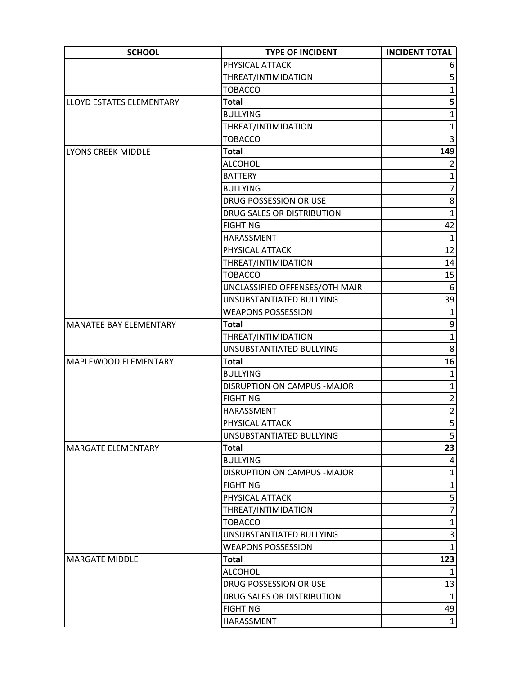| <b>SCHOOL</b>                   | <b>TYPE OF INCIDENT</b>            | <b>INCIDENT TOTAL</b> |
|---------------------------------|------------------------------------|-----------------------|
|                                 | PHYSICAL ATTACK                    |                       |
|                                 | THREAT/INTIMIDATION                | 5                     |
|                                 | <b>TOBACCO</b>                     | $\mathbf{1}$          |
| <b>LLOYD ESTATES ELEMENTARY</b> | <b>Total</b>                       | 5                     |
|                                 | <b>BULLYING</b>                    | $\mathbf{1}$          |
|                                 | THREAT/INTIMIDATION                | $\mathbf{1}$          |
|                                 | <b>TOBACCO</b>                     | 3                     |
| <b>LYONS CREEK MIDDLE</b>       | <b>Total</b>                       | 149                   |
|                                 | <b>ALCOHOL</b>                     | $\overline{2}$        |
|                                 | <b>BATTERY</b>                     | $\mathbf{1}$          |
|                                 | <b>BULLYING</b>                    | $\overline{7}$        |
|                                 | DRUG POSSESSION OR USE             | 8                     |
|                                 | DRUG SALES OR DISTRIBUTION         | $\mathbf{1}$          |
|                                 | <b>FIGHTING</b>                    | 42                    |
|                                 | HARASSMENT                         | $\mathbf{1}$          |
|                                 | PHYSICAL ATTACK                    | 12                    |
|                                 | THREAT/INTIMIDATION                | 14                    |
|                                 | <b>TOBACCO</b>                     | 15                    |
|                                 | UNCLASSIFIED OFFENSES/OTH MAJR     | 6                     |
|                                 | UNSUBSTANTIATED BULLYING           | 39                    |
|                                 | <b>WEAPONS POSSESSION</b>          | 1                     |
| <b>MANATEE BAY ELEMENTARY</b>   | <b>Total</b>                       | 9                     |
|                                 | THREAT/INTIMIDATION                | $\mathbf{1}$          |
|                                 | UNSUBSTANTIATED BULLYING           | 8                     |
| <b>MAPLEWOOD ELEMENTARY</b>     | <b>Total</b>                       | 16                    |
|                                 | <b>BULLYING</b>                    | $\mathbf{1}$          |
|                                 | <b>DISRUPTION ON CAMPUS -MAJOR</b> | $\mathbf{1}$          |
|                                 | <b>FIGHTING</b>                    | $\overline{c}$        |
|                                 | HARASSMENT                         | $\overline{2}$        |
|                                 | PHYSICAL ATTACK                    | 5 <sup>1</sup>        |
|                                 | UNSUBSTANTIATED BULLYING           | 5 <sup>2</sup>        |
| <b>MARGATE ELEMENTARY</b>       | <b>Total</b>                       | 23                    |
|                                 | <b>BULLYING</b>                    | 4                     |
|                                 | <b>DISRUPTION ON CAMPUS -MAJOR</b> | $\mathbf{1}$          |
|                                 | <b>FIGHTING</b>                    | $\mathbf{1}$          |
|                                 | PHYSICAL ATTACK                    | 5                     |
|                                 | THREAT/INTIMIDATION                | $\overline{7}$        |
|                                 | <b>TOBACCO</b>                     | $\mathbf{1}$          |
|                                 | UNSUBSTANTIATED BULLYING           | $\vert 3 \vert$       |
|                                 | <b>WEAPONS POSSESSION</b>          | $\mathbf{1}$          |
| <b>MARGATE MIDDLE</b>           | <b>Total</b>                       | 123                   |
|                                 | <b>ALCOHOL</b>                     | $\mathbf{1}$          |
|                                 | DRUG POSSESSION OR USE             | 13                    |
|                                 | DRUG SALES OR DISTRIBUTION         | $\mathbf{1}$          |
|                                 | <b>FIGHTING</b>                    | 49                    |
|                                 | HARASSMENT                         | $1\vert$              |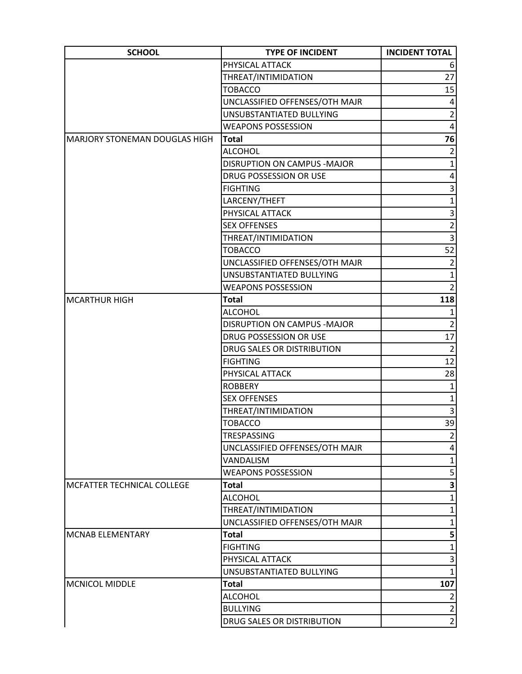| <b>SCHOOL</b>                        | <b>TYPE OF INCIDENT</b>        | <b>INCIDENT TOTAL</b> |
|--------------------------------------|--------------------------------|-----------------------|
|                                      | PHYSICAL ATTACK                | 6                     |
|                                      | THREAT/INTIMIDATION            | 27                    |
|                                      | <b>TOBACCO</b>                 | 15                    |
|                                      | UNCLASSIFIED OFFENSES/OTH MAJR | 4                     |
|                                      | UNSUBSTANTIATED BULLYING       | $\overline{2}$        |
|                                      | <b>WEAPONS POSSESSION</b>      | 4                     |
| <b>MARJORY STONEMAN DOUGLAS HIGH</b> | <b>Total</b>                   | 76                    |
|                                      | <b>ALCOHOL</b>                 | $\overline{2}$        |
|                                      | DISRUPTION ON CAMPUS - MAJOR   | 1                     |
|                                      | DRUG POSSESSION OR USE         | 4                     |
|                                      | <b>FIGHTING</b>                | 3                     |
|                                      | LARCENY/THEFT                  | $\mathbf{1}$          |
|                                      | PHYSICAL ATTACK                | $\overline{3}$        |
|                                      | <b>SEX OFFENSES</b>            | $\overline{c}$        |
|                                      | THREAT/INTIMIDATION            | $\overline{3}$        |
|                                      | <b>TOBACCO</b>                 | 52                    |
|                                      | UNCLASSIFIED OFFENSES/OTH MAJR | $\overline{2}$        |
|                                      | UNSUBSTANTIATED BULLYING       | $\mathbf 1$           |
|                                      | <b>WEAPONS POSSESSION</b>      | $\overline{2}$        |
| <b>MCARTHUR HIGH</b>                 | <b>Total</b>                   | 118                   |
|                                      | <b>ALCOHOL</b>                 | 1                     |
|                                      | DISRUPTION ON CAMPUS - MAJOR   | $\overline{2}$        |
|                                      | DRUG POSSESSION OR USE         | 17                    |
|                                      | DRUG SALES OR DISTRIBUTION     | $\overline{2}$        |
|                                      | <b>FIGHTING</b>                | 12                    |
|                                      | PHYSICAL ATTACK                | 28                    |
|                                      | <b>ROBBERY</b>                 | $\mathbf{1}$          |
|                                      | <b>SEX OFFENSES</b>            | $\mathbf{1}$          |
|                                      | THREAT/INTIMIDATION            | $\overline{3}$        |
|                                      | <b>TOBACCO</b>                 | 39                    |
|                                      | TRESPASSING                    | $\overline{2}$        |
|                                      | UNCLASSIFIED OFFENSES/OTH MAJR | 4                     |
|                                      | VANDALISM                      | 1                     |
|                                      | <b>WEAPONS POSSESSION</b>      | 5                     |
| MCFATTER TECHNICAL COLLEGE           | <b>Total</b>                   | 3                     |
|                                      | <b>ALCOHOL</b>                 | $\mathbf{1}$          |
|                                      | THREAT/INTIMIDATION            | 1                     |
|                                      | UNCLASSIFIED OFFENSES/OTH MAJR | $\mathbf{1}$          |
| <b>MCNAB ELEMENTARY</b>              | <b>Total</b>                   | 5                     |
|                                      | <b>FIGHTING</b>                | 1                     |
|                                      | PHYSICAL ATTACK                | 3                     |
|                                      | UNSUBSTANTIATED BULLYING       | $\mathbf{1}$          |
| <b>MCNICOL MIDDLE</b>                | <b>Total</b>                   | 107                   |
|                                      | <b>ALCOHOL</b>                 | $\overline{2}$        |
|                                      | <b>BULLYING</b>                | $\overline{2}$        |
|                                      | DRUG SALES OR DISTRIBUTION     | $\overline{2}$        |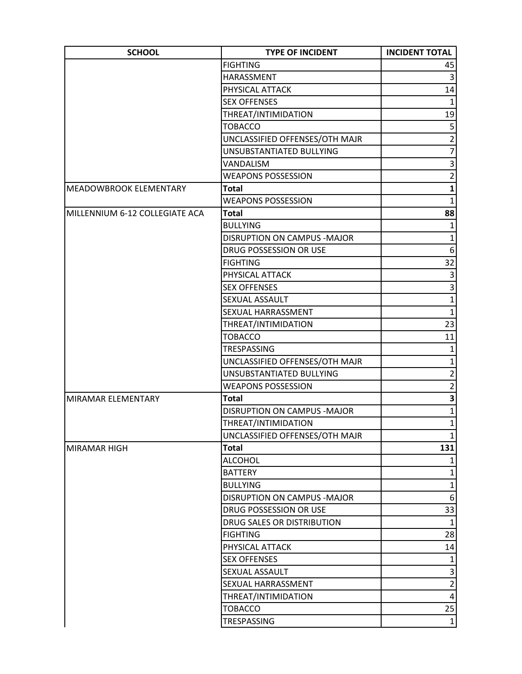| <b>SCHOOL</b>                  | <b>TYPE OF INCIDENT</b>            | <b>INCIDENT TOTAL</b> |
|--------------------------------|------------------------------------|-----------------------|
|                                | <b>FIGHTING</b>                    | 45                    |
|                                | HARASSMENT                         | $\overline{3}$        |
|                                | PHYSICAL ATTACK                    | 14                    |
|                                | <b>SEX OFFENSES</b>                | $\mathbf{1}$          |
|                                | THREAT/INTIMIDATION                | 19                    |
|                                | <b>TOBACCO</b>                     | $\overline{5}$        |
|                                | UNCLASSIFIED OFFENSES/OTH MAJR     | $\overline{2}$        |
|                                | UNSUBSTANTIATED BULLYING           | $\overline{7}$        |
|                                | <b>VANDALISM</b>                   | $\overline{3}$        |
|                                | <b>WEAPONS POSSESSION</b>          | $\overline{2}$        |
| <b>MEADOWBROOK ELEMENTARY</b>  | <b>Total</b>                       | $\mathbf{1}$          |
|                                | <b>WEAPONS POSSESSION</b>          | $\mathbf{1}$          |
| MILLENNIUM 6-12 COLLEGIATE ACA | <b>Total</b>                       | 88                    |
|                                | <b>BULLYING</b>                    | 1                     |
|                                | <b>DISRUPTION ON CAMPUS -MAJOR</b> | $\mathbf{1}$          |
|                                | DRUG POSSESSION OR USE             | 6 <sup>1</sup>        |
|                                | <b>FIGHTING</b>                    | 32                    |
|                                | PHYSICAL ATTACK                    | $\overline{3}$        |
|                                | <b>SEX OFFENSES</b>                | $\overline{3}$        |
|                                | SEXUAL ASSAULT                     | $\mathbf{1}$          |
|                                | SEXUAL HARRASSMENT                 | $\mathbf{1}$          |
|                                | THREAT/INTIMIDATION                | 23                    |
|                                | <b>TOBACCO</b>                     | 11                    |
|                                | TRESPASSING                        | $\mathbf{1}$          |
|                                | UNCLASSIFIED OFFENSES/OTH MAJR     | $\mathbf{1}$          |
|                                | UNSUBSTANTIATED BULLYING           | $\overline{2}$        |
|                                | <b>WEAPONS POSSESSION</b>          | $\overline{2}$        |
| MIRAMAR ELEMENTARY             | <b>Total</b>                       | $\mathbf{3}$          |
|                                | DISRUPTION ON CAMPUS - MAJOR       | $1\vert$              |
|                                | THREAT/INTIMIDATION                | $1\vert$              |
|                                | UNCLASSIFIED OFFENSES/OTH MAJR     | $1\vert$              |
| <b>MIRAMAR HIGH</b>            | <b>Total</b>                       | 131                   |
|                                | <b>ALCOHOL</b>                     | 1                     |
|                                | <b>BATTERY</b>                     | $\mathbf 1$           |
|                                | <b>BULLYING</b>                    | $1\vert$              |
|                                | DISRUPTION ON CAMPUS - MAJOR       | $6 \mid$              |
|                                | DRUG POSSESSION OR USE             | 33                    |
|                                | DRUG SALES OR DISTRIBUTION         | $\mathbf{1}$          |
|                                | <b>FIGHTING</b>                    | 28                    |
|                                | PHYSICAL ATTACK                    | 14                    |
|                                | <b>SEX OFFENSES</b>                | $1\vert$              |
|                                | SEXUAL ASSAULT                     | $\overline{3}$        |
|                                | SEXUAL HARRASSMENT                 | $\overline{2}$        |
|                                | THREAT/INTIMIDATION                | $\vert 4 \vert$       |
|                                | <b>TOBACCO</b>                     | 25                    |
|                                | TRESPASSING                        | 1                     |
|                                |                                    |                       |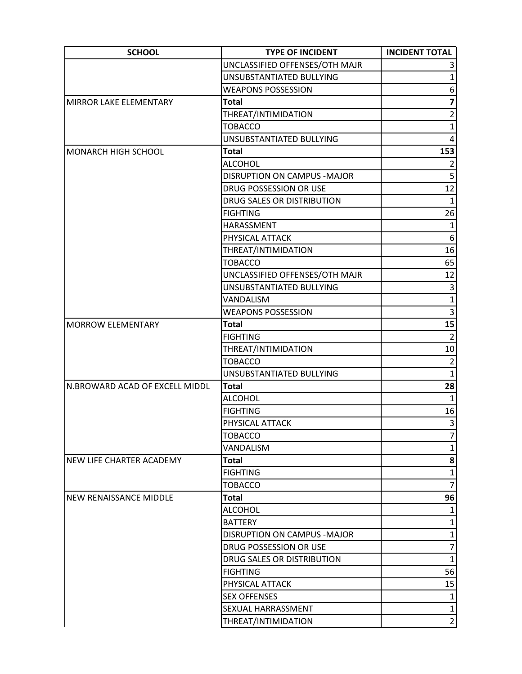| <b>SCHOOL</b>                   | <b>TYPE OF INCIDENT</b>            | <b>INCIDENT TOTAL</b> |
|---------------------------------|------------------------------------|-----------------------|
|                                 | UNCLASSIFIED OFFENSES/OTH MAJR     | 3                     |
|                                 | UNSUBSTANTIATED BULLYING           | 1                     |
|                                 | <b>WEAPONS POSSESSION</b>          | 6                     |
| MIRROR LAKE ELEMENTARY          | <b>Total</b>                       | 7                     |
|                                 | THREAT/INTIMIDATION                | $\overline{2}$        |
|                                 | <b>TOBACCO</b>                     | $\mathbf{1}$          |
|                                 | UNSUBSTANTIATED BULLYING           | 4                     |
| <b>MONARCH HIGH SCHOOL</b>      | <b>Total</b>                       | 153                   |
|                                 | <b>ALCOHOL</b>                     |                       |
|                                 | DISRUPTION ON CAMPUS - MAJOR       | 5                     |
|                                 | DRUG POSSESSION OR USE             | 12                    |
|                                 | DRUG SALES OR DISTRIBUTION         | $\mathbf{1}$          |
|                                 | <b>FIGHTING</b>                    | 26                    |
|                                 | HARASSMENT                         | $\mathbf{1}$          |
|                                 | PHYSICAL ATTACK                    | 6 <sup>1</sup>        |
|                                 | THREAT/INTIMIDATION                | 16                    |
|                                 | <b>TOBACCO</b>                     | 65                    |
|                                 | UNCLASSIFIED OFFENSES/OTH MAJR     | 12                    |
|                                 | UNSUBSTANTIATED BULLYING           | 3                     |
|                                 | VANDALISM                          | $\mathbf{1}$          |
|                                 | <b>WEAPONS POSSESSION</b>          | 3                     |
| <b>MORROW ELEMENTARY</b>        | <b>Total</b>                       | $\overline{15}$       |
|                                 | <b>FIGHTING</b>                    | $\overline{2}$        |
|                                 | THREAT/INTIMIDATION                | $10\,$                |
|                                 | <b>TOBACCO</b>                     | $\overline{2}$        |
|                                 | UNSUBSTANTIATED BULLYING           | $\mathbf{1}$          |
| N.BROWARD ACAD OF EXCELL MIDDL  | <b>Total</b>                       | 28                    |
|                                 | <b>ALCOHOL</b>                     | $\mathbf{1}$          |
|                                 | <b>FIGHTING</b>                    | 16                    |
|                                 | PHYSICAL ATTACK                    | 3                     |
|                                 | <b>TOBACCO</b>                     | 7                     |
|                                 | VANDALISM                          | $\mathbf{1}$          |
| <b>NEW LIFE CHARTER ACADEMY</b> | <b>Total</b>                       | 8                     |
|                                 | <b>FIGHTING</b>                    | $\mathbf{1}$          |
|                                 | <b>TOBACCO</b>                     | $\overline{7}$        |
| <b>NEW RENAISSANCE MIDDLE</b>   | <b>Total</b>                       | 96                    |
|                                 | <b>ALCOHOL</b>                     |                       |
|                                 | <b>BATTERY</b>                     | $\mathbf{1}$          |
|                                 | <b>DISRUPTION ON CAMPUS -MAJOR</b> | $\mathbf{1}$          |
|                                 | DRUG POSSESSION OR USE             | 7                     |
|                                 | DRUG SALES OR DISTRIBUTION         | $\mathbf{1}$          |
|                                 | <b>FIGHTING</b>                    | 56                    |
|                                 | PHYSICAL ATTACK                    | 15                    |
|                                 | <b>SEX OFFENSES</b>                | $\mathbf 1$           |
|                                 | SEXUAL HARRASSMENT                 | $\mathbf{1}$          |
|                                 | THREAT/INTIMIDATION                | $\overline{2}$        |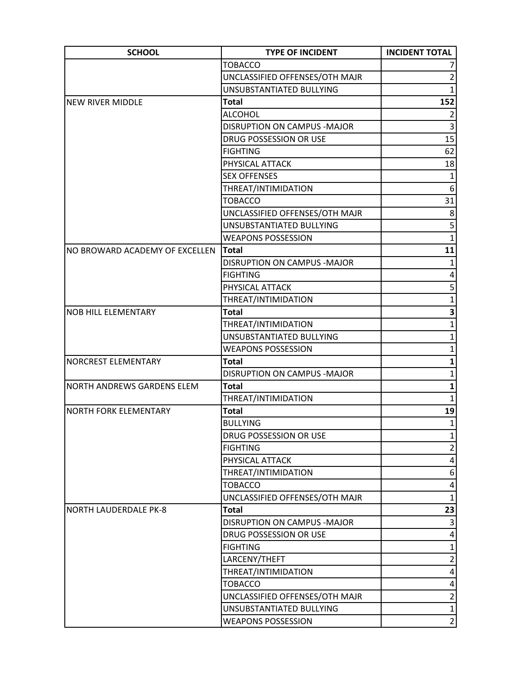| <b>SCHOOL</b>                     | <b>TYPE OF INCIDENT</b>        | <b>INCIDENT TOTAL</b> |
|-----------------------------------|--------------------------------|-----------------------|
|                                   | <b>TOBACCO</b>                 |                       |
|                                   | UNCLASSIFIED OFFENSES/OTH MAJR | $\overline{2}$        |
|                                   | UNSUBSTANTIATED BULLYING       | $\mathbf{1}$          |
| <b>NEW RIVER MIDDLE</b>           | <b>Total</b>                   | 152                   |
|                                   | <b>ALCOHOL</b>                 |                       |
|                                   | DISRUPTION ON CAMPUS - MAJOR   | 3                     |
|                                   | DRUG POSSESSION OR USE         | 15                    |
|                                   | <b>FIGHTING</b>                | 62                    |
|                                   | PHYSICAL ATTACK                | 18                    |
|                                   | <b>SEX OFFENSES</b>            | $\mathbf{1}$          |
|                                   | THREAT/INTIMIDATION            | 6                     |
|                                   | <b>TOBACCO</b>                 | 31                    |
|                                   | UNCLASSIFIED OFFENSES/OTH MAJR | 8                     |
|                                   | UNSUBSTANTIATED BULLYING       | 5                     |
|                                   | <b>WEAPONS POSSESSION</b>      | $\mathbf{1}$          |
| NO BROWARD ACADEMY OF EXCELLEN    | <b>Total</b>                   | 11                    |
|                                   | DISRUPTION ON CAMPUS - MAJOR   | 1                     |
|                                   | <b>FIGHTING</b>                | 4                     |
|                                   | PHYSICAL ATTACK                | 5                     |
|                                   | THREAT/INTIMIDATION            | $\overline{1}$        |
| <b>NOB HILL ELEMENTARY</b>        | <b>Total</b>                   | 3                     |
|                                   | THREAT/INTIMIDATION            | $\mathbf{1}$          |
|                                   | UNSUBSTANTIATED BULLYING       | 1                     |
|                                   | <b>WEAPONS POSSESSION</b>      | $\mathbf{1}$          |
| <b>NORCREST ELEMENTARY</b>        | <b>Total</b>                   | 1                     |
|                                   | DISRUPTION ON CAMPUS - MAJOR   | 1                     |
| <b>NORTH ANDREWS GARDENS ELEM</b> | <b>Total</b>                   | $\mathbf{1}$          |
|                                   | THREAT/INTIMIDATION            | $\mathbf{1}$          |
| <b>I</b> NORTH FORK ELEMENTARY    | <b>Total</b>                   | 19                    |
|                                   | <b>BULLYING</b>                | $\mathbf{1}$          |
|                                   | DRUG POSSESSION OR USE         | 1                     |
|                                   | <b>FIGHTING</b>                | $\overline{2}$        |
|                                   | PHYSICAL ATTACK                | 4                     |
|                                   | THREAT/INTIMIDATION            | 6                     |
|                                   | <b>TOBACCO</b>                 | 4                     |
|                                   | UNCLASSIFIED OFFENSES/OTH MAJR | $\mathbf{1}$          |
| <b>NORTH LAUDERDALE PK-8</b>      | <b>Total</b>                   | 23                    |
|                                   | DISRUPTION ON CAMPUS - MAJOR   | 3                     |
|                                   | DRUG POSSESSION OR USE         | 4                     |
|                                   | <b>FIGHTING</b>                | $\mathbf{1}$          |
|                                   | LARCENY/THEFT                  | $\overline{2}$        |
|                                   | THREAT/INTIMIDATION            | 4                     |
|                                   | <b>TOBACCO</b>                 | 4                     |
|                                   | UNCLASSIFIED OFFENSES/OTH MAJR | $\overline{2}$        |
|                                   | UNSUBSTANTIATED BULLYING       | $1\vert$              |
|                                   | <b>WEAPONS POSSESSION</b>      | $\overline{2}$        |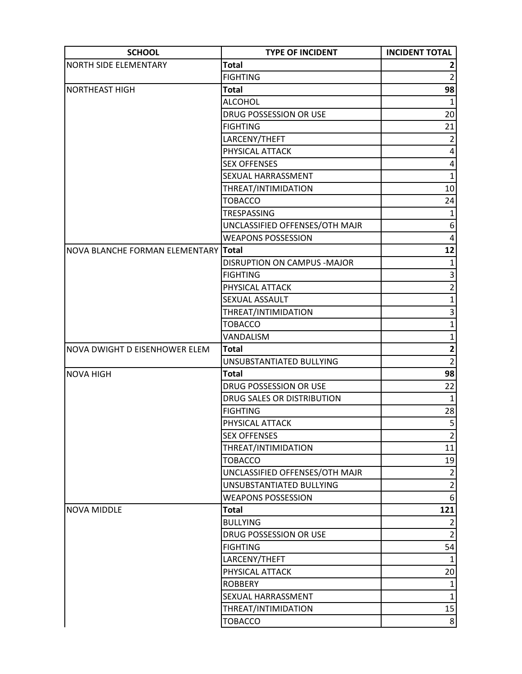| <b>SCHOOL</b>                        | <b>TYPE OF INCIDENT</b>        | <b>INCIDENT TOTAL</b> |
|--------------------------------------|--------------------------------|-----------------------|
| <b>NORTH SIDE ELEMENTARY</b>         | <b>Total</b>                   |                       |
|                                      | <b>FIGHTING</b>                | $\overline{2}$        |
| <b>NORTHEAST HIGH</b>                | <b>Total</b>                   | 98                    |
|                                      | <b>ALCOHOL</b>                 | $\mathbf{1}$          |
|                                      | DRUG POSSESSION OR USE         | 20                    |
|                                      | <b>FIGHTING</b>                | 21                    |
|                                      | LARCENY/THEFT                  | $\overline{2}$        |
|                                      | PHYSICAL ATTACK                | $\pmb{4}$             |
|                                      | <b>SEX OFFENSES</b>            | 4                     |
|                                      | SEXUAL HARRASSMENT             | $\mathbf{1}$          |
|                                      | THREAT/INTIMIDATION            | 10                    |
|                                      | <b>TOBACCO</b>                 | 24                    |
|                                      | <b>TRESPASSING</b>             | $\mathbf{1}$          |
|                                      | UNCLASSIFIED OFFENSES/OTH MAJR | 6 <sup>1</sup>        |
|                                      | <b>WEAPONS POSSESSION</b>      | 4                     |
| NOVA BLANCHE FORMAN ELEMENTARY Total |                                | 12                    |
|                                      | DISRUPTION ON CAMPUS - MAJOR   | $\mathbf{1}$          |
|                                      | <b>FIGHTING</b>                | 3                     |
|                                      | PHYSICAL ATTACK                | $\overline{2}$        |
|                                      | SEXUAL ASSAULT                 | $\mathbf{1}$          |
|                                      | THREAT/INTIMIDATION            | 3                     |
|                                      | <b>TOBACCO</b>                 | $\mathbf{1}$          |
|                                      | VANDALISM                      | $\mathbf{1}$          |
| NOVA DWIGHT D EISENHOWER ELEM        | <b>Total</b>                   | $\mathbf{2}$          |
|                                      | UNSUBSTANTIATED BULLYING       | $\overline{2}$        |
| <b>NOVA HIGH</b>                     | <b>Total</b>                   | $\overline{98}$       |
|                                      | DRUG POSSESSION OR USE         | 22                    |
|                                      | DRUG SALES OR DISTRIBUTION     | $\mathbf 1$           |
|                                      | <b>FIGHTING</b>                | 28                    |
|                                      | PHYSICAL ATTACK                | $\overline{5}$        |
|                                      | <b>SEX OFFENSES</b>            | $\overline{2}$        |
|                                      | THREAT/INTIMIDATION            | 11                    |
|                                      | <b>TOBACCO</b>                 | 19                    |
|                                      | UNCLASSIFIED OFFENSES/OTH MAJR | $\overline{2}$        |
|                                      | UNSUBSTANTIATED BULLYING       | $\overline{2}$        |
|                                      | <b>WEAPONS POSSESSION</b>      | 6 <sup>1</sup>        |
| <b>NOVA MIDDLE</b>                   | <b>Total</b>                   | 121                   |
|                                      | <b>BULLYING</b>                | $\overline{2}$        |
|                                      | DRUG POSSESSION OR USE         | $\overline{2}$        |
|                                      | <b>FIGHTING</b>                | 54                    |
|                                      | LARCENY/THEFT                  | $\mathbf{1}$          |
|                                      | PHYSICAL ATTACK                | 20                    |
|                                      | <b>ROBBERY</b>                 | $\mathbf{1}$          |
|                                      | SEXUAL HARRASSMENT             | $1\vert$              |
|                                      | THREAT/INTIMIDATION            | 15                    |
|                                      | <b>TOBACCO</b>                 | 8 <sup>°</sup>        |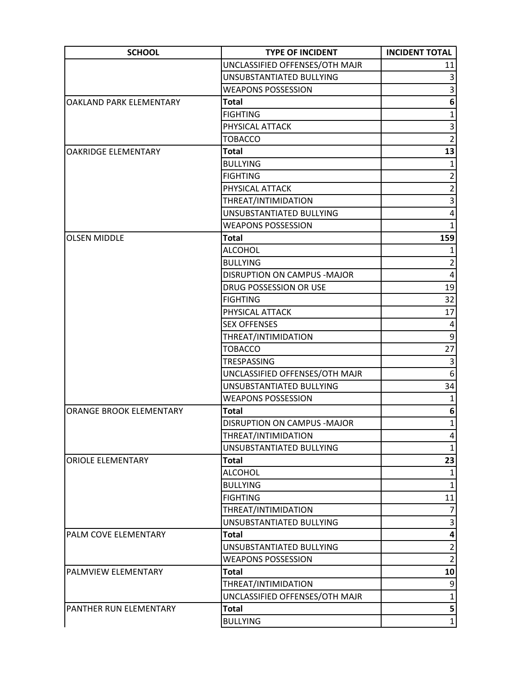| <b>SCHOOL</b>              | <b>TYPE OF INCIDENT</b>             | <b>INCIDENT TOTAL</b>   |
|----------------------------|-------------------------------------|-------------------------|
|                            | UNCLASSIFIED OFFENSES/OTH MAJR      | 11                      |
|                            | UNSUBSTANTIATED BULLYING            |                         |
|                            | <b>WEAPONS POSSESSION</b>           | 3                       |
| OAKLAND PARK ELEMENTARY    | <b>Total</b>                        | 6                       |
|                            | <b>FIGHTING</b>                     | 1                       |
|                            | PHYSICAL ATTACK                     | 3                       |
|                            | <b>TOBACCO</b>                      | $\overline{2}$          |
| <b>OAKRIDGE ELEMENTARY</b> | <b>Total</b>                        | 13                      |
|                            | <b>BULLYING</b>                     |                         |
|                            | <b>FIGHTING</b>                     | $\overline{2}$          |
|                            | PHYSICAL ATTACK                     | $\overline{2}$          |
|                            | THREAT/INTIMIDATION                 | 3                       |
|                            | UNSUBSTANTIATED BULLYING            | 4                       |
|                            | <b>WEAPONS POSSESSION</b>           |                         |
| <b>OLSEN MIDDLE</b>        | <b>Total</b>                        | 159                     |
|                            | <b>ALCOHOL</b>                      |                         |
|                            | <b>BULLYING</b>                     | $\overline{2}$          |
|                            | <b>DISRUPTION ON CAMPUS - MAJOR</b> | 4                       |
|                            | DRUG POSSESSION OR USE              | 19                      |
|                            | <b>FIGHTING</b>                     | 32                      |
|                            | PHYSICAL ATTACK                     | 17                      |
|                            | <b>SEX OFFENSES</b>                 | 4                       |
|                            | THREAT/INTIMIDATION                 | $\mathsf{g}$            |
|                            | <b>TOBACCO</b>                      | 27                      |
|                            | TRESPASSING                         | 3                       |
|                            | UNCLASSIFIED OFFENSES/OTH MAJR      | 6                       |
|                            | UNSUBSTANTIATED BULLYING            | 34                      |
|                            | <b>WEAPONS POSSESSION</b>           | $\mathbf{1}$            |
| ORANGE BROOK ELEMENTARY    | <b>Total</b>                        | $6 \mid$                |
|                            | <b>DISRUPTION ON CAMPUS -MAJOR</b>  | $1\vert$                |
|                            | THREAT/INTIMIDATION                 | $\vert 4 \vert$         |
|                            | UNSUBSTANTIATED BULLYING            | $\mathbf{1}$            |
| <b>ORIOLE ELEMENTARY</b>   | <b>Total</b>                        | 23                      |
|                            | <b>ALCOHOL</b>                      | $\mathbf{1}$            |
|                            | <b>BULLYING</b>                     | $\mathbf{1}$            |
|                            | <b>FIGHTING</b>                     | 11                      |
|                            | THREAT/INTIMIDATION                 | $\overline{7}$          |
|                            | UNSUBSTANTIATED BULLYING            | 3                       |
| PALM COVE ELEMENTARY       | <b>Total</b>                        | 4                       |
|                            | UNSUBSTANTIATED BULLYING            | $\overline{2}$          |
|                            | <b>WEAPONS POSSESSION</b>           | $\overline{2}$          |
| PALMVIEW ELEMENTARY        | <b>Total</b>                        | 10                      |
|                            | THREAT/INTIMIDATION                 | 9                       |
|                            | UNCLASSIFIED OFFENSES/OTH MAJR      | $\mathbf{1}$            |
| PANTHER RUN ELEMENTARY     | <b>Total</b>                        | $\overline{\mathbf{5}}$ |
|                            | <b>BULLYING</b>                     | $1\vert$                |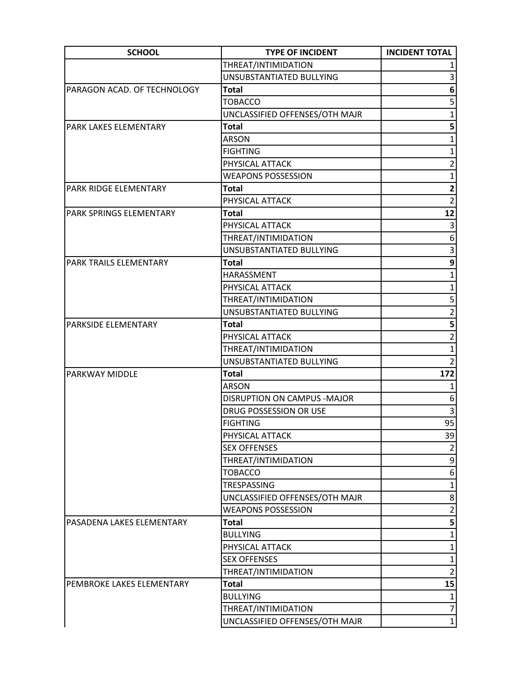| <b>SCHOOL</b>                  | <b>TYPE OF INCIDENT</b>        | <b>INCIDENT TOTAL</b>   |
|--------------------------------|--------------------------------|-------------------------|
|                                | THREAT/INTIMIDATION            |                         |
|                                | UNSUBSTANTIATED BULLYING       | 3                       |
| PARAGON ACAD. OF TECHNOLOGY    | <b>Total</b>                   | 6                       |
|                                | <b>TOBACCO</b>                 | 5                       |
|                                | UNCLASSIFIED OFFENSES/OTH MAJR | 1                       |
| <b>PARK LAKES ELEMENTARY</b>   | <b>Total</b>                   | 5                       |
|                                | <b>ARSON</b>                   | 1                       |
|                                | <b>FIGHTING</b>                | $\mathbf{1}$            |
|                                | PHYSICAL ATTACK                | $\overline{2}$          |
|                                | <b>WEAPONS POSSESSION</b>      | 1                       |
| PARK RIDGE ELEMENTARY          | <b>Total</b>                   | $\overline{\mathbf{c}}$ |
|                                | PHYSICAL ATTACK                | $\overline{2}$          |
| <b>PARK SPRINGS ELEMENTARY</b> | <b>Total</b>                   | 12                      |
|                                | PHYSICAL ATTACK                | 3                       |
|                                | THREAT/INTIMIDATION            | 6                       |
|                                | UNSUBSTANTIATED BULLYING       | 3                       |
| PARK TRAILS ELEMENTARY         | <b>Total</b>                   | 9                       |
|                                | HARASSMENT                     | $\mathbf{1}$            |
|                                | PHYSICAL ATTACK                | $\mathbf{1}$            |
|                                | THREAT/INTIMIDATION            | 5                       |
|                                | UNSUBSTANTIATED BULLYING       | $\overline{c}$          |
| PARKSIDE ELEMENTARY            | <b>Total</b>                   | 5                       |
|                                | PHYSICAL ATTACK                | $\overline{2}$          |
|                                | THREAT/INTIMIDATION            | $\mathbf{1}$            |
|                                | UNSUBSTANTIATED BULLYING       | $\overline{2}$          |
| PARKWAY MIDDLE                 | <b>Total</b>                   | 172                     |
|                                | <b>ARSON</b>                   | 1                       |
|                                | DISRUPTION ON CAMPUS - MAJOR   | 6                       |
|                                | DRUG POSSESSION OR USE         | 3                       |
|                                | <b>FIGHTING</b>                | 95                      |
|                                | PHYSICAL ATTACK                | 39                      |
|                                | <b>SEX OFFENSES</b>            | $\overline{2}$          |
|                                | THREAT/INTIMIDATION            | 9                       |
|                                | <b>TOBACCO</b>                 | 6                       |
|                                | TRESPASSING                    | 1                       |
|                                | UNCLASSIFIED OFFENSES/OTH MAJR | 8                       |
|                                | <b>WEAPONS POSSESSION</b>      | $\overline{2}$          |
| PASADENA LAKES ELEMENTARY      | <b>Total</b>                   | 5                       |
|                                | <b>BULLYING</b>                | 1                       |
|                                | PHYSICAL ATTACK                | 1                       |
|                                | <b>SEX OFFENSES</b>            | 1                       |
|                                | THREAT/INTIMIDATION            | $\overline{2}$          |
| PEMBROKE LAKES ELEMENTARY      | <b>Total</b>                   | 15                      |
|                                | <b>BULLYING</b>                | 1                       |
|                                | THREAT/INTIMIDATION            | $\overline{7}$          |
|                                | UNCLASSIFIED OFFENSES/OTH MAJR | $\mathbf 1$             |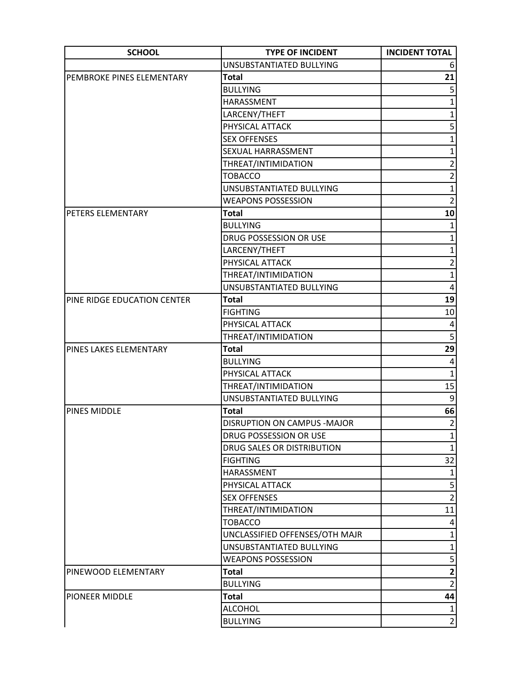| <b>SCHOOL</b>               | <b>TYPE OF INCIDENT</b>        | <b>INCIDENT TOTAL</b>   |
|-----------------------------|--------------------------------|-------------------------|
|                             | UNSUBSTANTIATED BULLYING       | 6                       |
| PEMBROKE PINES ELEMENTARY   | <b>Total</b>                   | 21                      |
|                             | <b>BULLYING</b>                | 5                       |
|                             | HARASSMENT                     | $\mathbf{1}$            |
|                             | LARCENY/THEFT                  | $\mathbf{1}$            |
|                             | PHYSICAL ATTACK                | 5                       |
|                             | <b>SEX OFFENSES</b>            | $\mathbf{1}$            |
|                             | SEXUAL HARRASSMENT             | $\mathbf{1}$            |
|                             | THREAT/INTIMIDATION            | $\overline{2}$          |
|                             | <b>TOBACCO</b>                 | $\overline{2}$          |
|                             | UNSUBSTANTIATED BULLYING       | $\mathbf 1$             |
|                             | <b>WEAPONS POSSESSION</b>      | $\overline{2}$          |
| PETERS ELEMENTARY           | <b>Total</b>                   | 10                      |
|                             | <b>BULLYING</b>                | 1                       |
|                             | DRUG POSSESSION OR USE         | $\mathbf{1}$            |
|                             | LARCENY/THEFT                  | $\mathbf{1}$            |
|                             | PHYSICAL ATTACK                | $\overline{2}$          |
|                             | THREAT/INTIMIDATION            | $\mathbf{1}$            |
|                             | UNSUBSTANTIATED BULLYING       | 4                       |
| PINE RIDGE EDUCATION CENTER | <b>Total</b>                   | 19                      |
|                             | <b>FIGHTING</b>                | 10                      |
|                             | PHYSICAL ATTACK                | $\overline{\mathbf{4}}$ |
|                             | THREAT/INTIMIDATION            | $\overline{5}$          |
| PINES LAKES ELEMENTARY      | <b>Total</b>                   | 29                      |
|                             | <b>BULLYING</b>                | $\overline{\mathbf{4}}$ |
|                             | PHYSICAL ATTACK                | $\mathbf{1}$            |
|                             | THREAT/INTIMIDATION            | 15                      |
|                             | UNSUBSTANTIATED BULLYING       | $\boldsymbol{9}$        |
| <b>PINES MIDDLE</b>         | <b>Total</b>                   | 66                      |
|                             | DISRUPTION ON CAMPUS - MAJOR   | $\overline{2}$          |
|                             | DRUG POSSESSION OR USE         | $1\vert$                |
|                             | DRUG SALES OR DISTRIBUTION     | $\mathbf{1}$            |
|                             | <b>FIGHTING</b>                | 32                      |
|                             | HARASSMENT                     | $\mathbf{1}$            |
|                             | PHYSICAL ATTACK                | $\mathsf{S}$            |
|                             | <b>SEX OFFENSES</b>            | $\overline{2}$          |
|                             | THREAT/INTIMIDATION            | 11                      |
|                             | <b>TOBACCO</b>                 | 4 <sup>1</sup>          |
|                             | UNCLASSIFIED OFFENSES/OTH MAJR | $\mathbf{1}$            |
|                             | UNSUBSTANTIATED BULLYING       | $\mathbf{1}$            |
|                             | <b>WEAPONS POSSESSION</b>      | $\mathsf{S}$            |
| PINEWOOD ELEMENTARY         | <b>Total</b>                   | $\overline{\mathbf{2}}$ |
|                             | <b>BULLYING</b>                | $\overline{2}$          |
| PIONEER MIDDLE              | <b>Total</b>                   | 44                      |
|                             | <b>ALCOHOL</b>                 | $\mathbf{1}$            |
|                             | <b>BULLYING</b>                | $\overline{2}$          |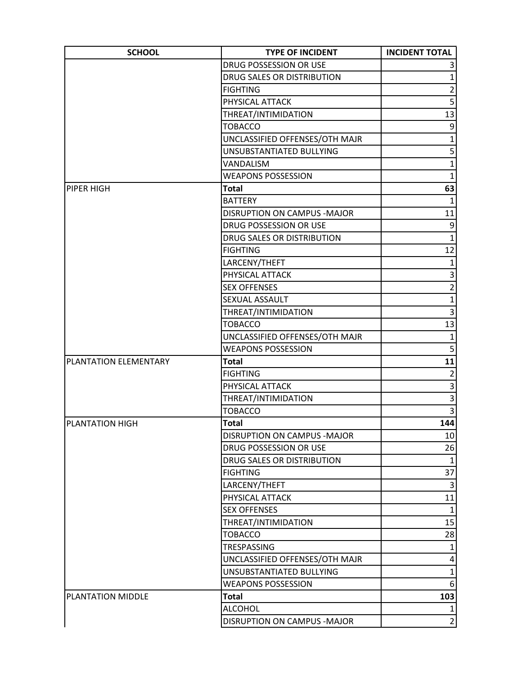| <b>SCHOOL</b>          | <b>TYPE OF INCIDENT</b>        | <b>INCIDENT TOTAL</b>   |
|------------------------|--------------------------------|-------------------------|
|                        | DRUG POSSESSION OR USE         | 3                       |
|                        | DRUG SALES OR DISTRIBUTION     | $\mathbf{1}$            |
|                        | <b>FIGHTING</b>                | $\overline{2}$          |
|                        | PHYSICAL ATTACK                | $\overline{5}$          |
|                        | THREAT/INTIMIDATION            | 13                      |
|                        | <b>TOBACCO</b>                 | 9                       |
|                        | UNCLASSIFIED OFFENSES/OTH MAJR | $\mathbf{1}$            |
|                        | UNSUBSTANTIATED BULLYING       | 5                       |
|                        | VANDALISM                      | $\mathbf{1}$            |
|                        | <b>WEAPONS POSSESSION</b>      | $\mathbf{1}$            |
| PIPER HIGH             | <b>Total</b>                   | 63                      |
|                        | <b>BATTERY</b>                 | $\mathbf{1}$            |
|                        | DISRUPTION ON CAMPUS - MAJOR   | 11                      |
|                        | DRUG POSSESSION OR USE         | $\overline{9}$          |
|                        | DRUG SALES OR DISTRIBUTION     | $\mathbf{1}$            |
|                        | <b>FIGHTING</b>                | 12                      |
|                        | LARCENY/THEFT                  | $\mathbf{1}$            |
|                        | PHYSICAL ATTACK                | $\vert 3 \vert$         |
|                        | <b>SEX OFFENSES</b>            | $\overline{2}$          |
|                        | SEXUAL ASSAULT                 | $\mathbf{1}$            |
|                        | THREAT/INTIMIDATION            | 3                       |
|                        | <b>TOBACCO</b>                 | 13                      |
|                        | UNCLASSIFIED OFFENSES/OTH MAJR | $\mathbf{1}$            |
|                        | <b>WEAPONS POSSESSION</b>      | 5 <sup>1</sup>          |
| PLANTATION ELEMENTARY  | <b>Total</b>                   | 11                      |
|                        | <b>FIGHTING</b>                | $\overline{2}$          |
|                        | PHYSICAL ATTACK                | $\overline{\mathbf{3}}$ |
|                        | THREAT/INTIMIDATION            | $\overline{3}$          |
|                        | <b>TOBACCO</b>                 | $\overline{3}$          |
| <b>PLANTATION HIGH</b> | <b>Total</b>                   | 144                     |
|                        | DISRUPTION ON CAMPUS - MAJOR   | 10                      |
|                        | DRUG POSSESSION OR USE         | 26                      |
|                        | DRUG SALES OR DISTRIBUTION     | $\mathbf{1}$            |
|                        | <b>FIGHTING</b>                | 37                      |
|                        | LARCENY/THEFT                  | 3                       |
|                        | PHYSICAL ATTACK                | 11                      |
|                        | <b>SEX OFFENSES</b>            | $\mathbf{1}$            |
|                        | THREAT/INTIMIDATION            | 15                      |
|                        | <b>TOBACCO</b>                 | 28                      |
|                        | TRESPASSING                    | $\mathbf{1}$            |
|                        | UNCLASSIFIED OFFENSES/OTH MAJR | $\vert 4 \vert$         |
|                        | UNSUBSTANTIATED BULLYING       | $\mathbf{1}$            |
|                        | <b>WEAPONS POSSESSION</b>      | 6                       |
| PLANTATION MIDDLE      | <b>Total</b>                   | 103                     |
|                        | <b>ALCOHOL</b>                 | 1                       |
|                        | DISRUPTION ON CAMPUS - MAJOR   | $\overline{2}$          |
|                        |                                |                         |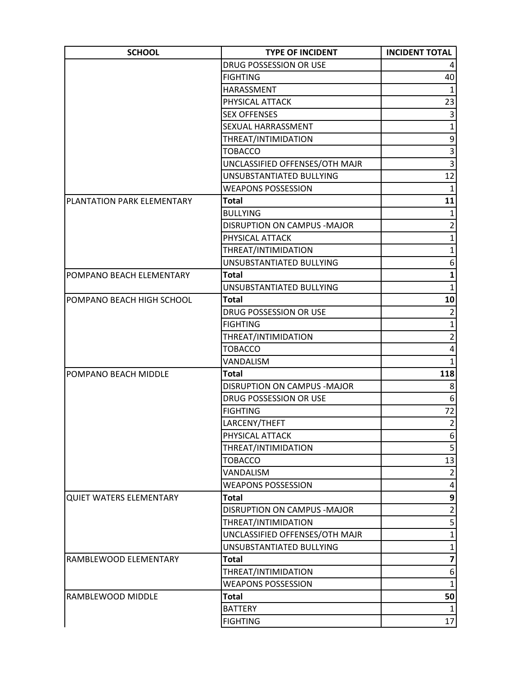| <b>SCHOOL</b>                  | <b>TYPE OF INCIDENT</b>        | <b>INCIDENT TOTAL</b>   |
|--------------------------------|--------------------------------|-------------------------|
|                                | DRUG POSSESSION OR USE         |                         |
|                                | <b>FIGHTING</b>                | 40                      |
|                                | HARASSMENT                     | $1\vert$                |
|                                | PHYSICAL ATTACK                | 23                      |
|                                | <b>SEX OFFENSES</b>            | $\vert 3 \vert$         |
|                                | SEXUAL HARRASSMENT             | $\mathbf{1}$            |
|                                | THREAT/INTIMIDATION            | $\overline{9}$          |
|                                | <b>TOBACCO</b>                 | $\overline{3}$          |
|                                | UNCLASSIFIED OFFENSES/OTH MAJR | $\overline{3}$          |
|                                | UNSUBSTANTIATED BULLYING       | 12                      |
|                                | <b>WEAPONS POSSESSION</b>      | $\mathbf{1}$            |
| PLANTATION PARK ELEMENTARY     | Total                          | 11                      |
|                                | <b>BULLYING</b>                | $\mathbf{1}$            |
|                                | DISRUPTION ON CAMPUS - MAJOR   | $\overline{c}$          |
|                                | PHYSICAL ATTACK                | $\overline{1}$          |
|                                | THREAT/INTIMIDATION            | $\mathbf{1}$            |
|                                | UNSUBSTANTIATED BULLYING       | 6                       |
| POMPANO BEACH ELEMENTARY       | <b>Total</b>                   | $\mathbf{1}$            |
|                                | UNSUBSTANTIATED BULLYING       | $\mathbf{1}$            |
| POMPANO BEACH HIGH SCHOOL      | <b>Total</b>                   | 10                      |
|                                | DRUG POSSESSION OR USE         | $\overline{2}$          |
|                                | <b>FIGHTING</b>                | $\mathbf 1$             |
|                                | THREAT/INTIMIDATION            | $\overline{2}$          |
|                                | <b>TOBACCO</b>                 | 4                       |
|                                | VANDALISM                      | $\mathbf{1}$            |
| POMPANO BEACH MIDDLE           | <b>Total</b>                   | 118                     |
|                                | DISRUPTION ON CAMPUS - MAJOR   | 8 <sup>1</sup>          |
|                                | DRUG POSSESSION OR USE         | 6 <sup>1</sup>          |
|                                | <b>FIGHTING</b>                | 72                      |
|                                | LARCENY/THEFT                  | $\overline{2}$          |
|                                | PHYSICAL ATTACK                | $6 \mid$                |
|                                | THREAT/INTIMIDATION            | 5 <sup>1</sup>          |
|                                | TOBACCO                        | 13                      |
|                                | VANDALISM                      | $\overline{2}$          |
|                                | <b>WEAPONS POSSESSION</b>      | $\vert 4 \vert$         |
| <b>QUIET WATERS ELEMENTARY</b> | <b>Total</b>                   | $\mathbf{9}$            |
|                                | DISRUPTION ON CAMPUS - MAJOR   | $\overline{2}$          |
|                                | THREAT/INTIMIDATION            | 5                       |
|                                | UNCLASSIFIED OFFENSES/OTH MAJR | $\mathbf{1}$            |
|                                | UNSUBSTANTIATED BULLYING       | $\mathbf{1}$            |
| RAMBLEWOOD ELEMENTARY          | <b>Total</b>                   | $\overline{\mathbf{z}}$ |
|                                | THREAT/INTIMIDATION            | 6 <sup>1</sup>          |
|                                | <b>WEAPONS POSSESSION</b>      | $\mathbf{1}$            |
| RAMBLEWOOD MIDDLE              | <b>Total</b>                   | 50                      |
|                                | <b>BATTERY</b>                 | 1                       |
|                                | <b>FIGHTING</b>                | 17                      |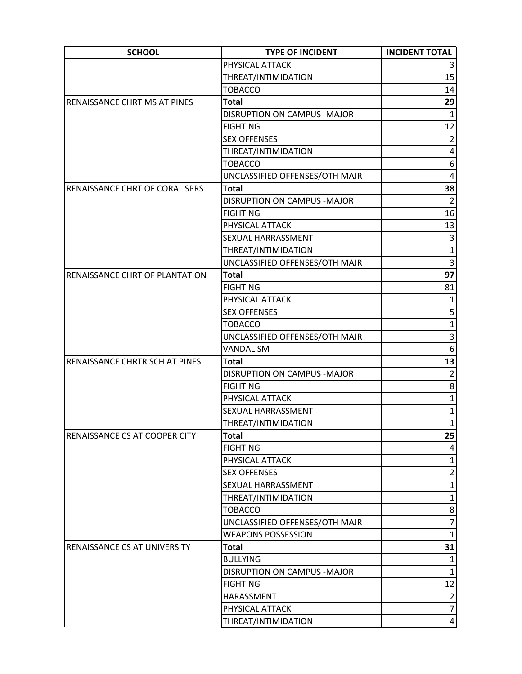| <b>SCHOOL</b>                         | <b>TYPE OF INCIDENT</b>            | <b>INCIDENT TOTAL</b> |
|---------------------------------------|------------------------------------|-----------------------|
|                                       | PHYSICAL ATTACK                    |                       |
|                                       | THREAT/INTIMIDATION                | 15                    |
|                                       | <b>TOBACCO</b>                     | 14                    |
| RENAISSANCE CHRT MS AT PINES          | <b>Total</b>                       | 29                    |
|                                       | DISRUPTION ON CAMPUS - MAJOR       | $\mathbf{1}$          |
|                                       | <b>FIGHTING</b>                    | 12                    |
|                                       | <b>SEX OFFENSES</b>                | $\overline{2}$        |
|                                       | THREAT/INTIMIDATION                | 4                     |
|                                       | <b>TOBACCO</b>                     | 6                     |
|                                       | UNCLASSIFIED OFFENSES/OTH MAJR     | 4                     |
| <b>RENAISSANCE CHRT OF CORAL SPRS</b> | <b>Total</b>                       | 38                    |
|                                       | DISRUPTION ON CAMPUS - MAJOR       | $\overline{2}$        |
|                                       | <b>FIGHTING</b>                    | 16                    |
|                                       | PHYSICAL ATTACK                    | 13                    |
|                                       | SEXUAL HARRASSMENT                 | $\overline{3}$        |
|                                       | THREAT/INTIMIDATION                | $\mathbf 1$           |
|                                       | UNCLASSIFIED OFFENSES/OTH MAJR     | 3                     |
| RENAISSANCE CHRT OF PLANTATION        | <b>Total</b>                       | 97                    |
|                                       | <b>FIGHTING</b>                    | 81                    |
|                                       | PHYSICAL ATTACK                    |                       |
|                                       | <b>SEX OFFENSES</b>                | 5                     |
|                                       | <b>TOBACCO</b>                     | $\mathbf{1}$          |
|                                       | UNCLASSIFIED OFFENSES/OTH MAJR     | 3                     |
|                                       | VANDALISM                          | 6                     |
| RENAISSANCE CHRTR SCH AT PINES        | <b>Total</b>                       | 13                    |
|                                       | <b>DISRUPTION ON CAMPUS -MAJOR</b> | $\overline{2}$        |
|                                       | <b>FIGHTING</b>                    | 8                     |
|                                       | PHYSICAL ATTACK                    | $\mathbf{1}$          |
|                                       | <b>SEXUAL HARRASSMENT</b>          | $\mathbf{1}$          |
|                                       | THREAT/INTIMIDATION                | $1\vert$              |
| RENAISSANCE CS AT COOPER CITY         | <b>Total</b>                       | 25                    |
|                                       | <b>FIGHTING</b>                    | 4                     |
|                                       | PHYSICAL ATTACK                    | 1                     |
|                                       | <b>SEX OFFENSES</b>                | $\overline{2}$        |
|                                       | SEXUAL HARRASSMENT                 | $\mathbf{1}$          |
|                                       | THREAT/INTIMIDATION                | $\mathbf{1}$          |
|                                       | <b>TOBACCO</b>                     | 8                     |
|                                       | UNCLASSIFIED OFFENSES/OTH MAJR     | $\overline{7}$        |
|                                       | <b>WEAPONS POSSESSION</b>          | $1\vert$              |
| RENAISSANCE CS AT UNIVERSITY          | <b>Total</b>                       | 31                    |
|                                       | <b>BULLYING</b>                    | $\mathbf{1}$          |
|                                       | DISRUPTION ON CAMPUS - MAJOR       | $\mathbf 1$           |
|                                       | <b>FIGHTING</b>                    | 12                    |
|                                       | HARASSMENT                         | $\overline{2}$        |
|                                       | PHYSICAL ATTACK                    | $\overline{7}$        |
|                                       | THREAT/INTIMIDATION                | $\vert 4 \vert$       |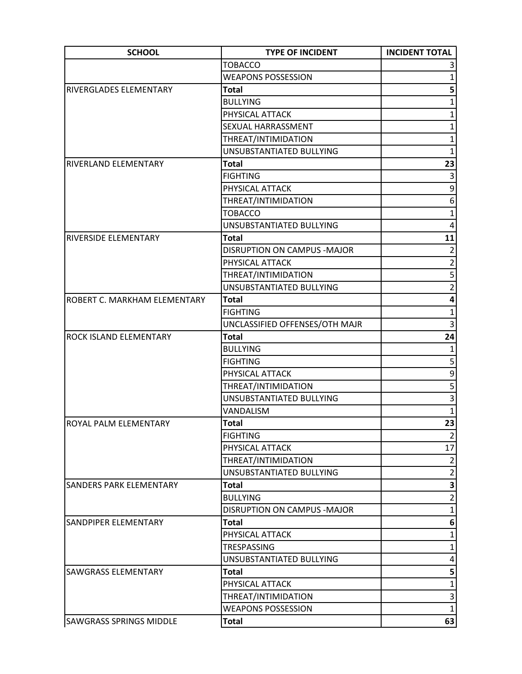| <b>SCHOOL</b>                  | <b>TYPE OF INCIDENT</b>        | <b>INCIDENT TOTAL</b>   |
|--------------------------------|--------------------------------|-------------------------|
|                                | <b>TOBACCO</b>                 |                         |
|                                | <b>WEAPONS POSSESSION</b>      | 1                       |
| RIVERGLADES ELEMENTARY         | <b>Total</b>                   | 5                       |
|                                | <b>BULLYING</b>                | 1                       |
|                                | PHYSICAL ATTACK                | $\mathbf{1}$            |
|                                | SEXUAL HARRASSMENT             | 1                       |
|                                | THREAT/INTIMIDATION            | 1                       |
|                                | UNSUBSTANTIATED BULLYING       | $\mathbf{1}$            |
| RIVERLAND ELEMENTARY           | <b>Total</b>                   | 23                      |
|                                | <b>FIGHTING</b>                | $\mathsf{3}$            |
|                                | PHYSICAL ATTACK                | $\overline{9}$          |
|                                | THREAT/INTIMIDATION            | 6                       |
|                                | <b>TOBACCO</b>                 | $\mathbf{1}$            |
|                                | UNSUBSTANTIATED BULLYING       | 4                       |
| RIVERSIDE ELEMENTARY           | <b>Total</b>                   | 11                      |
|                                | DISRUPTION ON CAMPUS - MAJOR   | $\overline{2}$          |
|                                | PHYSICAL ATTACK                | $\overline{2}$          |
|                                | THREAT/INTIMIDATION            | 5                       |
|                                | UNSUBSTANTIATED BULLYING       | $\overline{2}$          |
| ROBERT C. MARKHAM ELEMENTARY   | <b>Total</b>                   | $\overline{\mathbf{4}}$ |
|                                | <b>FIGHTING</b>                | $\mathbf{1}$            |
|                                | UNCLASSIFIED OFFENSES/OTH MAJR | 3                       |
| ROCK ISLAND ELEMENTARY         | <b>Total</b>                   | 24                      |
|                                | <b>BULLYING</b>                | $\mathbf{1}$            |
|                                | <b>FIGHTING</b>                | 5                       |
|                                | PHYSICAL ATTACK                | 9                       |
|                                | THREAT/INTIMIDATION            | $\overline{\mathbf{5}}$ |
|                                | UNSUBSTANTIATED BULLYING       | 3                       |
|                                | VANDALISM                      | $\mathbf{1}$            |
| <b>ROYAL PALM ELEMENTARY</b>   | <b>Total</b>                   | 23                      |
|                                | <b>FIGHTING</b>                | $\overline{2}$          |
|                                | PHYSICAL ATTACK                | 17                      |
|                                | THREAT/INTIMIDATION            | $\overline{2}$          |
|                                | UNSUBSTANTIATED BULLYING       | $\overline{2}$          |
| <b>SANDERS PARK ELEMENTARY</b> | <b>Total</b>                   | 3                       |
|                                | <b>BULLYING</b>                | $\overline{2}$          |
|                                | DISRUPTION ON CAMPUS - MAJOR   | $\mathbf{1}$            |
| SANDPIPER ELEMENTARY           | Total                          | 6                       |
|                                | PHYSICAL ATTACK                | $\mathbf{1}$            |
|                                | TRESPASSING                    | $\mathbf 1$             |
|                                | UNSUBSTANTIATED BULLYING       | 4                       |
| <b>SAWGRASS ELEMENTARY</b>     | <b>Total</b>                   | 5                       |
|                                | PHYSICAL ATTACK                | $\mathbf{1}$            |
|                                | THREAT/INTIMIDATION            | 3                       |
|                                | <b>WEAPONS POSSESSION</b>      | $\mathbf{1}$            |
| <b>SAWGRASS SPRINGS MIDDLE</b> | <b>Total</b>                   | 63                      |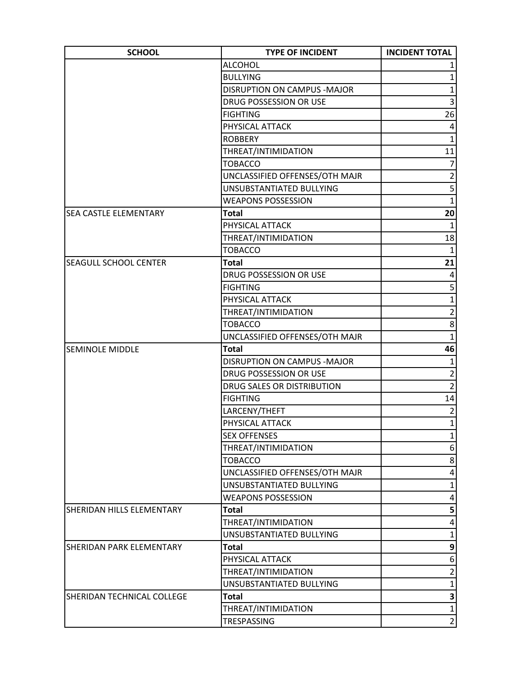| <b>SCHOOL</b>                | <b>TYPE OF INCIDENT</b>            | <b>INCIDENT TOTAL</b>   |
|------------------------------|------------------------------------|-------------------------|
|                              | <b>ALCOHOL</b>                     |                         |
|                              | <b>BULLYING</b>                    | 1                       |
|                              | <b>DISRUPTION ON CAMPUS -MAJOR</b> | $\mathbf{1}$            |
|                              | DRUG POSSESSION OR USE             | 3                       |
|                              | <b>FIGHTING</b>                    | 26                      |
|                              | PHYSICAL ATTACK                    | 4                       |
|                              | <b>ROBBERY</b>                     | $\mathbf{1}$            |
|                              | THREAT/INTIMIDATION                | 11                      |
|                              | <b>TOBACCO</b>                     | $\overline{7}$          |
|                              | UNCLASSIFIED OFFENSES/OTH MAJR     | $\overline{2}$          |
|                              | UNSUBSTANTIATED BULLYING           | $\overline{\mathbf{5}}$ |
|                              | <b>WEAPONS POSSESSION</b>          | $\mathbf{1}$            |
| <b>SEA CASTLE ELEMENTARY</b> | <b>Total</b>                       | 20                      |
|                              | PHYSICAL ATTACK                    | 1                       |
|                              | THREAT/INTIMIDATION                | 18                      |
|                              | <b>TOBACCO</b>                     | $\mathbf{1}$            |
| ISEAGULL SCHOOL CENTER       | <b>Total</b>                       | 21                      |
|                              | DRUG POSSESSION OR USE             | 4                       |
|                              | <b>FIGHTING</b>                    | 5                       |
|                              | PHYSICAL ATTACK                    | $\mathbf{1}$            |
|                              | THREAT/INTIMIDATION                | $\overline{2}$          |
|                              | <b>TOBACCO</b>                     | 8                       |
|                              | UNCLASSIFIED OFFENSES/OTH MAJR     | $\mathbf 1$             |
| <b>SEMINOLE MIDDLE</b>       | <b>Total</b>                       | 46                      |
|                              | DISRUPTION ON CAMPUS - MAJOR       | $\mathbf{1}$            |
|                              | DRUG POSSESSION OR USE             | $\overline{2}$          |
|                              | DRUG SALES OR DISTRIBUTION         | $\overline{2}$          |
|                              | <b>FIGHTING</b>                    | 14                      |
|                              | LARCENY/THEFT                      | $\overline{2}$          |
|                              | PHYSICAL ATTACK                    | $1\vert$                |
|                              | <b>SEX OFFENSES</b>                | $\mathbf{1}$            |
|                              | THREAT/INTIMIDATION                | 6                       |
|                              | <b>TOBACCO</b>                     | 8                       |
|                              | UNCLASSIFIED OFFENSES/OTH MAJR     | 4                       |
|                              | UNSUBSTANTIATED BULLYING           | $\mathbf{1}$            |
|                              | <b>WEAPONS POSSESSION</b>          | 4                       |
| SHERIDAN HILLS ELEMENTARY    | <b>Total</b>                       | 5                       |
|                              | THREAT/INTIMIDATION                | 4                       |
|                              | UNSUBSTANTIATED BULLYING           | 1                       |
| SHERIDAN PARK ELEMENTARY     | <b>Total</b>                       | 9                       |
|                              | PHYSICAL ATTACK                    | 6                       |
|                              | THREAT/INTIMIDATION                | $\overline{2}$          |
|                              | UNSUBSTANTIATED BULLYING           | $\mathbf{1}$            |
| SHERIDAN TECHNICAL COLLEGE   | <b>Total</b>                       | $\mathbf{3}$            |
|                              | THREAT/INTIMIDATION                | $\mathbf{1}$            |
|                              | TRESPASSING                        | $\overline{2}$          |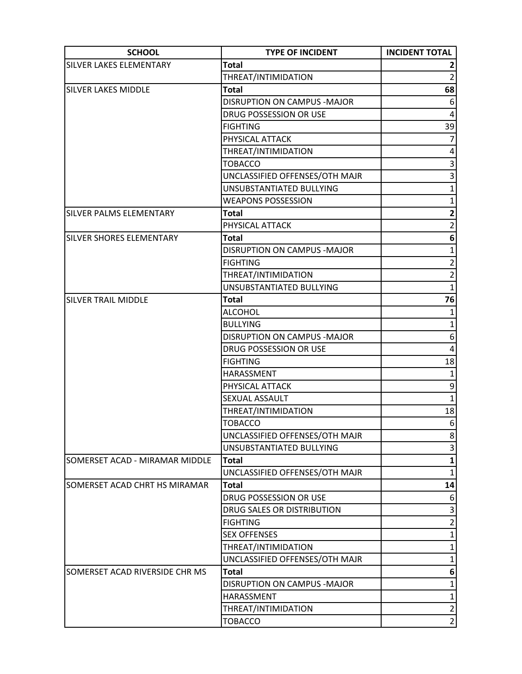| <b>SCHOOL</b>                   | <b>TYPE OF INCIDENT</b>            | <b>INCIDENT TOTAL</b>   |
|---------------------------------|------------------------------------|-------------------------|
| SILVER LAKES ELEMENTARY         | <b>Total</b>                       |                         |
|                                 | THREAT/INTIMIDATION                | $\overline{2}$          |
| <b>SILVER LAKES MIDDLE</b>      | <b>Total</b>                       | 68                      |
|                                 | <b>DISRUPTION ON CAMPUS -MAJOR</b> | 6                       |
|                                 | DRUG POSSESSION OR USE             | 4                       |
|                                 | <b>FIGHTING</b>                    | 39                      |
|                                 | PHYSICAL ATTACK                    | 7                       |
|                                 | THREAT/INTIMIDATION                | $\overline{\mathbf{4}}$ |
|                                 | <b>TOBACCO</b>                     | 3                       |
|                                 | UNCLASSIFIED OFFENSES/OTH MAJR     | 3                       |
|                                 | UNSUBSTANTIATED BULLYING           | $\mathbf{1}$            |
|                                 | <b>WEAPONS POSSESSION</b>          | $\mathbf{1}$            |
| <b>SILVER PALMS ELEMENTARY</b>  | <b>Total</b>                       | $\mathbf{2}$            |
|                                 | PHYSICAL ATTACK                    | $\overline{2}$          |
| <b>SILVER SHORES ELEMENTARY</b> | <b>Total</b>                       | 6                       |
|                                 | DISRUPTION ON CAMPUS - MAJOR       | $\mathbf{1}$            |
|                                 | <b>FIGHTING</b>                    | $\overline{2}$          |
|                                 | THREAT/INTIMIDATION                | $\overline{2}$          |
|                                 | UNSUBSTANTIATED BULLYING           | $\mathbf{1}$            |
| <b>SILVER TRAIL MIDDLE</b>      | <b>Total</b>                       | 76                      |
|                                 | <b>ALCOHOL</b>                     | $\mathbf{1}$            |
|                                 | <b>BULLYING</b>                    | $\mathbf{1}$            |
|                                 | DISRUPTION ON CAMPUS - MAJOR       | 6 <sup>1</sup>          |
|                                 | DRUG POSSESSION OR USE             | 4                       |
|                                 | <b>FIGHTING</b>                    | 18                      |
|                                 | <b>HARASSMENT</b>                  | $\mathbf{1}$            |
|                                 | PHYSICAL ATTACK                    | $\mathsf{g}$            |
|                                 | SEXUAL ASSAULT                     | $\mathbf 1$             |
|                                 | THREAT/INTIMIDATION                | 18                      |
|                                 | <b>TOBACCO</b>                     | 6 <sup>1</sup>          |
|                                 | UNCLASSIFIED OFFENSES/OTH MAJR     | 8 <sup>2</sup>          |
|                                 | UNSUBSTANTIATED BULLYING           | 3                       |
| SOMERSET ACAD - MIRAMAR MIDDLE  | Total                              | $\mathbf 1$             |
|                                 | UNCLASSIFIED OFFENSES/OTH MAJR     | $\mathbf{1}$            |
| SOMERSET ACAD CHRT HS MIRAMAR   | <b>Total</b>                       | 14                      |
|                                 | DRUG POSSESSION OR USE             | 6                       |
|                                 | DRUG SALES OR DISTRIBUTION         | 3                       |
|                                 | <b>FIGHTING</b>                    | $\overline{2}$          |
|                                 | <b>SEX OFFENSES</b>                | $\mathbf{1}$            |
|                                 | THREAT/INTIMIDATION                | 1                       |
|                                 | UNCLASSIFIED OFFENSES/OTH MAJR     | $\mathbf{1}$            |
| SOMERSET ACAD RIVERSIDE CHR MS  | Total                              | 6                       |
|                                 | DISRUPTION ON CAMPUS - MAJOR       | 1                       |
|                                 | HARASSMENT                         | $\mathbf{1}$            |
|                                 | THREAT/INTIMIDATION                | $\overline{2}$          |
|                                 | <b>TOBACCO</b>                     | $\overline{2}$          |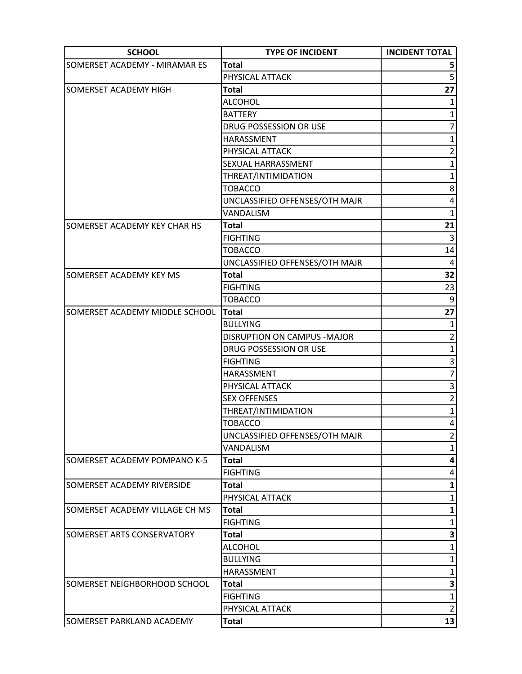| <b>SCHOOL</b>                  | <b>TYPE OF INCIDENT</b>        | <b>INCIDENT TOTAL</b> |
|--------------------------------|--------------------------------|-----------------------|
| SOMERSET ACADEMY - MIRAMAR ES  | <b>Total</b>                   |                       |
|                                | PHYSICAL ATTACK                | 5                     |
| SOMERSET ACADEMY HIGH          | <b>Total</b>                   | 27                    |
|                                | <b>ALCOHOL</b>                 |                       |
|                                | <b>BATTERY</b>                 | 1                     |
|                                | DRUG POSSESSION OR USE         | 7                     |
|                                | HARASSMENT                     | 1                     |
|                                | PHYSICAL ATTACK                | $\overline{2}$        |
|                                | SEXUAL HARRASSMENT             | $\mathbf{1}$          |
|                                | THREAT/INTIMIDATION            | $\mathbf{1}$          |
|                                | <b>TOBACCO</b>                 | 8                     |
|                                | UNCLASSIFIED OFFENSES/OTH MAJR | 4                     |
|                                | VANDALISM                      | $\mathbf{1}$          |
| SOMERSET ACADEMY KEY CHAR HS   | Total                          | 21                    |
|                                | <b>FIGHTING</b>                | $\vert$ 3             |
|                                | <b>TOBACCO</b>                 | 14                    |
|                                | UNCLASSIFIED OFFENSES/OTH MAJR | $\overline{4}$        |
| <b>SOMERSET ACADEMY KEY MS</b> | <b>Total</b>                   | 32                    |
|                                | <b>FIGHTING</b>                | 23                    |
|                                | <b>TOBACCO</b>                 | $\boldsymbol{9}$      |
| SOMERSET ACADEMY MIDDLE SCHOOL | <b>Total</b>                   | 27                    |
|                                | <b>BULLYING</b>                | $\mathbf{1}$          |
|                                | DISRUPTION ON CAMPUS - MAJOR   | $\overline{a}$        |
|                                | DRUG POSSESSION OR USE         | $\mathbf{1}$          |
|                                | <b>FIGHTING</b>                | 3                     |
|                                | <b>HARASSMENT</b>              | 7                     |
|                                | PHYSICAL ATTACK                | 3                     |
|                                | <b>SEX OFFENSES</b>            | $\overline{2}$        |
|                                | THREAT/INTIMIDATION            | $1\vert$              |
|                                | <b>TOBACCO</b>                 | $\vert 4 \vert$       |
|                                | UNCLASSIFIED OFFENSES/OTH MAJR | 2                     |
|                                | VANDALISM                      | $\mathbf{1}$          |
| SOMERSET ACADEMY POMPANO K-5   | <b>Total</b>                   | 4                     |
|                                | <b>FIGHTING</b>                | 4                     |
| SOMERSET ACADEMY RIVERSIDE     | <b>Total</b>                   | 1                     |
|                                | PHYSICAL ATTACK                | 1                     |
| SOMERSET ACADEMY VILLAGE CH MS | <b>Total</b>                   | 1                     |
|                                | <b>FIGHTING</b>                | 1                     |
| SOMERSET ARTS CONSERVATORY     | <b>Total</b>                   | 3                     |
|                                | <b>ALCOHOL</b>                 | 1                     |
|                                | <b>BULLYING</b>                | $\mathbf{1}$          |
|                                | HARASSMENT                     | $\mathbf{1}$          |
| SOMERSET NEIGHBORHOOD SCHOOL   | <b>Total</b>                   | 3                     |
|                                | <b>FIGHTING</b>                | $\mathbf{1}$          |
|                                | PHYSICAL ATTACK                | $\overline{2}$        |
| SOMERSET PARKLAND ACADEMY      | <b>Total</b>                   | 13                    |
|                                |                                |                       |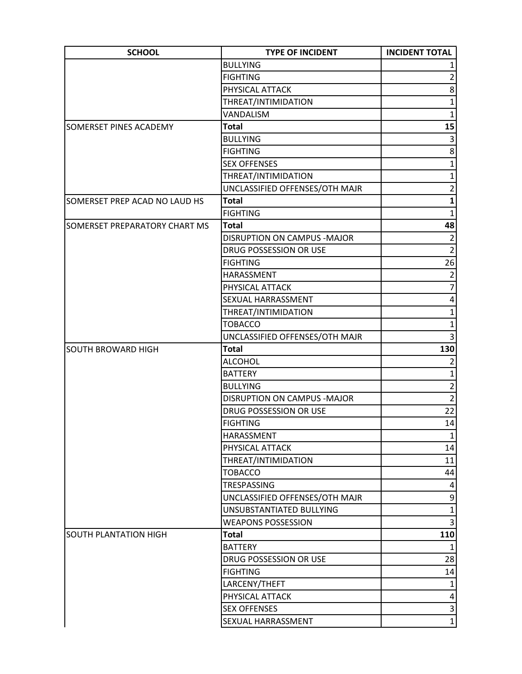| <b>SCHOOL</b>                        | <b>TYPE OF INCIDENT</b>        | <b>INCIDENT TOTAL</b> |
|--------------------------------------|--------------------------------|-----------------------|
|                                      | <b>BULLYING</b>                |                       |
|                                      | <b>FIGHTING</b>                | $\overline{2}$        |
|                                      | PHYSICAL ATTACK                | 8                     |
|                                      | THREAT/INTIMIDATION            | $\mathbf{1}$          |
|                                      | VANDALISM                      | $\mathbf{1}$          |
| <b>SOMERSET PINES ACADEMY</b>        | <b>Total</b>                   | 15                    |
|                                      | <b>BULLYING</b>                | 3                     |
|                                      | <b>FIGHTING</b>                | 8                     |
|                                      | <b>SEX OFFENSES</b>            | $\mathbf{1}$          |
|                                      | THREAT/INTIMIDATION            | $\mathbf{1}$          |
|                                      | UNCLASSIFIED OFFENSES/OTH MAJR | $\overline{2}$        |
| SOMERSET PREP ACAD NO LAUD HS        | <b>Total</b>                   | $\mathbf{1}$          |
|                                      | <b>FIGHTING</b>                | $\mathbf{1}$          |
| <b>SOMERSET PREPARATORY CHART MS</b> | <b>Total</b>                   | 48                    |
|                                      | DISRUPTION ON CAMPUS - MAJOR   | $\overline{2}$        |
|                                      | DRUG POSSESSION OR USE         | $\overline{2}$        |
|                                      | <b>FIGHTING</b>                | 26                    |
|                                      | HARASSMENT                     | $\overline{2}$        |
|                                      | PHYSICAL ATTACK                | $\overline{7}$        |
|                                      | SEXUAL HARRASSMENT             | 4                     |
|                                      | THREAT/INTIMIDATION            | 1                     |
|                                      | <b>TOBACCO</b>                 | $\mathbf{1}$          |
|                                      | UNCLASSIFIED OFFENSES/OTH MAJR | 3                     |
| <b>SOUTH BROWARD HIGH</b>            | <b>Total</b>                   | 130                   |
|                                      | <b>ALCOHOL</b>                 | $\overline{2}$        |
|                                      | <b>BATTERY</b>                 | $\mathbf{1}$          |
|                                      | <b>BULLYING</b>                | $\overline{2}$        |
|                                      | DISRUPTION ON CAMPUS - MAJOR   | $\overline{2}$        |
|                                      | DRUG POSSESSION OR USE         | 22                    |
|                                      | <b>FIGHTING</b>                | 14                    |
|                                      | HARASSMENT                     | $1\vert$              |
|                                      | PHYSICAL ATTACK                | 14                    |
|                                      | THREAT/INTIMIDATION            | 11                    |
|                                      | <b>TOBACCO</b>                 | 44                    |
|                                      | TRESPASSING                    | $\vert 4 \vert$       |
|                                      | UNCLASSIFIED OFFENSES/OTH MAJR | $\mathsf{g}$          |
|                                      | UNSUBSTANTIATED BULLYING       | $\overline{1}$        |
|                                      | <b>WEAPONS POSSESSION</b>      | 3                     |
| SOUTH PLANTATION HIGH                | <b>Total</b>                   | 110                   |
|                                      | <b>BATTERY</b>                 | $\mathbf{1}$          |
|                                      | DRUG POSSESSION OR USE         | 28                    |
|                                      | <b>FIGHTING</b>                | 14                    |
|                                      | LARCENY/THEFT                  | $\mathbf{1}$          |
|                                      | PHYSICAL ATTACK                | $\vert 4 \vert$       |
|                                      | <b>SEX OFFENSES</b>            | $\overline{3}$        |
|                                      | SEXUAL HARRASSMENT             | $\mathbf{1}$          |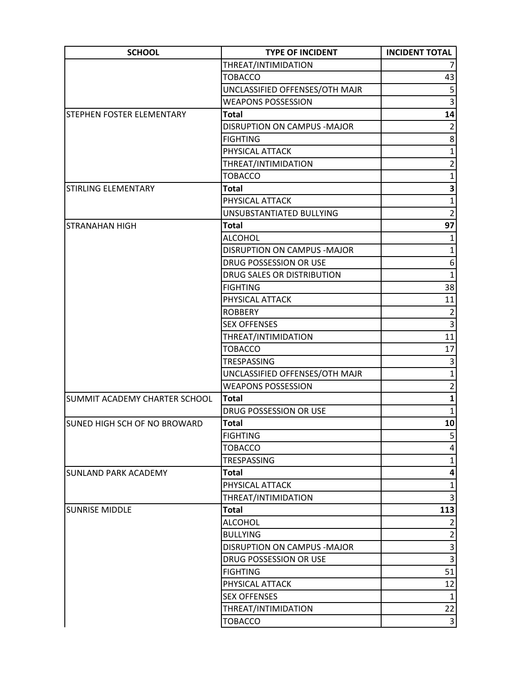| <b>SCHOOL</b>                       | <b>TYPE OF INCIDENT</b>        | <b>INCIDENT TOTAL</b> |
|-------------------------------------|--------------------------------|-----------------------|
|                                     | THREAT/INTIMIDATION            |                       |
|                                     | <b>TOBACCO</b>                 | 43                    |
|                                     | UNCLASSIFIED OFFENSES/OTH MAJR | 5                     |
|                                     | <b>WEAPONS POSSESSION</b>      | 3                     |
| STEPHEN FOSTER ELEMENTARY           | Total                          | 14                    |
|                                     | DISRUPTION ON CAMPUS - MAJOR   | $\overline{2}$        |
|                                     | <b>FIGHTING</b>                | 8                     |
|                                     | PHYSICAL ATTACK                | $\mathbf{1}$          |
|                                     | THREAT/INTIMIDATION            | $\overline{2}$        |
|                                     | <b>TOBACCO</b>                 | $\mathbf{1}$          |
| STIRLING ELEMENTARY                 | <b>Total</b>                   | 3                     |
|                                     | PHYSICAL ATTACK                | $\mathbf{1}$          |
|                                     | UNSUBSTANTIATED BULLYING       | $\overline{2}$        |
| <b>STRANAHAN HIGH</b>               | Total                          | 97                    |
|                                     | <b>ALCOHOL</b>                 | $\mathbf{1}$          |
|                                     | DISRUPTION ON CAMPUS - MAJOR   | $\mathbf{1}$          |
|                                     | DRUG POSSESSION OR USE         | 6                     |
|                                     | DRUG SALES OR DISTRIBUTION     | $\overline{1}$        |
|                                     | <b>FIGHTING</b>                | 38                    |
|                                     | PHYSICAL ATTACK                | 11                    |
|                                     | <b>ROBBERY</b>                 | $\overline{2}$        |
|                                     | <b>SEX OFFENSES</b>            | $\overline{3}$        |
|                                     | THREAT/INTIMIDATION            | 11                    |
|                                     | <b>TOBACCO</b>                 | 17                    |
|                                     | TRESPASSING                    | 3                     |
|                                     | UNCLASSIFIED OFFENSES/OTH MAJR | $\mathbf{1}$          |
|                                     | <b>WEAPONS POSSESSION</b>      | $\overline{2}$        |
| SUMMIT ACADEMY CHARTER SCHOOL       | <b>Total</b>                   | $\mathbf{1}$          |
|                                     | DRUG POSSESSION OR USE         | $\mathbf{1}$          |
| <b>SUNED HIGH SCH OF NO BROWARD</b> | <b>Total</b>                   | 10 <sup>1</sup>       |
|                                     | <b>FIGHTING</b>                | 5 <sup>2</sup>        |
|                                     | <b>TOBACCO</b>                 | 4                     |
|                                     | TRESPASSING                    | 1                     |
| <b>SUNLAND PARK ACADEMY</b>         | <b>Total</b>                   | 4                     |
|                                     | PHYSICAL ATTACK                | $\mathbf{1}$          |
|                                     | THREAT/INTIMIDATION            | 3                     |
| <b>SUNRISE MIDDLE</b>               | Total                          | 113                   |
|                                     | <b>ALCOHOL</b>                 | $\overline{2}$        |
|                                     | <b>BULLYING</b>                | $\overline{2}$        |
|                                     | DISRUPTION ON CAMPUS - MAJOR   | $\overline{3}$        |
|                                     | DRUG POSSESSION OR USE         | $\overline{3}$        |
|                                     | <b>FIGHTING</b>                | 51                    |
|                                     | PHYSICAL ATTACK                | 12                    |
|                                     | <b>SEX OFFENSES</b>            | $\mathbf{1}$          |
|                                     | THREAT/INTIMIDATION            | 22                    |
|                                     | <b>TOBACCO</b>                 | $\overline{3}$        |
|                                     |                                |                       |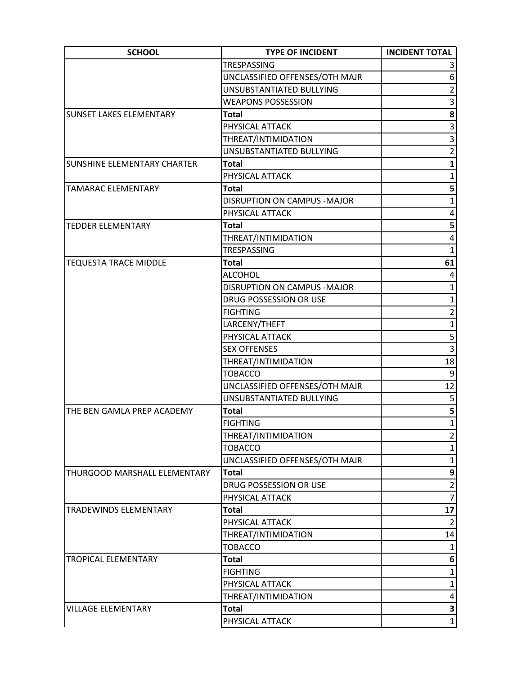| <b>SCHOOL</b>                  | <b>TYPE OF INCIDENT</b>        | <b>INCIDENT TOTAL</b>   |
|--------------------------------|--------------------------------|-------------------------|
|                                | TRESPASSING                    |                         |
|                                | UNCLASSIFIED OFFENSES/OTH MAJR | 6                       |
|                                | UNSUBSTANTIATED BULLYING       | $\overline{2}$          |
|                                | <b>WEAPONS POSSESSION</b>      | 3                       |
| <b>SUNSET LAKES ELEMENTARY</b> | Total                          | 8                       |
|                                | PHYSICAL ATTACK                | 3                       |
|                                | THREAT/INTIMIDATION            | 3                       |
|                                | UNSUBSTANTIATED BULLYING       | $\overline{2}$          |
| SUNSHINE ELEMENTARY CHARTER    | Total                          | $\mathbf{1}$            |
|                                | PHYSICAL ATTACK                | $\mathbf{1}$            |
| <b>TAMARAC ELEMENTARY</b>      | <b>Total</b>                   | 5                       |
|                                | DISRUPTION ON CAMPUS - MAJOR   | $\mathbf{1}$            |
|                                | PHYSICAL ATTACK                | 4                       |
| <b>TEDDER ELEMENTARY</b>       | Total                          | 5                       |
|                                | THREAT/INTIMIDATION            | 4                       |
|                                | TRESPASSING                    | $\mathbf{1}$            |
| <b>TEQUESTA TRACE MIDDLE</b>   | <b>Total</b>                   | 61                      |
|                                | <b>ALCOHOL</b>                 | 4                       |
|                                | DISRUPTION ON CAMPUS - MAJOR   | $\mathbf{1}$            |
|                                | DRUG POSSESSION OR USE         | $\mathbf{1}$            |
|                                | <b>FIGHTING</b>                | $\overline{2}$          |
|                                | LARCENY/THEFT                  | $\mathbf{1}$            |
|                                | PHYSICAL ATTACK                | 5                       |
|                                | <b>SEX OFFENSES</b>            | $\overline{3}$          |
|                                | THREAT/INTIMIDATION            | 18                      |
|                                | <b>TOBACCO</b>                 | 9                       |
|                                | UNCLASSIFIED OFFENSES/OTH MAJR | 12                      |
|                                | UNSUBSTANTIATED BULLYING       | 5                       |
| THE BEN GAMLA PREP ACADEMY     | <b>Total</b>                   | $\overline{\mathbf{5}}$ |
|                                | <b>FIGHTING</b>                | $1\vert$                |
|                                | THREAT/INTIMIDATION            | $\overline{2}$          |
|                                | <b>TOBACCO</b>                 | $\mathbf{1}$            |
|                                | UNCLASSIFIED OFFENSES/OTH MAJR | 1                       |
| THURGOOD MARSHALL ELEMENTARY   | <b>Total</b>                   | 9                       |
|                                | DRUG POSSESSION OR USE         | $\overline{2}$          |
|                                | PHYSICAL ATTACK                | $\overline{7}$          |
| <b>TRADEWINDS ELEMENTARY</b>   | Total                          | 17                      |
|                                | PHYSICAL ATTACK                | $\overline{2}$          |
|                                | THREAT/INTIMIDATION            | 14                      |
|                                | <b>TOBACCO</b>                 | 1                       |
| <b>TROPICAL ELEMENTARY</b>     | <b>Total</b>                   | 6                       |
|                                | <b>FIGHTING</b>                | 1                       |
|                                | PHYSICAL ATTACK                | $\mathbf{1}$            |
|                                | THREAT/INTIMIDATION            | 4                       |
| <b>VILLAGE ELEMENTARY</b>      | Total                          | 3                       |
|                                | PHYSICAL ATTACK                | $1\vert$                |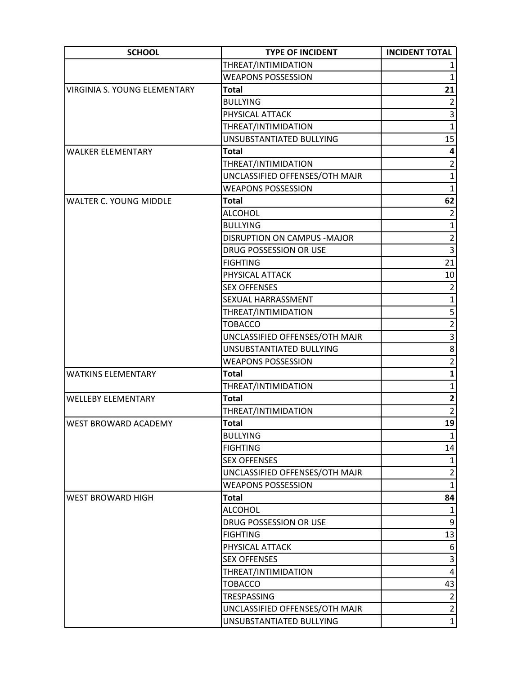| <b>SCHOOL</b>                 | <b>TYPE OF INCIDENT</b>        | <b>INCIDENT TOTAL</b>   |
|-------------------------------|--------------------------------|-------------------------|
|                               | THREAT/INTIMIDATION            |                         |
|                               | <b>WEAPONS POSSESSION</b>      | $\mathbf{1}$            |
| VIRGINIA S. YOUNG ELEMENTARY  | <b>Total</b>                   | 21                      |
|                               | <b>BULLYING</b>                | $\overline{2}$          |
|                               | PHYSICAL ATTACK                | 3                       |
|                               | THREAT/INTIMIDATION            | $\mathbf{1}$            |
|                               | UNSUBSTANTIATED BULLYING       | 15                      |
| <b>WALKER ELEMENTARY</b>      | <b>Total</b>                   | 4                       |
|                               | THREAT/INTIMIDATION            | $\overline{2}$          |
|                               | UNCLASSIFIED OFFENSES/OTH MAJR | $\mathbf{1}$            |
|                               | <b>WEAPONS POSSESSION</b>      | $\mathbf{1}$            |
| <b>WALTER C. YOUNG MIDDLE</b> | <b>Total</b>                   | 62                      |
|                               | <b>ALCOHOL</b>                 | $\overline{2}$          |
|                               | <b>BULLYING</b>                | $\mathbf{1}$            |
|                               | DISRUPTION ON CAMPUS - MAJOR   | $\overline{2}$          |
|                               | DRUG POSSESSION OR USE         | 3                       |
|                               | <b>FIGHTING</b>                | 21                      |
|                               | PHYSICAL ATTACK                | 10                      |
|                               | <b>SEX OFFENSES</b>            | $\mathbf 2$             |
|                               | <b>SEXUAL HARRASSMENT</b>      | $\mathbf{1}$            |
|                               | THREAT/INTIMIDATION            | 5                       |
|                               | <b>TOBACCO</b>                 | $\overline{2}$          |
|                               | UNCLASSIFIED OFFENSES/OTH MAJR | $\overline{3}$          |
|                               | UNSUBSTANTIATED BULLYING       | 8                       |
|                               | <b>WEAPONS POSSESSION</b>      | $\overline{2}$          |
| <b>WATKINS ELEMENTARY</b>     | <b>Total</b>                   | 1                       |
|                               | THREAT/INTIMIDATION            | $\mathbf{1}$            |
| <b>WELLEBY ELEMENTARY</b>     | <b>Total</b>                   | $\overline{\mathbf{2}}$ |
|                               | THREAT/INTIMIDATION            | $\overline{2}$          |
| <b>WEST BROWARD ACADEMY</b>   | <b>Total</b>                   | 19                      |
|                               | <b>BULLYING</b>                |                         |
|                               | <b>FIGHTING</b>                | 14                      |
|                               | <b>SEX OFFENSES</b>            | $\mathbf{1}$            |
|                               | UNCLASSIFIED OFFENSES/OTH MAJR | $\overline{2}$          |
|                               | <b>WEAPONS POSSESSION</b>      | $1\vert$                |
| <b>WEST BROWARD HIGH</b>      | <b>Total</b>                   | 84                      |
|                               | <b>ALCOHOL</b>                 | $\mathbf{1}$            |
|                               | DRUG POSSESSION OR USE         | $\mathsf{g}$            |
|                               | <b>FIGHTING</b>                | 13                      |
|                               | PHYSICAL ATTACK                | $6 \mid$                |
|                               | <b>SEX OFFENSES</b>            | 3                       |
|                               | THREAT/INTIMIDATION            | $\vert 4 \vert$         |
|                               | <b>TOBACCO</b>                 | 43                      |
|                               | TRESPASSING                    | $\overline{2}$          |
|                               | UNCLASSIFIED OFFENSES/OTH MAJR | $\overline{2}$          |
|                               | UNSUBSTANTIATED BULLYING       | $\mathbf{1}$            |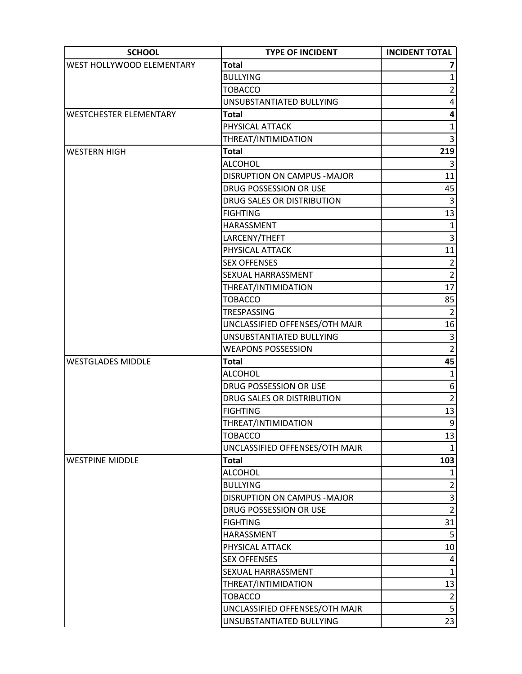| <b>SCHOOL</b>                 | <b>TYPE OF INCIDENT</b>        | <b>INCIDENT TOTAL</b> |
|-------------------------------|--------------------------------|-----------------------|
| WEST HOLLYWOOD ELEMENTARY     | <b>Total</b>                   |                       |
|                               | <b>BULLYING</b>                | $\mathbf{1}$          |
|                               | <b>TOBACCO</b>                 | $\overline{2}$        |
|                               | UNSUBSTANTIATED BULLYING       | 4                     |
| <b>WESTCHESTER ELEMENTARY</b> | <b>Total</b>                   | 4                     |
|                               | PHYSICAL ATTACK                | $\mathbf{1}$          |
|                               | THREAT/INTIMIDATION            | 3                     |
| <b>WESTERN HIGH</b>           | <b>Total</b>                   | 219                   |
|                               | <b>ALCOHOL</b>                 |                       |
|                               | DISRUPTION ON CAMPUS - MAJOR   | 11                    |
|                               | DRUG POSSESSION OR USE         | 45                    |
|                               | DRUG SALES OR DISTRIBUTION     | $\mathsf{3}$          |
|                               | <b>FIGHTING</b>                | 13                    |
|                               | HARASSMENT                     | $\mathbf{1}$          |
|                               | LARCENY/THEFT                  | $\overline{3}$        |
|                               | PHYSICAL ATTACK                | 11                    |
|                               | <b>SEX OFFENSES</b>            | $\mathbf{2}$          |
|                               | SEXUAL HARRASSMENT             | $\overline{2}$        |
|                               | THREAT/INTIMIDATION            | 17                    |
|                               | <b>TOBACCO</b>                 | 85                    |
|                               | TRESPASSING                    | $\overline{2}$        |
|                               | UNCLASSIFIED OFFENSES/OTH MAJR | 16                    |
|                               | UNSUBSTANTIATED BULLYING       | 3                     |
|                               | <b>WEAPONS POSSESSION</b>      | $\overline{2}$        |
| <b>WESTGLADES MIDDLE</b>      | <b>Total</b>                   | 45                    |
|                               | <b>ALCOHOL</b>                 | $\mathbf{1}$          |
|                               | DRUG POSSESSION OR USE         | 6 <sup>1</sup>        |
|                               | DRUG SALES OR DISTRIBUTION     | $\overline{2}$        |
|                               | <b>FIGHTING</b>                | 13                    |
|                               | THREAT/INTIMIDATION            | $\overline{9}$        |
|                               | <b>TOBACCO</b>                 | 13                    |
|                               | UNCLASSIFIED OFFENSES/OTH MAJR | $\mathbf{1}$          |
| <b>WESTPINE MIDDLE</b>        | <b>Total</b>                   | 103                   |
|                               | <b>ALCOHOL</b>                 | $1\vert$              |
|                               | <b>BULLYING</b>                | $\overline{2}$        |
|                               | DISRUPTION ON CAMPUS - MAJOR   | 3                     |
|                               | DRUG POSSESSION OR USE         | $\overline{2}$        |
|                               | <b>FIGHTING</b>                | 31                    |
|                               | HARASSMENT                     | 5                     |
|                               | PHYSICAL ATTACK                | 10                    |
|                               | <b>SEX OFFENSES</b>            | $\vert 4 \vert$       |
|                               | SEXUAL HARRASSMENT             | $\mathbf{1}$          |
|                               | THREAT/INTIMIDATION            | 13                    |
|                               | <b>TOBACCO</b>                 | $\overline{2}$        |
|                               | UNCLASSIFIED OFFENSES/OTH MAJR | $\overline{5}$        |
|                               | UNSUBSTANTIATED BULLYING       | 23                    |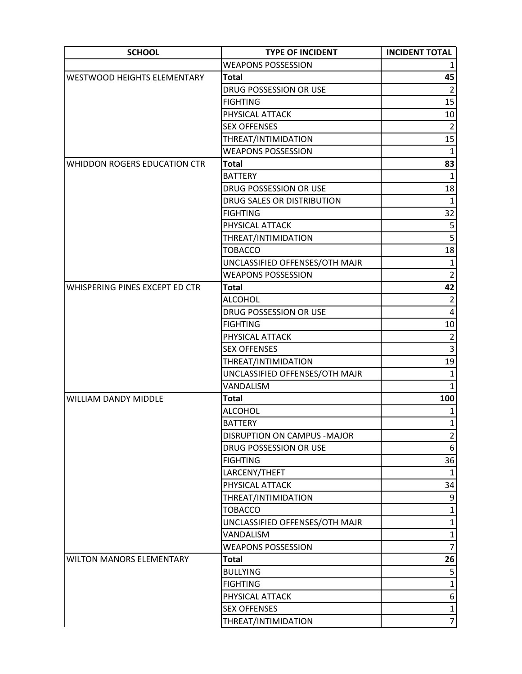| <b>SCHOOL</b>                       | <b>TYPE OF INCIDENT</b>        | <b>INCIDENT TOTAL</b>      |
|-------------------------------------|--------------------------------|----------------------------|
|                                     | <b>WEAPONS POSSESSION</b>      |                            |
| <b>WESTWOOD HEIGHTS ELEMENTARY</b>  | <b>Total</b>                   | 45                         |
|                                     | DRUG POSSESSION OR USE         | $\overline{2}$             |
|                                     | <b>FIGHTING</b>                | 15                         |
|                                     | PHYSICAL ATTACK                | 10                         |
|                                     | <b>SEX OFFENSES</b>            | $\overline{2}$             |
|                                     | THREAT/INTIMIDATION            | 15                         |
|                                     | <b>WEAPONS POSSESSION</b>      | $\mathbf{1}$               |
| <b>WHIDDON ROGERS EDUCATION CTR</b> | <b>Total</b>                   | 83                         |
|                                     | <b>BATTERY</b>                 | $\mathbf{1}$               |
|                                     | DRUG POSSESSION OR USE         | 18                         |
|                                     | DRUG SALES OR DISTRIBUTION     | $\mathbf{1}$               |
|                                     | <b>FIGHTING</b>                | 32                         |
|                                     | PHYSICAL ATTACK                | 5                          |
|                                     | THREAT/INTIMIDATION            | $\overline{5}$             |
|                                     | <b>TOBACCO</b>                 | 18                         |
|                                     | UNCLASSIFIED OFFENSES/OTH MAJR | $\mathbf{1}$               |
|                                     | <b>WEAPONS POSSESSION</b>      | $\overline{2}$             |
| WHISPERING PINES EXCEPT ED CTR      | <b>Total</b>                   | 42                         |
|                                     | <b>ALCOHOL</b>                 | $\overline{2}$             |
|                                     | DRUG POSSESSION OR USE         | 4                          |
|                                     | <b>FIGHTING</b>                | $10\,$                     |
|                                     | PHYSICAL ATTACK                | $\overline{2}$             |
|                                     | <b>SEX OFFENSES</b>            | 3                          |
|                                     | THREAT/INTIMIDATION            | 19                         |
|                                     | UNCLASSIFIED OFFENSES/OTH MAJR | 1                          |
|                                     | VANDALISM                      | $\mathbf{1}$               |
| <b>WILLIAM DANDY MIDDLE</b>         | <b>Total</b>                   | 100                        |
|                                     | <b>ALCOHOL</b>                 | $\mathbf{1}$               |
|                                     | <b>BATTERY</b>                 | $1\vert$                   |
|                                     | DISRUPTION ON CAMPUS - MAJOR   | $\overline{2}$             |
|                                     | DRUG POSSESSION OR USE         | 6 <sup>1</sup>             |
|                                     | <b>FIGHTING</b>                | 36                         |
|                                     | LARCENY/THEFT                  | $\mathbf{1}$               |
|                                     | PHYSICAL ATTACK                | 34                         |
|                                     | THREAT/INTIMIDATION            | $\boldsymbol{9}$           |
|                                     | <b>TOBACCO</b>                 | $\mathbf{1}$               |
|                                     | UNCLASSIFIED OFFENSES/OTH MAJR | $1\vert$                   |
|                                     | VANDALISM                      | $1\vert$<br>$\overline{7}$ |
|                                     | <b>WEAPONS POSSESSION</b>      |                            |
| <b>WILTON MANORS ELEMENTARY</b>     | <b>Total</b>                   | 26<br>5                    |
|                                     | <b>BULLYING</b>                |                            |
|                                     | <b>FIGHTING</b>                | $\mathbf{1}$               |
|                                     | PHYSICAL ATTACK                | $6 \mid$                   |
|                                     | <b>SEX OFFENSES</b>            | $1\vert$                   |
|                                     | THREAT/INTIMIDATION            | $\overline{7}$             |